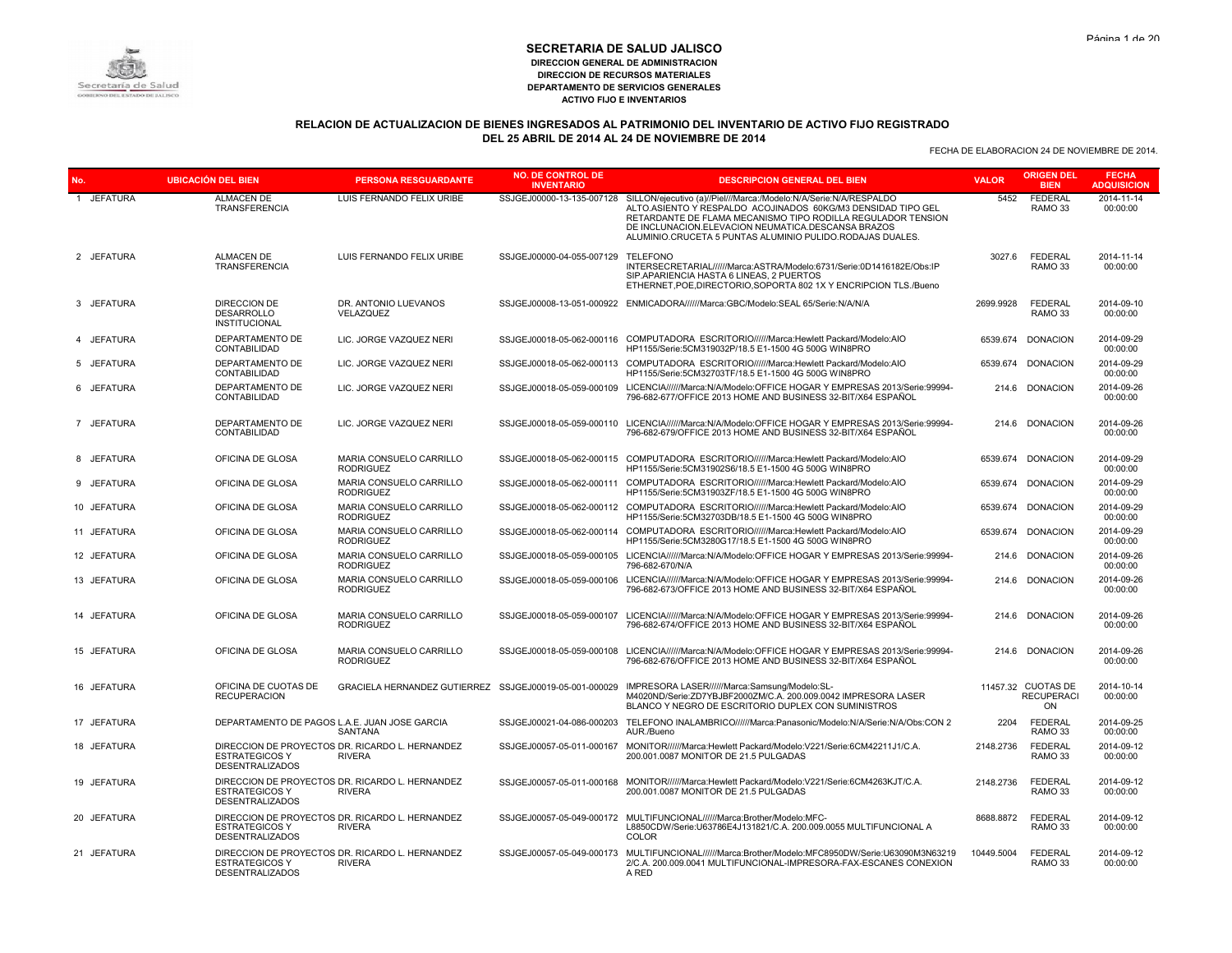# **RELACION DE ACTUALIZACION DE BIENES INGRESADOS AL PATRIMONIO DEL INVENTARIO DE ACTIVO FIJO REGISTRADO DEL 25 ABRIL DE 2014 AL 24 DE NOVIEMBRE DE 2014**

| No.         | <b>UBICACIÓN DEL BIEN</b>                                        | <b>PERSONA RESGUARDANTE</b>                                      | <b>NO. DE CONTROL DE</b><br><b>INVENTARIO</b> | <b>DESCRIPCION GENERAL DEL BIEN</b>                                                                                                                                                                                                                                                                                  | <b>VALOR</b> | <b>ORIGEN DEL</b><br><b>BIEN</b>              | <b>FECHA</b><br><b>ADQUISICION</b> |
|-------------|------------------------------------------------------------------|------------------------------------------------------------------|-----------------------------------------------|----------------------------------------------------------------------------------------------------------------------------------------------------------------------------------------------------------------------------------------------------------------------------------------------------------------------|--------------|-----------------------------------------------|------------------------------------|
| 1 JEFATURA  | <b>ALMACEN DE</b><br><b>TRANSFERENCIA</b>                        | LUIS FERNANDO FELIX URIBE                                        | SSJGEJ00000-13-135-007128                     | SILLON/ejecutivo (a)//Piel///Marca:/Modelo:N/A/Serie:N/A/RESPALDO<br>ALTO.ASIENTO Y RESPALDO ACOJINADOS 60KG/M3 DENSIDAD TIPO GEL<br>RETARDANTE DE FLAMA MECANISMO TIPO RODILLA REGULADOR TENSION<br>DE INCLUNACION.ELEVACION NEUMATICA.DESCANSA BRAZOS<br>ALUMINIO.CRUCETA 5 PUNTAS ALUMINIO PULIDO.RODAJAS DUALES. | 5452         | <b>FEDERAL</b><br>RAMO 33                     | 2014-11-14<br>00:00:00             |
| 2 JEFATURA  | <b>ALMACEN DE</b><br><b>TRANSFERENCIA</b>                        | LUIS FERNANDO FELIX URIBE                                        | SSJGEJ00000-04-055-007129                     | <b>TELEFONO</b><br>INTERSECRETARIAL//////Marca:ASTRA/Modelo:6731/Serie:0D1416182E/Obs:IP<br>SIP.APARIENCIA HASTA 6 LINEAS, 2 PUERTOS<br>ETHERNET, POE, DIRECTORIO, SOPORTA 802 1X Y ENCRIPCION TLS./Bueno                                                                                                            | 3027.6       | <b>FEDERAL</b><br>RAMO 33                     | 2014-11-14<br>00:00:00             |
| 3 JEFATURA  | <b>DIRECCION DE</b><br><b>DESARROLLO</b><br><b>INSTITUCIONAL</b> | DR. ANTONIO LUEVANOS<br>VELAZQUEZ                                |                                               | SSJGEJ00008-13-051-000922 ENMICADORA//////Marca:GBC/Modelo:SEAL 65/Serie:N/A/N/A                                                                                                                                                                                                                                     | 2699.9928    | <b>FEDERAL</b><br>RAMO 33                     | 2014-09-10<br>00:00:00             |
| 4 JEFATURA  | DEPARTAMENTO DE<br>CONTABILIDAD                                  | LIC. JORGE VAZQUEZ NERI                                          | SSJGEJ00018-05-062-000116                     | COMPUTADORA ESCRITORIO//////Marca:Hewlett Packard/Modelo:AIO<br>HP1155/Serie:5CM319032P/18.5 E1-1500 4G 500G WIN8PRO                                                                                                                                                                                                 | 6539.674     | <b>DONACION</b>                               | 2014-09-29<br>00:00:00             |
| 5 JEFATURA  | DEPARTAMENTO DE<br>CONTABILIDAD                                  | LIC. JORGE VAZQUEZ NERI                                          |                                               | SSJGEJ00018-05-062-000113 COMPUTADORA ESCRITORIO//////Marca:Hewlett Packard/Modelo:AIO<br>HP1155/Serie:5CM32703TF/18.5 E1-1500 4G 500G WIN8PRO                                                                                                                                                                       |              | 6539.674 DONACION                             | 2014-09-29<br>00:00:00             |
| 6 JEFATURA  | DEPARTAMENTO DE<br>CONTABILIDAD                                  | LIC. JORGE VAZQUEZ NERI                                          | SSJGEJ00018-05-059-000109                     | LICENCIA//////Marca:N/A/Modelo:OFFICE HOGAR Y EMPRESAS 2013/Serie:99994-<br>796-682-677/OFFICE 2013 HOME AND BUSINESS 32-BIT/X64 ESPAÑOL                                                                                                                                                                             |              | 214.6 DONACION                                | 2014-09-26<br>00:00:00             |
| 7 JEFATURA  | DEPARTAMENTO DE<br>CONTABILIDAD                                  | LIC. JORGE VAZQUEZ NERI                                          | SSJGEJ00018-05-059-000110                     | LICENCIA//////Marca:N/A/Modelo:OFFICE HOGAR Y EMPRESAS 2013/Serie:99994-<br>796-682-679/OFFICE 2013 HOME AND BUSINESS 32-BIT/X64 ESPAÑOL                                                                                                                                                                             | 214.6        | <b>DONACION</b>                               | 2014-09-26<br>00:00:00             |
| 8 JEFATURA  | OFICINA DE GLOSA                                                 | MARIA CONSUELO CARRILLO<br><b>RODRIGUEZ</b>                      | SSJGEJ00018-05-062-000115                     | COMPUTADORA ESCRITORIO//////Marca:Hewlett Packard/Modelo:AIO<br>HP1155/Serie:5CM31902S6/18.5 E1-1500 4G 500G WIN8PRO                                                                                                                                                                                                 | 6539.674     | <b>DONACION</b>                               | 2014-09-29<br>00:00:00             |
| 9 JEFATURA  | OFICINA DE GLOSA                                                 | MARIA CONSUELO CARRILLO<br><b>RODRIGUEZ</b>                      | SSJGEJ00018-05-062-000111                     | COMPUTADORA ESCRITORIO//////Marca:Hewlett Packard/Modelo:AIO<br>HP1155/Serie:5CM31903ZF/18.5 E1-1500 4G 500G WIN8PRO                                                                                                                                                                                                 |              | 6539.674 DONACION                             | 2014-09-29<br>00:00:00             |
| 10 JEFATURA | OFICINA DE GLOSA                                                 | MARIA CONSUELO CARRILLO<br><b>RODRIGUEZ</b>                      |                                               | SSJGEJ00018-05-062-000112 COMPUTADORA ESCRITORIO//////Marca:Hewlett Packard/Modelo:AIO<br>HP1155/Serie:5CM32703DB/18.5 E1-1500 4G 500G WIN8PRO                                                                                                                                                                       |              | 6539.674 DONACION                             | 2014-09-29<br>00:00:00             |
| 11 JEFATURA | OFICINA DE GLOSA                                                 | MARIA CONSUELO CARRILLO<br><b>RODRIGUEZ</b>                      |                                               | SSJGEJ00018-05-062-000114 COMPUTADORA ESCRITORIO//////Marca:Hewlett Packard/Modelo:AIO<br>HP1155/Serie:5CM3280G17/18.5 E1-1500 4G 500G WIN8PRO                                                                                                                                                                       | 6539.674     | <b>DONACION</b>                               | 2014-09-29<br>00:00:00             |
| 12 JEFATURA | OFICINA DE GLOSA                                                 | MARIA CONSUELO CARRILLO<br><b>RODRIGUEZ</b>                      | SSJGEJ00018-05-059-000105                     | LICENCIA//////Marca:N/A/Modelo:OFFICE HOGAR Y EMPRESAS 2013/Serie:99994-<br>796-682-670/N/A                                                                                                                                                                                                                          | 214.6        | <b>DONACION</b>                               | 2014-09-26<br>00:00:00             |
| 13 JEFATURA | OFICINA DE GLOSA                                                 | MARIA CONSUELO CARRILLO<br><b>RODRIGUEZ</b>                      | SSJGEJ00018-05-059-000106                     | LICENCIA//////Marca:N/A/Modelo:OFFICE HOGAR Y EMPRESAS 2013/Serie:99994-<br>796-682-673/OFFICE 2013 HOME AND BUSINESS 32-BIT/X64 ESPAÑOL                                                                                                                                                                             |              | 214.6 DONACION                                | 2014-09-26<br>00:00:00             |
| 14 JEFATURA | OFICINA DE GLOSA                                                 | MARIA CONSUELO CARRILLO<br><b>RODRIGUEZ</b>                      | SSJGEJ00018-05-059-000107                     | LICENCIA//////Marca:N/A/Modelo:OFFICE HOGAR Y EMPRESAS 2013/Serie:99994-<br>796-682-674/OFFICE 2013 HOME AND BUSINESS 32-BIT/X64 ESPAÑOL                                                                                                                                                                             |              | 214.6 DONACION                                | 2014-09-26<br>00:00:00             |
| 15 JEFATURA | OFICINA DE GLOSA                                                 | MARIA CONSUELO CARRILLO<br><b>RODRIGUEZ</b>                      | SSJGEJ00018-05-059-000108                     | LICENCIA/////Marca:N/A/Modelo:OFFICE HOGAR Y EMPRESAS 2013/Serie:99994-<br>796-682-676/OFFICE 2013 HOME AND BUSINESS 32-BIT/X64 ESPAÑOL                                                                                                                                                                              | 214.6        | <b>DONACION</b>                               | 2014-09-26<br>00:00:00             |
| 16 JEFATURA | OFICINA DE CUOTAS DE<br><b>RECUPERACION</b>                      | GRACIELA HERNANDEZ GUTIERREZ SSJGEJ00019-05-001-000029           |                                               | IMPRESORA LASER//////Marca:Samsung/Modelo:SL-<br>M4020ND/Serie:ZD7YBJBF2000ZM/C.A. 200.009.0042 IMPRESORA LASER<br>BLANCO Y NEGRO DE ESCRITORIO DUPLEX CON SUMINISTROS                                                                                                                                               |              | 11457.32 CUOTAS DE<br><b>RECUPERACI</b><br>ON | 2014-10-14<br>00:00:00             |
| 17 JEFATURA |                                                                  | DEPARTAMENTO DE PAGOS L.A.E. JUAN JOSE GARCIA<br>SANTANA         |                                               | SSJGEJ00021-04-086-000203 TELEFONO INALAMBRICO//////Marca:Panasonic/Modelo:N/A/Serie:N/A/Obs:CON 2<br>AUR./Bueno                                                                                                                                                                                                     | 2204         | <b>FEDERAL</b><br>RAMO 33                     | 2014-09-25<br>00:00:00             |
| 18 JEFATURA | <b>ESTRATEGICOS Y</b><br><b>DESENTRALIZADOS</b>                  | DIRECCION DE PROYECTOS DR. RICARDO L. HERNANDEZ<br><b>RIVERA</b> | SSJGEJ00057-05-011-000167                     | MONITOR//////Marca:Hewlett Packard/Modelo:V221/Serie:6CM42211J1/C.A.<br>200.001.0087 MONITOR DE 21.5 PULGADAS                                                                                                                                                                                                        | 2148.2736    | <b>FEDERAL</b><br>RAMO <sub>33</sub>          | 2014-09-12<br>00:00:00             |
| 19 JEFATURA | <b>ESTRATEGICOS Y</b><br><b>DESENTRALIZADOS</b>                  | DIRECCION DE PROYECTOS DR. RICARDO L. HERNANDEZ<br><b>RIVERA</b> | SSJGEJ00057-05-011-000168                     | MONITOR//////Marca:Hewlett Packard/Modelo:V221/Serie:6CM4263KJT/C.A.<br>200.001.0087 MONITOR DE 21.5 PULGADAS                                                                                                                                                                                                        | 2148.2736    | <b>FEDERAL</b><br>RAMO <sub>33</sub>          | 2014-09-12<br>00:00:00             |
| 20 JEFATURA | <b>ESTRATEGICOS Y</b><br><b>DESENTRALIZADOS</b>                  | DIRECCION DE PROYECTOS DR. RICARDO L. HERNANDEZ<br><b>RIVERA</b> | SSJGEJ00057-05-049-000172                     | MULTIFUNCIONAL//////Marca:Brother/Modelo:MFC-<br>L8850CDW/Serie:U63786E4J131821/C.A. 200.009.0055 MULTIFUNCIONAL A<br>COLOR                                                                                                                                                                                          | 8688.8872    | <b>FEDERAL</b><br>RAMO 33                     | 2014-09-12<br>00:00:00             |
| 21 JEFATURA | <b>ESTRATEGICOS Y</b><br><b>DESENTRALIZADOS</b>                  | DIRECCION DE PROYECTOS DR. RICARDO L. HERNANDEZ<br><b>RIVERA</b> | SSJGEJ00057-05-049-000173                     | MULTIFUNCIONAL//////Marca:Brother/Modelo:MFC8950DW/Serie:U63090M3N63219<br>2/C.A. 200.009.0041 MULTIFUNCIONAL-IMPRESORA-FAX-ESCANES CONEXION<br>A RED                                                                                                                                                                | 10449.5004   | <b>FEDERAL</b><br>RAMO 33                     | 2014-09-12<br>00:00:00             |

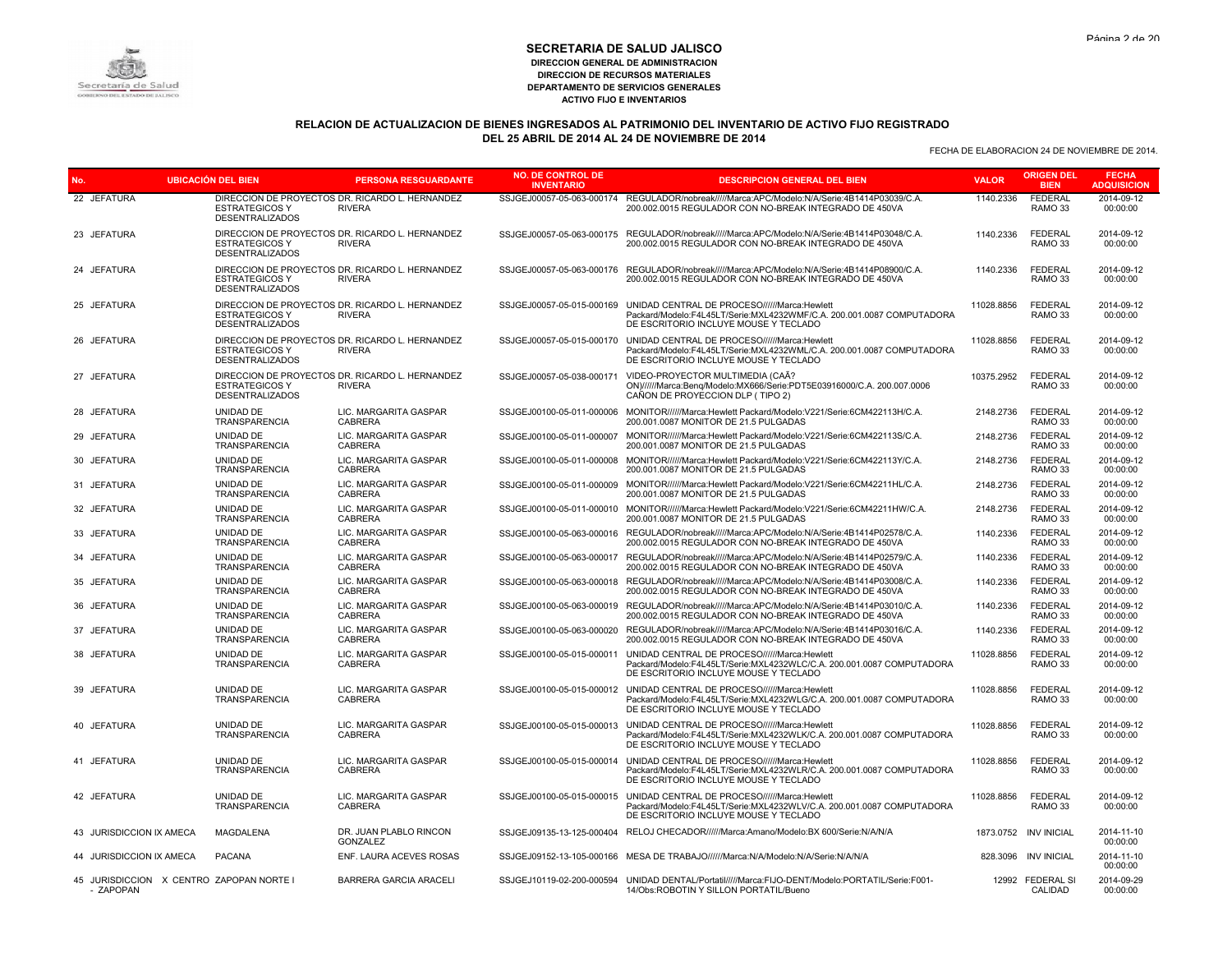

# **RELACION DE ACTUALIZACION DE BIENES INGRESADOS AL PATRIMONIO DEL INVENTARIO DE ACTIVO FIJO REGISTRADO DEL 25 ABRIL DE 2014 AL 24 DE NOVIEMBRE DE 2014**

| No.                                                   | <b>UBICACIÓN DEL BIEN</b>                       | <b>PERSONA RESGUARDANTE</b>                                      | <b>NO. DE CONTROL DE</b><br><b>INVENTARIO</b> | <b>DESCRIPCION GENERAL DEL BIEN</b>                                                                                                                                                      | <b>VALOR</b> | <b>ORIGEN DEL</b><br><b>BIEN</b>     | <b>FECHA</b><br><b>ADQUISICION</b> |
|-------------------------------------------------------|-------------------------------------------------|------------------------------------------------------------------|-----------------------------------------------|------------------------------------------------------------------------------------------------------------------------------------------------------------------------------------------|--------------|--------------------------------------|------------------------------------|
| 22 JEFATURA                                           | <b>ESTRATEGICOS Y</b><br><b>DESENTRALIZADOS</b> | DIRECCION DE PROYECTOS DR. RICARDO L. HERNANDEZ<br><b>RIVERA</b> |                                               | SSJGEJ00057-05-063-000174 REGULADOR/nobreak/////Marca:APC/Modelo:N/A/Serie:4B1414P03039/C.A.<br>200.002.0015 REGULADOR CON NO-BREAK INTEGRADO DE 450VA                                   | 1140.2336    | <b>FEDERAL</b><br>RAMO <sub>33</sub> | 2014-09-12<br>00:00:00             |
| 23 JEFATURA                                           | <b>ESTRATEGICOS Y</b><br><b>DESENTRALIZADOS</b> | DIRECCION DE PROYECTOS DR. RICARDO L. HERNANDEZ<br><b>RIVERA</b> |                                               | SSJGEJ00057-05-063-000175 REGULADOR/nobreak/////Marca:APC/Modelo:N/A/Serie:4B1414P03048/C.A.<br>200.002.0015 REGULADOR CON NO-BREAK INTEGRADO DE 450VA                                   | 1140.2336    | <b>FEDERAL</b><br>RAMO <sub>33</sub> | 2014-09-12<br>00:00:00             |
| 24 JEFATURA                                           | <b>ESTRATEGICOS Y</b><br><b>DESENTRALIZADOS</b> | DIRECCION DE PROYECTOS DR. RICARDO L. HERNANDEZ<br><b>RIVERA</b> | SSJGEJ00057-05-063-000176                     | REGULADOR/nobreak/////Marca:APC/Modelo:N/A/Serie:4B1414P08900/C.A.<br>200.002.0015 REGULADOR CON NO-BREAK INTEGRADO DE 450VA                                                             | 1140.2336    | <b>FEDERAL</b><br>RAMO 33            | 2014-09-12<br>00:00:00             |
| 25 JEFATURA                                           | <b>ESTRATEGICOS Y</b><br><b>DESENTRALIZADOS</b> | DIRECCION DE PROYECTOS DR. RICARDO L. HERNANDEZ<br><b>RIVERA</b> | SSJGEJ00057-05-015-000169                     | UNIDAD CENTRAL DE PROCESO//////Marca:Hewlett<br>Packard/Modelo:F4L45LT/Serie:MXL4232WMF/C.A. 200.001.0087 COMPUTADORA<br>DE ESCRITORIO INCLUYE MOUSE Y TECLADO                           | 11028.8856   | <b>FEDERAL</b><br>RAMO 33            | 2014-09-12<br>00:00:00             |
| 26 JEFATURA                                           | <b>ESTRATEGICOS Y</b><br><b>DESENTRALIZADOS</b> | DIRECCION DE PROYECTOS DR. RICARDO L. HERNANDEZ<br><b>RIVERA</b> | SSJGEJ00057-05-015-000170                     | UNIDAD CENTRAL DE PROCESO//////Marca:Hewlett<br>Packard/Modelo:F4L45LT/Serie:MXL4232WML/C.A. 200.001.0087 COMPUTADORA<br>DE ESCRITORIO INCLUYE MOUSE Y TECLADO                           | 11028.8856   | <b>FEDERAL</b><br>RAMO <sub>33</sub> | 2014-09-12<br>00:00:00             |
| 27 JEFATURA                                           | <b>ESTRATEGICOS Y</b><br><b>DESENTRALIZADOS</b> | DIRECCION DE PROYECTOS DR. RICARDO L. HERNANDEZ<br><b>RIVERA</b> | SSJGEJ00057-05-038-000171                     | VIDEO-PROYECTOR MULTIMEDIA (CAÃ?<br>ON)//////Marca:Beng/Modelo:MX666/Serie:PDT5E03916000/C.A. 200.007.0006<br>CAÑON DE PROYECCION DLP (TIPO 2)                                           | 10375.2952   | <b>FEDERAL</b><br>RAMO 33            | 2014-09-12<br>00:00:00             |
| 28 JEFATURA                                           | UNIDAD DE<br><b>TRANSPARENCIA</b>               | LIC. MARGARITA GASPAR<br><b>CABRERA</b>                          | SSJGEJ00100-05-011-000006                     | MONITOR//////Marca:Hewlett Packard/Modelo:V221/Serie:6CM422113H/C.A.<br>200,001,0087 MONITOR DE 21.5 PULGADAS                                                                            | 2148.2736    | <b>FEDERAL</b><br>RAMO <sub>33</sub> | 2014-09-12<br>00:00:00             |
| 29 JEFATURA                                           | UNIDAD DE<br><b>TRANSPARENCIA</b>               | LIC. MARGARITA GASPAR<br><b>CABRERA</b>                          |                                               | SSJGEJ00100-05-011-000007 MONITOR//////Marca:Hewlett Packard/Modelo:V221/Serie:6CM422113S/C.A.<br>200.001.0087 MONITOR DE 21.5 PULGADAS                                                  | 2148.2736    | <b>FEDERAL</b><br>RAMO <sub>33</sub> | 2014-09-12<br>00:00:00             |
| 30 JEFATURA                                           | UNIDAD DE<br>TRANSPARENCIA                      | LIC. MARGARITA GASPAR<br><b>CABRERA</b>                          | SSJGEJ00100-05-011-000008                     | MONITOR//////Marca:Hewlett Packard/Modelo:V221/Serie:6CM422113Y/C.A.<br>200.001.0087 MONITOR DE 21.5 PULGADAS                                                                            | 2148.2736    | <b>FEDERAL</b><br>RAMO 33            | 2014-09-12<br>00:00:00             |
| 31 JEFATURA                                           | UNIDAD DE<br>TRANSPARENCIA                      | LIC. MARGARITA GASPAR<br><b>CABRERA</b>                          | SSJGEJ00100-05-011-000009                     | MONITOR//////Marca:Hewlett Packard/Modelo:V221/Serie:6CM42211HL/C.A.<br>200.001.0087 MONITOR DE 21.5 PULGADAS                                                                            | 2148.2736    | <b>FEDERAL</b><br>RAMO 33            | 2014-09-12<br>00:00:00             |
| 32 JEFATURA                                           | UNIDAD DE<br>TRANSPARENCIA                      | LIC. MARGARITA GASPAR<br><b>CABRERA</b>                          | SSJGEJ00100-05-011-000010                     | MONITOR//////Marca:Hewlett Packard/Modelo:V221/Serie:6CM42211HW/C.A.<br>200.001.0087 MONITOR DE 21.5 PULGADAS                                                                            | 2148.2736    | <b>FEDERAL</b><br>RAMO 33            | 2014-09-12<br>00:00:00             |
| 33 JEFATURA                                           | UNIDAD DE<br>TRANSPARENCIA                      | LIC. MARGARITA GASPAR<br>CABRERA                                 |                                               | SSJGEJ00100-05-063-000016 REGULADOR/nobreak/////Marca:APC/Modelo:N/A/Serie:4B1414P02578/C.A.<br>200.002.0015 REGULADOR CON NO-BREAK INTEGRADO DE 450VA                                   | 1140.2336    | FEDERAL<br>RAMO 33                   | 2014-09-12<br>00:00:00             |
| 34 JEFATURA                                           | UNIDAD DE<br>TRANSPARENCIA                      | LIC. MARGARITA GASPAR<br><b>CABRERA</b>                          | SSJGEJ00100-05-063-000017                     | REGULADOR/nobreak/////Marca:APC/Modelo:N/A/Serie:4B1414P02579/C.A.<br>200.002.0015 REGULADOR CON NO-BREAK INTEGRADO DE 450VA                                                             | 1140.2336    | <b>FEDERAL</b><br>RAMO 33            | 2014-09-12<br>00:00:00             |
| 35 JEFATURA                                           | UNIDAD DE<br>TRANSPARENCIA                      | LIC. MARGARITA GASPAR<br>CABRERA                                 |                                               | SSJGEJ00100-05-063-000018 REGULADOR/nobreak/////Marca:APC/Modelo:N/A/Serie:4B1414P03008/C.A.<br>200.002.0015 REGULADOR CON NO-BREAK INTEGRADO DE 450VA                                   | 1140.2336    | FEDERAL<br>RAMO 33                   | 2014-09-12<br>00:00:00             |
| 36 JEFATURA                                           | UNIDAD DE<br><b>TRANSPARENCIA</b>               | LIC. MARGARITA GASPAR<br><b>CABRERA</b>                          |                                               | SSJGEJ00100-05-063-000019 REGULADOR/nobreak/////Marca:APC/Modelo:N/A/Serie:4B1414P03010/C.A.<br>200.002.0015 REGULADOR CON NO-BREAK INTEGRADO DE 450VA                                   | 1140.2336    | FEDERAL<br>RAMO <sub>33</sub>        | 2014-09-12<br>00:00:00             |
| 37 JEFATURA                                           | UNIDAD DE<br><b>TRANSPARENCIA</b>               | LIC. MARGARITA GASPAR<br><b>CABRERA</b>                          | SSJGEJ00100-05-063-000020                     | REGULADOR/nobreak/////Marca:APC/Modelo:N/A/Serie:4B1414P03016/C.A.<br>200.002.0015 REGULADOR CON NO-BREAK INTEGRADO DE 450VA                                                             | 1140.2336    | <b>FEDERAL</b><br>RAMO <sub>33</sub> | 2014-09-12<br>00:00:00             |
| 38 JEFATURA                                           | UNIDAD DE<br><b>TRANSPARENCIA</b>               | LIC. MARGARITA GASPAR<br><b>CABRERA</b>                          | SSJGEJ00100-05-015-000011                     | UNIDAD CENTRAL DE PROCESO//////Marca:Hewlett<br>Packard/Modelo:F4L45LT/Serie:MXL4232WLC/C.A. 200.001.0087 COMPUTADORA<br>DE ESCRITORIO INCLUYE MOUSE Y TECLADO                           | 11028.8856   | <b>FEDERAL</b><br>RAMO <sub>33</sub> | 2014-09-12<br>00:00:00             |
| 39 JEFATURA                                           | UNIDAD DE<br>TRANSPARENCIA                      | LIC. MARGARITA GASPAR<br>CABRERA                                 |                                               | SSJGEJ00100-05-015-000012 UNIDAD CENTRAL DE PROCESO//////Marca:Hewlett<br>Packard/Modelo:F4L45LT/Serie:MXL4232WLG/C.A. 200.001.0087 COMPUTADORA<br>DE ESCRITORIO INCLUYE MOUSE Y TECLADO | 11028.8856   | <b>FEDERAL</b><br>RAMO 33            | 2014-09-12<br>00:00:00             |
| 40 JEFATURA                                           | UNIDAD DE<br><b>TRANSPARENCIA</b>               | LIC. MARGARITA GASPAR<br><b>CABRERA</b>                          | SSJGEJ00100-05-015-000013                     | UNIDAD CENTRAL DE PROCESO//////Marca:Hewlett<br>Packard/Modelo:F4L45LT/Serie:MXL4232WLK/C.A. 200.001.0087 COMPUTADORA<br>DE ESCRITORIO INCLUYE MOUSE Y TECLADO                           | 11028.8856   | <b>FEDERAL</b><br>RAMO <sub>33</sub> | 2014-09-12<br>00:00:00             |
| 41 JEFATURA                                           | UNIDAD DE<br>TRANSPARENCIA                      | LIC. MARGARITA GASPAR<br>CABRERA                                 | SSJGEJ00100-05-015-000014                     | UNIDAD CENTRAL DE PROCESO//////Marca:Hewlett<br>Packard/Modelo:F4L45LT/Serie:MXL4232WLR/C.A. 200.001.0087 COMPUTADORA<br>DE ESCRITORIO INCLUYE MOUSE Y TECLADO                           | 11028.8856   | <b>FEDERAL</b><br>RAMO 33            | 2014-09-12<br>00:00:00             |
| 42 JEFATURA                                           | UNIDAD DE<br><b>TRANSPARENCIA</b>               | LIC. MARGARITA GASPAR<br><b>CABRERA</b>                          |                                               | SSJGEJ00100-05-015-000015 UNIDAD CENTRAL DE PROCESO//////Marca:Hewlett<br>Packard/Modelo:F4L45LT/Serie:MXL4232WLV/C.A. 200.001.0087 COMPUTADORA<br>DE ESCRITORIO INCLUYE MOUSE Y TECLADO | 11028.8856   | <b>FEDERAL</b><br>RAMO <sub>33</sub> | 2014-09-12<br>00:00:00             |
| 43 JURISDICCION IX AMECA                              | MAGDALENA                                       | DR. JUAN PLABLO RINCON<br>GONZALEZ                               |                                               | SSJGEJ09135-13-125-000404 RELOJ CHECADOR//////Marca:Amano/Modelo:BX 600/Serie:N/A/N/A                                                                                                    |              | 1873.0752 INV INICIAL                | 2014-11-10<br>00:00:00             |
| 44 JURISDICCION IX AMECA                              | PACANA                                          | ENF. LAURA ACEVES ROSAS                                          |                                               | SSJGEJ09152-13-105-000166 MESA DE TRABAJO//////Marca:N/A/Modelo:N/A/Serie:N/A/N/A                                                                                                        |              | 828.3096 INV INICIAL                 | 2014-11-10<br>00:00:00             |
| 45 JURISDICCION X CENTRO ZAPOPAN NORTE I<br>- ZAPOPAN |                                                 | <b>BARRERA GARCIA ARACELI</b>                                    |                                               | SSJGEJ10119-02-200-000594 UNIDAD DENTAL/Portatil/////Marca:FIJO-DENT/Modelo:PORTATIL/Serie:F001-<br>14/Obs:ROBOTIN Y SILLON PORTATIL/Bueno                                               |              | 12992 FEDERAL SI<br>CALIDAD          | 2014-09-29<br>00:00:00             |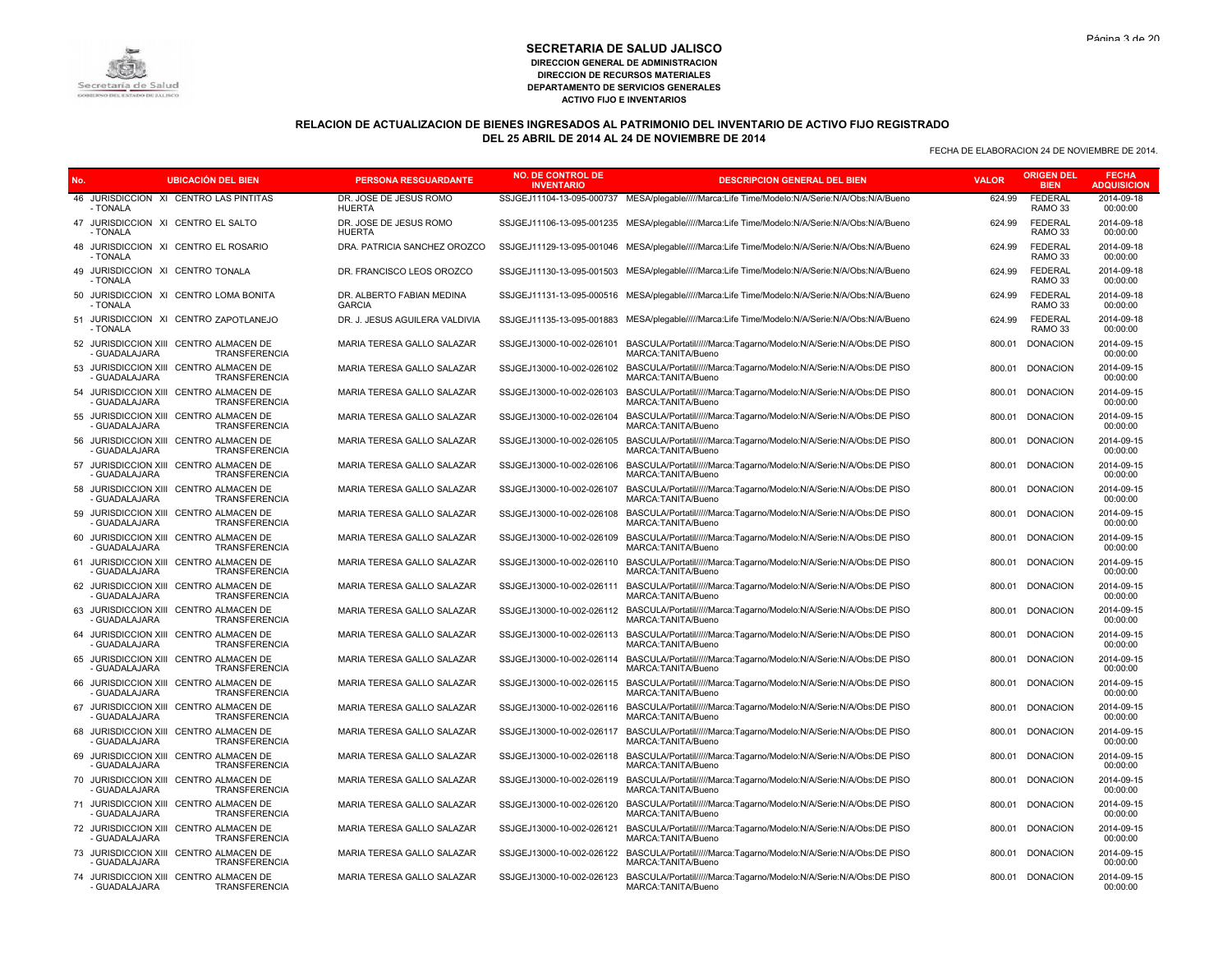

# **RELACION DE ACTUALIZACION DE BIENES INGRESADOS AL PATRIMONIO DEL INVENTARIO DE ACTIVO FIJO REGISTRADO DEL 25 ABRIL DE 2014 AL 24 DE NOVIEMBRE DE 2014**

| No. | <b>UBICACIÓN DEL BIEN</b>                                                            | <b>PERSONA RESGUARDANTE</b>                | <b>NO. DE CONTROL DE</b><br><b>INVENTARIO</b> | <b>DESCRIPCION GENERAL DEL BIEN</b>                                                            | <b>VALOR</b> | <b>ORIGEN DEL</b><br><b>BIEN</b>     | <b>FECHA</b><br><b>ADQUISICION</b> |
|-----|--------------------------------------------------------------------------------------|--------------------------------------------|-----------------------------------------------|------------------------------------------------------------------------------------------------|--------------|--------------------------------------|------------------------------------|
|     | 46 JURISDICCION XI CENTRO LAS PINTITAS<br>- TONALA                                   | DR. JOSE DE JESUS ROMO<br><b>HUERTA</b>    |                                               | SSJGEJ11104-13-095-000737 MESA/plegable/////Marca:Life Time/Modelo:N/A/Serie:N/A/Obs:N/A/Bueno | 624.99       | <b>FEDERAL</b><br>RAMO <sub>33</sub> | 2014-09-18<br>00:00:00             |
|     | 47 JURISDICCION XI CENTRO EL SALTO<br>- TONALA                                       | DR. JOSE DE JESUS ROMO<br><b>HUERTA</b>    |                                               | SSJGEJ11106-13-095-001235 MESA/plegable/////Marca:Life Time/Modelo:N/A/Serie:N/A/Obs:N/A/Bueno | 624.99       | <b>FEDERAL</b><br>RAMO <sub>33</sub> | 2014-09-18<br>00:00:00             |
|     | 48 JURISDICCION XI CENTRO EL ROSARIO<br>- TONALA                                     | DRA. PATRICIA SANCHEZ OROZCO               |                                               | SSJGEJ11129-13-095-001046 MESA/plegable/////Marca:Life Time/Modelo:N/A/Serie:N/A/Obs:N/A/Bueno | 624.99       | <b>FEDERAL</b><br>RAMO <sub>33</sub> | 2014-09-18<br>00:00:00             |
|     | 49 JURISDICCION XI CENTRO TONALA<br>- TONALA                                         | DR. FRANCISCO LEOS OROZCO                  |                                               | SSJGEJ11130-13-095-001503 MESA/plegable/////Marca:Life Time/Modelo:N/A/Serie:N/A/Obs:N/A/Bueno | 624.99       | <b>FEDERAL</b><br>RAMO <sub>33</sub> | 2014-09-18<br>00:00:00             |
|     | 50 JURISDICCION XI CENTRO LOMA BONITA<br>- TONALA                                    | DR. ALBERTO FABIAN MEDINA<br><b>GARCIA</b> |                                               | SSJGEJ11131-13-095-000516 MESA/plegable/////Marca:Life Time/Modelo:N/A/Serie:N/A/Obs:N/A/Bueno | 624.99       | <b>FEDERAL</b><br>RAMO <sub>33</sub> | 2014-09-18<br>00:00:00             |
|     | 51 JURISDICCION XI CENTRO ZAPOTLANEJO<br>- TONALA                                    | DR. J. JESUS AGUILERA VALDIVIA             |                                               | SSJGEJ11135-13-095-001883 MESA/plegable/////Marca:Life Time/Modelo:N/A/Serie:N/A/Obs:N/A/Bueno | 624.99       | <b>FEDERAL</b><br>RAMO <sub>33</sub> | 2014-09-18<br>00:00:00             |
|     | 52 JURISDICCION XIII CENTRO ALMACEN DE<br><b>GUADALAJARA</b><br>TRANSFERENCIA        | MARIA TERESA GALLO SALAZAR                 | SSJGEJ13000-10-002-026101                     | BASCULA/Portatil/////Marca:Tagarno/Modelo:N/A/Serie:N/A/Obs:DE PISO<br>MARCA:TANITA/Bueno      | 800.01       | <b>DONACION</b>                      | 2014-09-15<br>00:00:00             |
| 53  | JURISDICCION XIII CENTRO ALMACEN DE<br>- GUADALAJARA<br><b>TRANSFERENCIA</b>         | MARIA TERESA GALLO SALAZAR                 | SSJGEJ13000-10-002-026102                     | BASCULA/Portatil/////Marca:Tagarno/Modelo:N/A/Serie:N/A/Obs:DE PISO<br>MARCA: TANITA/Bueno     | 800.01       | <b>DONACION</b>                      | 2014-09-15<br>00:00:00             |
|     | 54 JURISDICCION XIII CENTRO ALMACEN DE<br><b>GUADALAJARA</b><br>TRANSFERENCIA        | MARIA TERESA GALLO SALAZAR                 | SSJGEJ13000-10-002-026103                     | BASCULA/Portatil/////Marca:Tagarno/Modelo:N/A/Serie:N/A/Obs:DE PISO<br>MARCA: TANITA/Bueno     | 800.01       | <b>DONACION</b>                      | 2014-09-15<br>00:00:00             |
| 55  | JURISDICCION XIII CENTRO ALMACEN DE<br><b>TRANSFERENCIA</b><br>- GUADALAJARA         | MARIA TERESA GALLO SALAZAR                 | SSJGEJ13000-10-002-026104                     | BASCULA/Portatil/////Marca:Tagarno/Modelo:N/A/Serie:N/A/Obs:DE PISO<br>MARCA:TANITA/Bueno      | 800.01       | <b>DONACION</b>                      | 2014-09-15<br>00:00:00             |
|     | 56 JURISDICCION XIII CENTRO ALMACEN DE<br>- GUADALAJARA<br>TRANSFERENCIA             | MARIA TERESA GALLO SALAZAR                 | SSJGEJ13000-10-002-026105                     | BASCULA/Portatil/////Marca:Tagarno/Modelo:N/A/Serie:N/A/Obs:DE PISO<br>MARCA:TANITA/Bueno      | 800.01       | <b>DONACION</b>                      | 2014-09-15<br>00:00:00             |
| 57  | JURISDICCION XIII CENTRO ALMACEN DE<br><b>TRANSFERENCIA</b><br><b>GUADALAJARA</b>    | MARIA TERESA GALLO SALAZAR                 | SSJGEJ13000-10-002-026106                     | BASCULA/Portatil/////Marca:Tagarno/Modelo:N/A/Serie:N/A/Obs:DE PISO<br>MARCA: TANITA/Bueno     |              | 800.01 DONACION                      | 2014-09-15<br>00:00:00             |
|     | 58 JURISDICCION XIII CENTRO ALMACEN DE<br>TRANSFERENCIA<br><b>GUADALAJARA</b>        | MARIA TERESA GALLO SALAZAR                 | SSJGEJ13000-10-002-026107                     | BASCULA/Portatil/////Marca:Tagarno/Modelo:N/A/Serie:N/A/Obs:DE PISO<br>MARCA: TANITA/Bueno     | 800.01       | <b>DONACION</b>                      | 2014-09-15<br>00:00:00             |
| 59  | JURISDICCION XIII CENTRO ALMACEN DE<br><b>TRANSFERENCIA</b><br>- GUADALAJARA         | MARIA TERESA GALLO SALAZAR                 | SSJGEJ13000-10-002-026108                     | BASCULA/Portatil/////Marca:Tagarno/Modelo:N/A/Serie:N/A/Obs:DE PISO<br>MARCA: TANITA/Bueno     | 800.01       | <b>DONACION</b>                      | 2014-09-15<br>00:00:00             |
|     | 60 JURISDICCION XIII CENTRO ALMACEN DE<br>TRANSFERENCIA<br>- GUADALAJARA             | MARIA TERESA GALLO SALAZAR                 | SSJGEJ13000-10-002-026109                     | BASCULA/Portatil/////Marca:Tagarno/Modelo:N/A/Serie:N/A/Obs:DE PISO<br>MARCA: TANITA/Bueno     | 800.01       | <b>DONACION</b>                      | 2014-09-15<br>00:00:00             |
| 61  | JURISDICCION XIII CENTRO ALMACEN DE<br><b>TRANSFERENCIA</b><br><b>GUADALAJARA</b>    | MARIA TERESA GALLO SALAZAR                 | SSJGEJ13000-10-002-026110                     | BASCULA/Portatil/////Marca:Tagarno/Modelo:N/A/Serie:N/A/Obs:DE PISO<br>MARCA: TANITA/Bueno     | 800.01       | <b>DONACION</b>                      | 2014-09-15<br>00:00:00             |
|     | 62 JURISDICCION XIII CENTRO ALMACEN DE<br>TRANSFERENCIA<br><b>GUADALAJARA</b>        | MARIA TERESA GALLO SALAZAR                 | SSJGEJ13000-10-002-026111                     | BASCULA/Portatil/////Marca:Tagarno/Modelo:N/A/Serie:N/A/Obs:DE PISO<br>MARCA: TANITA/Bueno     | 800.01       | <b>DONACION</b>                      | 2014-09-15<br>00:00:00             |
| 63  | JURISDICCION XIII CENTRO ALMACEN DE<br><b>GUADALAJARA</b><br><b>TRANSFERENCIA</b>    | MARIA TERESA GALLO SALAZAR                 | SSJGEJ13000-10-002-026112                     | BASCULA/Portatil/////Marca:Tagarno/Modelo:N/A/Serie:N/A/Obs:DE PISO<br>MARCA: TANITA/Bueno     | 800.01       | <b>DONACION</b>                      | 2014-09-15<br>00:00:00             |
|     | 64 JURISDICCION XIII CENTRO ALMACEN DE<br><b>GUADALAJARA</b><br><b>TRANSFERENCIA</b> | MARIA TERESA GALLO SALAZAR                 | SSJGEJ13000-10-002-026113                     | BASCULA/Portatil/////Marca:Tagarno/Modelo:N/A/Serie:N/A/Obs:DE PISO<br>MARCA:TANITA/Bueno      | 800.01       | <b>DONACION</b>                      | 2014-09-15<br>00:00:00             |
| 65  | JURISDICCION XIII CENTRO ALMACEN DE<br><b>GUADALAJARA</b><br><b>TRANSFERENCIA</b>    | MARIA TERESA GALLO SALAZAR                 | SSJGEJ13000-10-002-026114                     | BASCULA/Portatil/////Marca:Tagarno/Modelo:N/A/Serie:N/A/Obs:DE PISO<br>MARCA: TANITA/Bueno     |              | 800.01 DONACION                      | 2014-09-15<br>00:00:00             |
|     | 66 JURISDICCION XIII CENTRO ALMACEN DE<br><b>TRANSFERENCIA</b><br><b>GUADALAJARA</b> | MARIA TERESA GALLO SALAZAR                 | SSJGEJ13000-10-002-026115                     | BASCULA/Portatil/////Marca:Tagarno/Modelo:N/A/Serie:N/A/Obs:DE PISO<br>MARCA: TANITA/Bueno     | 800.01       | <b>DONACION</b>                      | 2014-09-15<br>00:00:00             |
| 67  | JURISDICCION XIII CENTRO ALMACEN DE<br><b>GUADALAJARA</b><br>TRANSFERENCIA           | MARIA TERESA GALLO SALAZAR                 | SSJGEJ13000-10-002-026116                     | BASCULA/Portatil/////Marca:Tagarno/Modelo:N/A/Serie:N/A/Obs:DE PISO<br>MARCA:TANITA/Bueno      | 800.01       | <b>DONACION</b>                      | 2014-09-15<br>00:00:00             |
|     | 68 JURISDICCION XIII CENTRO ALMACEN DE<br>- GUADALAJARA<br><b>TRANSFERENCIA</b>      | MARIA TERESA GALLO SALAZAR                 | SSJGEJ13000-10-002-026117                     | BASCULA/Portatil/////Marca:Tagarno/Modelo:N/A/Serie:N/A/Obs:DE PISO<br>MARCA: TANITA/Bueno     | 800.01       | <b>DONACION</b>                      | 2014-09-15<br>00:00:00             |
| 69  | JURISDICCION XIII CENTRO ALMACEN DE<br>- GUADALAJARA<br>TRANSFERENCIA                | MARIA TERESA GALLO SALAZAR                 | SSJGEJ13000-10-002-026118                     | BASCULA/Portatil/////Marca:Tagarno/Modelo:N/A/Serie:N/A/Obs:DE PISO<br>MARCA:TANITA/Bueno      | 800.01       | <b>DONACION</b>                      | 2014-09-15<br>00:00:00             |
|     | 70 JURISDICCION XIII CENTRO ALMACEN DE<br><b>GUADALAJARA</b><br><b>TRANSFERENCIA</b> | MARIA TERESA GALLO SALAZAR                 | SSJGEJ13000-10-002-026119                     | BASCULA/Portatil/////Marca:Tagarno/Modelo:N/A/Serie:N/A/Obs:DE PISO<br>MARCA: TANITA/Bueno     | 800.01       | <b>DONACION</b>                      | 2014-09-15<br>00:00:00             |
| 71  | JURISDICCION XIII CENTRO ALMACEN DE<br>- GUADALAJARA<br>TRANSFERENCIA                | MARIA TERESA GALLO SALAZAR                 | SSJGEJ13000-10-002-026120                     | BASCULA/Portatil/////Marca:Tagarno/Modelo:N/A/Serie:N/A/Obs:DE PISO<br>MARCA:TANITA/Bueno      | 800.01       | <b>DONACION</b>                      | 2014-09-15<br>00:00:00             |
|     | 72 JURISDICCION XIII CENTRO ALMACEN DE<br><b>GUADALAJARA</b><br>TRANSFERENCIA        | MARIA TERESA GALLO SALAZAR                 | SSJGEJ13000-10-002-026121                     | BASCULA/Portatil/////Marca:Tagarno/Modelo:N/A/Serie:N/A/Obs:DE PISO<br>MARCA: TANITA/Bueno     | 800.01       | <b>DONACION</b>                      | 2014-09-15<br>00:00:00             |
| 73  | JURISDICCION XIII CENTRO ALMACEN DE<br><b>GUADALAJARA</b><br>TRANSFERENCIA           | MARIA TERESA GALLO SALAZAR                 | SSJGEJ13000-10-002-026122                     | BASCULA/Portatil/////Marca:Tagarno/Modelo:N/A/Serie:N/A/Obs:DE PISO<br>MARCA: TANITA/Bueno     |              | 800.01 DONACION                      | 2014-09-15<br>00:00:00             |
|     | 74 JURISDICCION XIII CENTRO ALMACEN DE<br>- GUADALAJARA<br><b>TRANSFERENCIA</b>      | MARIA TERESA GALLO SALAZAR                 | SSJGEJ13000-10-002-026123                     | BASCULA/Portatil/////Marca:Tagarno/Modelo:N/A/Serie:N/A/Obs:DE PISO<br>MARCA:TANITA/Bueno      |              | 800.01 DONACION                      | 2014-09-15<br>00:00:00             |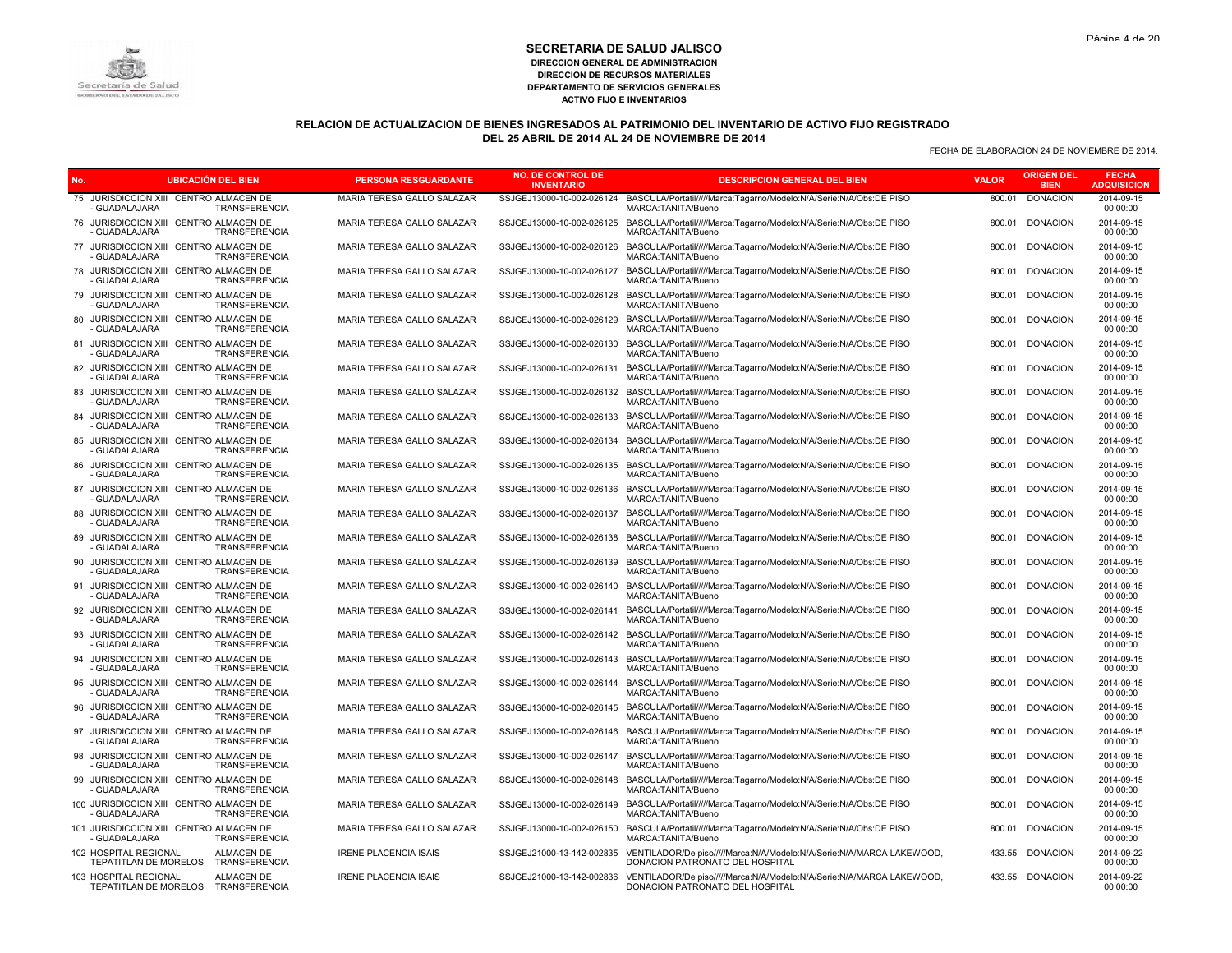# **RELACION DE ACTUALIZACION DE BIENES INGRESADOS AL PATRIMONIO DEL INVENTARIO DE ACTIVO FIJO REGISTRADO DEL 25 ABRIL DE 2014 AL 24 DE NOVIEMBRE DE 2014**

|     |                                                              | <b>UBICACION DEL BIEN</b>   | <b>PERSONA RESGUARDANTE</b>  | <b>NO. DE CONTROL DE</b><br><b>INVENTARIO</b> | <b>DESCRIPCION GENERAL DEL BIEN</b>                                                                                  | <b>VALOR</b> | <b>ORIGEN DEL</b><br><b>BIEN</b> | <b>FECHA</b><br><b>ADQUISICION</b> |
|-----|--------------------------------------------------------------|-----------------------------|------------------------------|-----------------------------------------------|----------------------------------------------------------------------------------------------------------------------|--------------|----------------------------------|------------------------------------|
|     | 75 JURISDICCION XIII CENTRO ALMACEN DE<br><b>GUADALAJARA</b> | <b>TRANSFERENCIA</b>        | MARIA TERESA GALLO SALAZAR   | SSJGEJ13000-10-002-026124                     | BASCULA/Portatil/////Marca:Tagarno/Modelo:N/A/Serie:N/A/Obs:DE PISO<br>MARCA:TANITA/Bueno                            | 800.01       | <b>DONACION</b>                  | 2014-09-15<br>00:00:00             |
| 76  | JURISDICCION XIII CENTRO ALMACEN DE<br><b>GUADALAJARA</b>    | TRANSFERENCIA               | MARIA TERESA GALLO SALAZAR   |                                               | SSJGEJ13000-10-002-026125 BASCULA/Portatil/////Marca:Tagarno/Modelo:N/A/Serie:N/A/Obs:DE PISO<br>MARCA: TANITA/Bueno | 800.01       | <b>DONACION</b>                  | 2014-09-15<br>00:00:00             |
|     | 77 JURISDICCION XIII CENTRO ALMACEN DE<br><b>GUADALAJARA</b> | <b>TRANSFERENCIA</b>        | MARIA TERESA GALLO SALAZAR   | SSJGEJ13000-10-002-026126                     | BASCULA/Portatil/////Marca:Tagarno/Modelo:N/A/Serie:N/A/Obs:DE PISO<br>MARCA:TANITA/Bueno                            | 800.01       | <b>DONACION</b>                  | 2014-09-15<br>00:00:00             |
| 78  | JURISDICCION XIII CENTRO ALMACEN DE<br><b>GUADALAJARA</b>    | TRANSFERENCIA               | MARIA TERESA GALLO SALAZAR   | SSJGEJ13000-10-002-026127                     | BASCULA/Portatil/////Marca:Tagarno/Modelo:N/A/Serie:N/A/Obs:DE PISO<br>MARCA:TANITA/Bueno                            | 800.01       | <b>DONACION</b>                  | 2014-09-15<br>00:00:00             |
|     | 79 JURISDICCION XIII CENTRO ALMACEN DE<br><b>GUADALAJARA</b> | <b>TRANSFERENCIA</b>        | MARIA TERESA GALLO SALAZAR   | SSJGEJ13000-10-002-026128                     | BASCULA/Portatil/////Marca:Tagarno/Modelo:N/A/Serie:N/A/Obs:DE PISO<br>MARCA:TANITA/Bueno                            | 800.01       | <b>DONACION</b>                  | 2014-09-15<br>00:00:00             |
| 80  | JURISDICCION XIII CENTRO ALMACEN DE<br><b>GUADALAJARA</b>    | TRANSFERENCIA               | MARIA TERESA GALLO SALAZAR   | SSJGEJ13000-10-002-026129                     | BASCULA/Portatil/////Marca:Tagarno/Modelo:N/A/Serie:N/A/Obs:DE PISO<br>MARCA: TANITA/Bueno                           | 800.01       | <b>DONACION</b>                  | 2014-09-15<br>00:00:00             |
|     | 81 JURISDICCION XIII CENTRO ALMACEN DE<br>- GUADALAJARA      | <b>TRANSFERENCIA</b>        | MARIA TERESA GALLO SALAZAR   | SSJGEJ13000-10-002-026130                     | BASCULA/Portatil/////Marca:Tagarno/Modelo:N/A/Serie:N/A/Obs:DE PISO<br>MARCA:TANITA/Bueno                            | 800.01       | <b>DONACION</b>                  | 2014-09-15<br>00:00:00             |
|     | JURISDICCION XIII CENTRO ALMACEN DE<br>- GUADALAJARA         | TRANSFERENCIA               | MARIA TERESA GALLO SALAZAR   | SSJGEJ13000-10-002-026131                     | BASCULA/Portatil/////Marca:Tagarno/Modelo:N/A/Serie:N/A/Obs:DE PISO<br>MARCA: TANITA/Bueno                           | 800.01       | <b>DONACION</b>                  | 2014-09-15<br>00:00:00             |
|     | 83 JURISDICCION XIII CENTRO ALMACEN DE<br>- GUADALAJARA      | <b>TRANSFERENCIA</b>        | MARIA TERESA GALLO SALAZAR   |                                               | SSJGEJ13000-10-002-026132 BASCULA/Portatil/////Marca:Tagarno/Modelo:N/A/Serie:N/A/Obs:DE PISO<br>MARCA:TANITA/Bueno  | 800.01       | <b>DONACION</b>                  | 2014-09-15<br>00:00:00             |
|     | 84 JURISDICCION XIII CENTRO ALMACEN DE<br><b>GUADALAJARA</b> | <b>TRANSFERENCIA</b>        | MARIA TERESA GALLO SALAZAR   | SSJGEJ13000-10-002-026133                     | BASCULA/Portatil/////Marca:Tagarno/Modelo:N/A/Serie:N/A/Obs:DE PISO<br>MARCA:TANITA/Bueno                            | 800.01       | <b>DONACION</b>                  | 2014-09-15<br>00:00:00             |
|     | 85 JURISDICCION XIII CENTRO ALMACEN DE<br>- GUADALAJARA      | <b>TRANSFERENCIA</b>        | MARIA TERESA GALLO SALAZAR   | SSJGEJ13000-10-002-026134                     | BASCULA/Portatil/////Marca:Tagarno/Modelo:N/A/Serie:N/A/Obs:DE PISO<br>MARCA:TANITA/Bueno                            | 800.01       | <b>DONACION</b>                  | 2014-09-15<br>00:00:00             |
| 86  | JURISDICCION XIII CENTRO ALMACEN DE<br><b>GUADALAJARA</b>    | <b>TRANSFERENCIA</b>        | MARIA TERESA GALLO SALAZAR   | SSJGEJ13000-10-002-026135                     | BASCULA/Portatil/////Marca:Tagarno/Modelo:N/A/Serie:N/A/Obs:DE PISO<br>MARCA:TANITA/Bueno                            | 800.01       | <b>DONACION</b>                  | 2014-09-15<br>00:00:00             |
|     | 87 JURISDICCION XIII CENTRO ALMACEN DE<br>- GUADALAJARA      | <b>TRANSFERENCIA</b>        | MARIA TERESA GALLO SALAZAR   | SSJGEJ13000-10-002-026136                     | BASCULA/Portatil/////Marca:Tagarno/Modelo:N/A/Serie:N/A/Obs:DE PISO<br>MARCA: TANITA/Bueno                           | 800.01       | <b>DONACION</b>                  | 2014-09-15<br>00:00:00             |
| 88  | JURISDICCION XIII CENTRO ALMACEN DE<br><b>GUADALAJARA</b>    | <b>TRANSFERENCIA</b>        | MARIA TERESA GALLO SALAZAR   | SSJGEJ13000-10-002-026137                     | BASCULA/Portatil/////Marca:Tagarno/Modelo:N/A/Serie:N/A/Obs:DE PISO<br>MARCA:TANITA/Bueno                            | 800.01       | <b>DONACION</b>                  | 2014-09-15<br>00:00:00             |
|     | 89 JURISDICCION XIII CENTRO ALMACEN DE<br>- GUADALAJARA      | TRANSFERENCIA               | MARIA TERESA GALLO SALAZAR   | SSJGEJ13000-10-002-026138                     | BASCULA/Portatil/////Marca:Tagarno/Modelo:N/A/Serie:N/A/Obs:DE PISO<br>MARCA:TANITA/Bueno                            | 800.01       | <b>DONACION</b>                  | 2014-09-15<br>00:00:00             |
| 90  | JURISDICCION XIII CENTRO ALMACEN DE<br><b>GUADALAJARA</b>    | TRANSFERENCIA               | MARIA TERESA GALLO SALAZAR   | SSJGEJ13000-10-002-026139                     | BASCULA/Portatil/////Marca:Tagarno/Modelo:N/A/Serie:N/A/Obs:DE PISO<br>MARCA:TANITA/Bueno                            | 800.01       | <b>DONACION</b>                  | 2014-09-15<br>00:00:00             |
|     | 91 JURISDICCION XIII CENTRO ALMACEN DE<br>- GUADALAJARA      | <b>TRANSFERENCIA</b>        | MARIA TERESA GALLO SALAZAR   | SSJGEJ13000-10-002-026140                     | BASCULA/Portatil/////Marca:Tagarno/Modelo:N/A/Serie:N/A/Obs:DE PISO<br>MARCA:TANITA/Bueno                            | 800.01       | <b>DONACION</b>                  | 2014-09-15<br>00:00:00             |
| 92  | JURISDICCION XIII CENTRO ALMACEN DE<br>- GUADALAJARA         | TRANSFERENCIA               | MARIA TERESA GALLO SALAZAR   | SSJGEJ13000-10-002-026141                     | BASCULA/Portatil/////Marca:Tagarno/Modelo:N/A/Serie:N/A/Obs:DE PISO<br>MARCA:TANITA/Bueno                            | 800.01       | <b>DONACION</b>                  | 2014-09-15<br>00:00:00             |
|     | 93 JURISDICCION XIII CENTRO ALMACEN DE<br>- GUADALAJARA      | TRANSFERENCIA               | MARIA TERESA GALLO SALAZAR   | SSJGEJ13000-10-002-026142                     | BASCULA/Portatil/////Marca:Tagarno/Modelo:N/A/Serie:N/A/Obs:DE PISO<br>MARCA: TANITA/Bueno                           | 800.01       | <b>DONACION</b>                  | 2014-09-15<br>00:00:00             |
|     | JURISDICCION XIII CENTRO ALMACEN DE<br>- GUADALAJARA         | TRANSFERENCIA               | MARIA TERESA GALLO SALAZAR   | SSJGEJ13000-10-002-026143                     | BASCULA/Portatil/////Marca:Tagarno/Modelo:N/A/Serie:N/A/Obs:DE PISO<br>MARCA:TANITA/Bueno                            | 800.01       | <b>DONACION</b>                  | 2014-09-15<br>00:00:00             |
|     | 95 JURISDICCION XIII CENTRO ALMACEN DE<br>- GUADALAJARA      | TRANSFERENCIA               | MARIA TERESA GALLO SALAZAR   | SSJGEJ13000-10-002-026144                     | BASCULA/Portatil/////Marca:Tagarno/Modelo:N/A/Serie:N/A/Obs:DE PISO<br>MARCA: TANITA/Bueno                           | 800.01       | <b>DONACION</b>                  | 2014-09-15<br>00:00:00             |
| 96. | JURISDICCION XIII CENTRO ALMACEN DE<br>- GUADALAJARA         | TRANSFERENCIA               | MARIA TERESA GALLO SALAZAR   | SSJGEJ13000-10-002-026145                     | BASCULA/Portatil/////Marca:Tagarno/Modelo:N/A/Serie:N/A/Obs:DE PISO<br>MARCA:TANITA/Bueno                            | 800.01       | <b>DONACION</b>                  | 2014-09-15<br>00:00:00             |
|     | 97 JURISDICCION XIII CENTRO ALMACEN DE<br>- GUADALAJARA      | TRANSFERENCIA               | MARIA TERESA GALLO SALAZAR   | SSJGEJ13000-10-002-026146                     | BASCULA/Portatil/////Marca:Tagarno/Modelo:N/A/Serie:N/A/Obs:DE PISO<br>MARCA:TANITA/Bueno                            | 800.01       | <b>DONACION</b>                  | 2014-09-15<br>00:00:00             |
| 98. | JURISDICCION XIII CENTRO ALMACEN DE<br>GUADALAJARA           | TRANSFERENCIA               | MARIA TERESA GALLO SALAZAR   | SSJGEJ13000-10-002-026147                     | BASCULA/Portatil/////Marca:Tagarno/Modelo:N/A/Serie:N/A/Obs:DE PISO<br>MARCA:TANITA/Bueno                            | 800.01       | <b>DONACION</b>                  | 2014-09-15<br>00:00:00             |
|     | 99 JURISDICCION XIII CENTRO ALMACEN DE<br><b>GUADALAJARA</b> | TRANSFERENCIA               | MARIA TERESA GALLO SALAZAR   |                                               | SSJGEJ13000-10-002-026148 BASCULA/Portatil/////Marca:Tagarno/Modelo:N/A/Serie:N/A/Obs:DE PISO<br>MARCA:TANITA/Bueno  | 800.01       | <b>DONACION</b>                  | 2014-09-15<br>00:00:00             |
|     | 100 JURISDICCION XIII CENTRO ALMACEN DE<br>- GUADALAJARA     | TRANSFERENCIA               | MARIA TERESA GALLO SALAZAR   | SSJGEJ13000-10-002-026149                     | BASCULA/Portatil/////Marca:Tagarno/Modelo:N/A/Serie:N/A/Obs:DE PISO<br>MARCA:TANITA/Bueno                            | 800.01       | <b>DONACION</b>                  | 2014-09-15<br>00:00:00             |
|     | 101 JURISDICCION XIII CENTRO ALMACEN DE<br>- GUADALAJARA     | <b>TRANSFERENCIA</b>        | MARIA TERESA GALLO SALAZAR   | SSJGEJ13000-10-002-026150                     | BASCULA/Portatil/////Marca:Tagarno/Modelo:N/A/Serie:N/A/Obs:DE PISO<br>MARCA:TANITA/Bueno                            | 800.01       | <b>DONACION</b>                  | 2014-09-15<br>00:00:00             |
|     | 102 HOSPITAL REGIONAL<br>TEPATITLAN DE MORELOS               | ALMACEN DE<br>TRANSFERENCIA | <b>IRENE PLACENCIA ISAIS</b> | SSJGEJ21000-13-142-002835                     | VENTILADOR/De piso/////Marca:N/A/Modelo:N/A/Serie:N/A/MARCA LAKEWOOD,<br>DONACION PATRONATO DEL HOSPITAL             |              | 433.55 DONACION                  | 2014-09-22<br>00:00:00             |
|     | 103 HOSPITAL REGIONAL<br>TEPATITLAN DE MORELOS               | ALMACEN DE<br>TRANSFERENCIA | <b>IRENE PLACENCIA ISAIS</b> | SSJGEJ21000-13-142-002836                     | VENTILADOR/De piso/////Marca:N/A/Modelo:N/A/Serie:N/A/MARCA LAKEWOOD,<br>DONACION PATRONATO DEL HOSPITAL             |              | 433.55 DONACION                  | 2014-09-22<br>00:00:00             |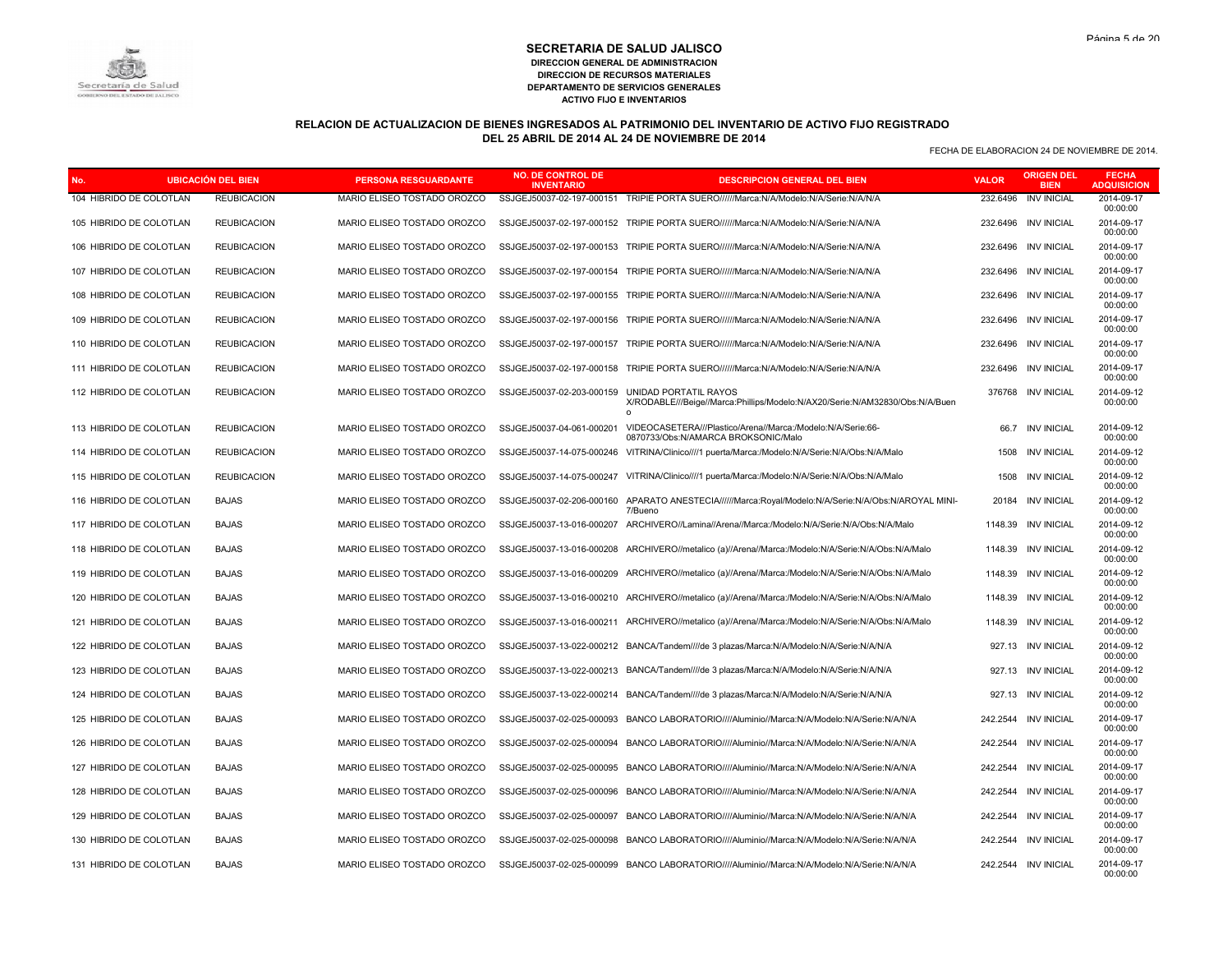# **RELACION DE ACTUALIZACION DE BIENES INGRESADOS AL PATRIMONIO DEL INVENTARIO DE ACTIVO FIJO REGISTRADO DEL 25 ABRIL DE 2014 AL 24 DE NOVIEMBRE DE 2014**

| No. |                         | <b>UBICACIÓN DEL BIEN</b> | <b>PERSONA RESGUARDANTE</b> | <b>NO. DE CONTROL DE</b><br><b>INVENTARIO</b> | <b>DESCRIPCION GENERAL DEL BIEN</b>                                                                               | <b>VALOR</b> | <b>ORIGEN DEL</b><br><b>BIEN</b> | <b>FECHA</b><br><b>ADQUISICION</b> |
|-----|-------------------------|---------------------------|-----------------------------|-----------------------------------------------|-------------------------------------------------------------------------------------------------------------------|--------------|----------------------------------|------------------------------------|
|     | 104 HIBRIDO DE COLOTLAN | <b>REUBICACION</b>        | MARIO ELISEO TOSTADO OROZCO | SSJGEJ50037-02-197-000151                     | TRIPIE PORTA SUERO//////Marca:N/A/Modelo:N/A/Serie:N/A/N/A                                                        | 232.6496     | <b>INV INICIAL</b>               | 2014-09-17<br>00:00:00             |
|     | 105 HIBRIDO DE COLOTLAN | <b>REUBICACION</b>        | MARIO ELISEO TOSTADO OROZCO |                                               | SSJGEJ50037-02-197-000152 TRIPIE PORTA SUERO//////Marca:N/A/Modelo:N/A/Serie:N/A/N/A                              | 232.6496     | <b>INV INICIAL</b>               | 2014-09-17<br>00:00:00             |
|     | 106 HIBRIDO DE COLOTLAN | <b>REUBICACION</b>        | MARIO ELISEO TOSTADO OROZCO | SSJGEJ50037-02-197-000153                     | TRIPIE PORTA SUERO//////Marca:N/A/Modelo:N/A/Serie:N/A/N/A                                                        | 232.6496     | <b>INV INICIAL</b>               | 2014-09-17<br>00:00:00             |
|     | 107 HIBRIDO DE COLOTLAN | <b>REUBICACION</b>        | MARIO ELISEO TOSTADO OROZCO | SSJGEJ50037-02-197-000154                     | TRIPIE PORTA SUERO//////Marca:N/A/Modelo:N/A/Serie:N/A/N/A                                                        | 232.6496     | <b>INV INICIAL</b>               | 2014-09-17<br>00:00:00             |
|     | 108 HIBRIDO DE COLOTLAN | <b>REUBICACION</b>        | MARIO ELISEO TOSTADO OROZCO | SSJGEJ50037-02-197-000155                     | TRIPIE PORTA SUERO//////Marca:N/A/Modelo:N/A/Serie:N/A/N/A                                                        | 232.6496     | <b>INV INICIAL</b>               | 2014-09-17<br>00:00:00             |
|     | 109 HIBRIDO DE COLOTLAN | <b>REUBICACION</b>        | MARIO ELISEO TOSTADO OROZCO | SSJGEJ50037-02-197-000156                     | TRIPIE PORTA SUERO//////Marca:N/A/Modelo:N/A/Serie:N/A/N/A                                                        | 232.6496     | <b>INV INICIAL</b>               | 2014-09-17<br>00:00:00             |
|     | 110 HIBRIDO DE COLOTLAN | <b>REUBICACION</b>        | MARIO ELISEO TOSTADO OROZCO | SSJGEJ50037-02-197-000157                     | TRIPIE PORTA SUERO//////Marca:N/A/Modelo:N/A/Serie:N/A/N/A                                                        | 232.6496     | <b>INV INICIAL</b>               | 2014-09-17<br>00:00:00             |
|     | 111 HIBRIDO DE COLOTLAN | <b>REUBICACION</b>        | MARIO ELISEO TOSTADO OROZCO | SSJGEJ50037-02-197-000158                     | TRIPIE PORTA SUERO//////Marca:N/A/Modelo:N/A/Serie:N/A/N/A                                                        | 232.6496     | <b>INV INICIAL</b>               | 2014-09-17<br>00:00:00             |
|     | 112 HIBRIDO DE COLOTLAN | <b>REUBICACION</b>        | MARIO ELISEO TOSTADO OROZCO | SSJGEJ50037-02-203-000159                     | UNIDAD PORTATIL RAYOS<br>X/RODABLE///Beige//Marca:Phillips/Modelo:N/AX20/Serie:N/AM32830/Obs:N/A/Buen<br>$\Omega$ | 376768       | INV INICIAL                      | 2014-09-12<br>00:00:00             |
|     | 113 HIBRIDO DE COLOTLAN | <b>REUBICACION</b>        | MARIO ELISEO TOSTADO OROZCO | SSJGEJ50037-04-061-000201                     | VIDEOCASETERA///Plastico/Arena//Marca:/Modelo:N/A/Serie:66-<br>0870733/Obs:N/AMARCA BROKSONIC/Malo                |              | 66.7 INV INICIAL                 | 2014-09-12<br>00:00:00             |
|     | 114 HIBRIDO DE COLOTLAN | <b>REUBICACION</b>        | MARIO ELISEO TOSTADO OROZCO | SSJGEJ50037-14-075-000246                     | VITRINA/Clinico////1 puerta/Marca:/Modelo:N/A/Serie:N/A/Obs:N/A/Malo                                              | 1508         | <b>INV INICIAL</b>               | 2014-09-12<br>00:00:00             |
|     | 115 HIBRIDO DE COLOTLAN | <b>REUBICACION</b>        | MARIO ELISEO TOSTADO OROZCO | SSJGEJ50037-14-075-000247                     | VITRINA/Clinico////1 puerta/Marca:/Modelo:N/A/Serie:N/A/Obs:N/A/Malo                                              | 1508         | <b>INV INICIAL</b>               | 2014-09-12<br>00:00:00             |
|     | 116 HIBRIDO DE COLOTLAN | <b>BAJAS</b>              | MARIO ELISEO TOSTADO OROZCO | SSJGEJ50037-02-206-000160                     | APARATO ANESTECIA//////Marca:Royal/Modelo:N/A/Serie:N/A/Obs:N/AROYAL MINI-<br>7/Bueno                             | 20184        | <b>INV INICIAL</b>               | 2014-09-12<br>00:00:00             |
|     | 117 HIBRIDO DE COLOTLAN | <b>BAJAS</b>              | MARIO ELISEO TOSTADO OROZCO | SSJGEJ50037-13-016-000207                     | ARCHIVERO//Lamina//Arena//Marca:/Modelo:N/A/Serie:N/A/Obs:N/A/Malo                                                | 1148.39      | <b>INV INICIAL</b>               | 2014-09-12<br>00:00:00             |
|     | 118 HIBRIDO DE COLOTLAN | <b>BAJAS</b>              | MARIO ELISEO TOSTADO OROZCO | SSJGEJ50037-13-016-000208                     | ARCHIVERO//metalico (a)//Arena//Marca:/Modelo:N/A/Serie:N/A/Obs:N/A/Malo                                          | 1148.39      | <b>INV INICIAL</b>               | 2014-09-12<br>00:00:00             |
|     | 119 HIBRIDO DE COLOTLAN | <b>BAJAS</b>              | MARIO ELISEO TOSTADO OROZCO | SSJGEJ50037-13-016-000209                     | ARCHIVERO//metalico (a)//Arena//Marca:/Modelo:N/A/Serie:N/A/Obs:N/A/Malo                                          | 1148.39      | <b>INV INICIAL</b>               | 2014-09-12<br>00:00:00             |
|     | 120 HIBRIDO DE COLOTLAN | <b>BAJAS</b>              | MARIO ELISEO TOSTADO OROZCO | SSJGEJ50037-13-016-000210                     | ARCHIVERO//metalico (a)//Arena//Marca:/Modelo:N/A/Serie:N/A/Obs:N/A/Malo                                          | 1148.39      | <b>INV INICIAL</b>               | 2014-09-12<br>00:00:00             |
|     | 121 HIBRIDO DE COLOTLAN | <b>BAJAS</b>              | MARIO ELISEO TOSTADO OROZCO | SSJGEJ50037-13-016-000211                     | ARCHIVERO//metalico (a)//Arena//Marca:/Modelo:N/A/Serie:N/A/Obs:N/A/Malo                                          | 1148.39      | <b>INV INICIAL</b>               | 2014-09-12<br>00:00:00             |
|     | 122 HIBRIDO DE COLOTLAN | <b>BAJAS</b>              | MARIO ELISEO TOSTADO OROZCO |                                               | SSJGEJ50037-13-022-000212 BANCA/Tandem////de 3 plazas/Marca:N/A/Modelo:N/A/Serie:N/A/N/A                          | 927.13       | <b>INV INICIAL</b>               | 2014-09-12<br>00:00:00             |
|     | 123 HIBRIDO DE COLOTLAN | <b>BAJAS</b>              | MARIO ELISEO TOSTADO OROZCO | SSJGEJ50037-13-022-000213                     | BANCA/Tandem////de 3 plazas/Marca:N/A/Modelo:N/A/Serie:N/A/N/A                                                    | 927.13       | <b>INV INICIAL</b>               | 2014-09-12<br>00:00:00             |
|     | 124 HIBRIDO DE COLOTLAN | <b>BAJAS</b>              | MARIO ELISEO TOSTADO OROZCO |                                               | SSJGEJ50037-13-022-000214 BANCA/Tandem////de 3 plazas/Marca:N/A/Modelo:N/A/Serie:N/A/N/A                          |              | 927.13 INV INICIAL               | 2014-09-12<br>00:00:00             |
|     | 125 HIBRIDO DE COLOTLAN | <b>BAJAS</b>              | MARIO ELISEO TOSTADO OROZCO | SSJGEJ50037-02-025-000093                     | BANCO LABORATORIO////Aluminio//Marca:N/A/Modelo:N/A/Serie:N/A/N/A                                                 | 242.2544     | <b>INV INICIAL</b>               | 2014-09-17<br>00:00:00             |
|     | 126 HIBRIDO DE COLOTLAN | <b>BAJAS</b>              | MARIO ELISEO TOSTADO OROZCO | SSJGEJ50037-02-025-000094                     | BANCO LABORATORIO////Aluminio//Marca:N/A/Modelo:N/A/Serie:N/A/N/A                                                 | 242.2544     | <b>INV INICIAL</b>               | 2014-09-17<br>00:00:00             |
|     | 127 HIBRIDO DE COLOTLAN | <b>BAJAS</b>              | MARIO ELISEO TOSTADO OROZCO | SSJGEJ50037-02-025-000095                     | BANCO LABORATORIO////Aluminio//Marca:N/A/Modelo:N/A/Serie:N/A/N/A                                                 | 242.2544     | <b>INV INICIAL</b>               | 2014-09-17<br>00:00:00             |
|     | 128 HIBRIDO DE COLOTLAN | <b>BAJAS</b>              | MARIO ELISEO TOSTADO OROZCO | SSJGEJ50037-02-025-000096                     | BANCO LABORATORIO////Aluminio//Marca:N/A/Modelo:N/A/Serie:N/A/N/A                                                 | 242.2544     | <b>INV INICIAL</b>               | 2014-09-17<br>00:00:00             |
|     | 129 HIBRIDO DE COLOTLAN | <b>BAJAS</b>              | MARIO ELISEO TOSTADO OROZCO | SSJGEJ50037-02-025-000097                     | BANCO LABORATORIO/////Aluminio//Marca:N/A/Modelo:N/A/Serie:N/A/N/A                                                | 242.2544     | <b>INV INICIAL</b>               | 2014-09-17<br>00:00:00             |
|     | 130 HIBRIDO DE COLOTLAN | <b>BAJAS</b>              | MARIO ELISEO TOSTADO OROZCO | SSJGEJ50037-02-025-000098                     | BANCO LABORATORIO////Aluminio//Marca:N/A/Modelo:N/A/Serie:N/A/N/A                                                 | 242.2544     | <b>INV INICIAL</b>               | 2014-09-17<br>00:00:00             |
|     | 131 HIBRIDO DE COLOTLAN | <b>BAJAS</b>              | MARIO ELISEO TOSTADO OROZCO |                                               | SSJGEJ50037-02-025-000099 BANCO LABORATORIO////Aluminio//Marca:N/A/Modelo:N/A/Serie:N/A/N/A                       |              | 242.2544 INV INICIAL             | 2014-09-17<br>00:00:00             |

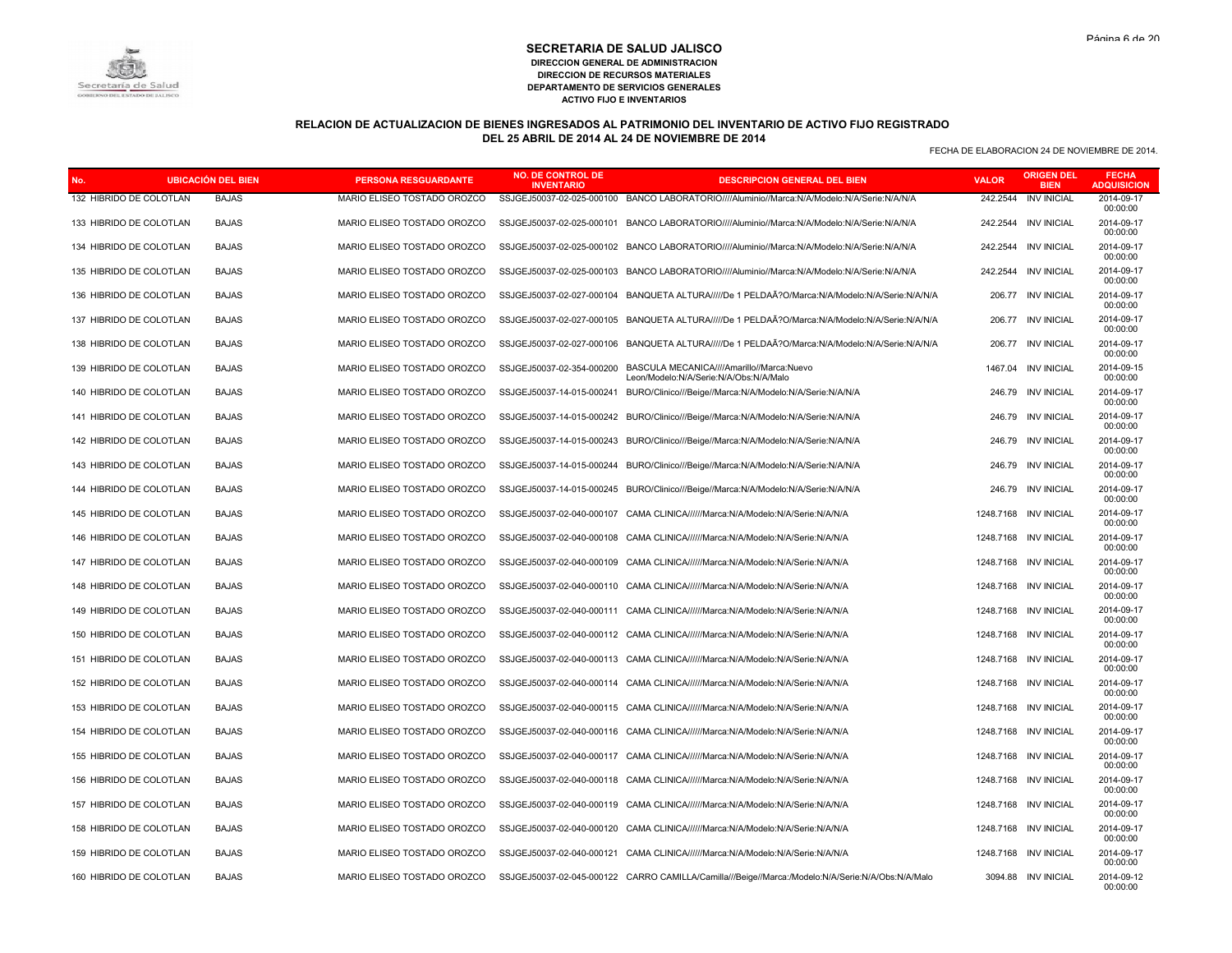# **RELACION DE ACTUALIZACION DE BIENES INGRESADOS AL PATRIMONIO DEL INVENTARIO DE ACTIVO FIJO REGISTRADO DEL 25 ABRIL DE 2014 AL 24 DE NOVIEMBRE DE 2014**

| No. |                         | <b>UBICACIÓN DEL BIEN</b> | <b>PERSONA RESGUARDANTE</b> | <b>NO. DE CONTROL DE</b><br><b>INVENTARIO</b> | <b>DESCRIPCION GENERAL DEL BIEN</b>                                                                           | <b>VALOR</b> | <b>ORIGEN DEL</b><br><b>BIEN</b> | <b>FECHA</b><br><b>ADQUISICION</b> |
|-----|-------------------------|---------------------------|-----------------------------|-----------------------------------------------|---------------------------------------------------------------------------------------------------------------|--------------|----------------------------------|------------------------------------|
|     | 132 HIBRIDO DE COLOTLAN | <b>BAJAS</b>              | MARIO ELISEO TOSTADO OROZCO |                                               | SSJGEJ50037-02-025-000100 BANCO LABORATORIO////Aluminio//Marca:N/A/Modelo:N/A/Serie:N/A/N/A                   | 242.2544     | <b>INV INICIAL</b>               | 2014-09-17<br>00:00:00             |
|     | 133 HIBRIDO DE COLOTLAN | <b>BAJAS</b>              | MARIO ELISEO TOSTADO OROZCO |                                               | SSJGEJ50037-02-025-000101 BANCO LABORATORIO////Aluminio//Marca:N/A/Modelo:N/A/Serie:N/A/N/A                   |              | 242.2544 INV INICIAL             | 2014-09-17<br>00:00:00             |
|     | 134 HIBRIDO DE COLOTLAN | <b>BAJAS</b>              | MARIO ELISEO TOSTADO OROZCO | SSJGEJ50037-02-025-000102                     | BANCO LABORATORIO/////Aluminio//Marca:N/A/Modelo:N/A/Serie:N/A/N/A                                            | 242.2544     | <b>INV INICIAL</b>               | 2014-09-17<br>00:00:00             |
|     | 135 HIBRIDO DE COLOTLAN | <b>BAJAS</b>              | MARIO ELISEO TOSTADO OROZCO | SSJGEJ50037-02-025-000103                     | BANCO LABORATORIO////Aluminio//Marca:N/A/Modelo:N/A/Serie:N/A/N/A                                             |              | 242.2544 INV INICIAL             | 2014-09-17<br>00:00:00             |
|     | 136 HIBRIDO DE COLOTLAN | <b>BAJAS</b>              | MARIO ELISEO TOSTADO OROZCO | SSJGEJ50037-02-027-000104                     | BANQUETA ALTURA/////De 1 PELDAÃ?O/Marca:N/A/Modelo:N/A/Serie:N/A/N/A                                          | 206.77       | <b>INV INICIAL</b>               | 2014-09-17<br>00:00:00             |
|     | 137 HIBRIDO DE COLOTLAN | <b>BAJAS</b>              | MARIO ELISEO TOSTADO OROZCO |                                               | SSJGEJ50037-02-027-000105 BANQUETA ALTURA/////De 1 PELDAÃ?O/Marca:N/A/Modelo:N/A/Serie:N/A/N/A                |              | 206.77 INV INICIAL               | 2014-09-17<br>00:00:00             |
|     | 138 HIBRIDO DE COLOTLAN | <b>BAJAS</b>              | MARIO ELISEO TOSTADO OROZCO | SSJGEJ50037-02-027-000106                     | BANQUETA ALTURA/////De 1 PELDAÃ?O/Marca:N/A/Modelo:N/A/Serie:N/A/N/A                                          | 206.77       | <b>INV INICIAL</b>               | 2014-09-17<br>00:00:00             |
|     | 139 HIBRIDO DE COLOTLAN | <b>BAJAS</b>              | MARIO ELISEO TOSTADO OROZCO |                                               | SSJGEJ50037-02-354-000200 BASCULA MECANICA////Amarillo//Marca:Nuevo<br>Leon/Modelo:N/A/Serie:N/A/Obs:N/A/Malo | 1467.04      | <b>INV INICIAL</b>               | 2014-09-15<br>00:00:00             |
|     | 140 HIBRIDO DE COLOTLAN | <b>BAJAS</b>              | MARIO ELISEO TOSTADO OROZCO |                                               | SSJGEJ50037-14-015-000241 BURO/Clinico///Beige//Marca:N/A/Modelo:N/A/Serie:N/A/N/A                            | 246.79       | <b>INV INICIAL</b>               | 2014-09-17<br>00:00:00             |
|     | 141 HIBRIDO DE COLOTLAN | <b>BAJAS</b>              | MARIO ELISEO TOSTADO OROZCO |                                               | SSJGEJ50037-14-015-000242 BURO/Clinico///Beige//Marca:N/A/Modelo:N/A/Serie:N/A/N/A                            |              | 246.79 INV INICIAL               | 2014-09-17<br>00:00:00             |
|     | 142 HIBRIDO DE COLOTLAN | <b>BAJAS</b>              | MARIO ELISEO TOSTADO OROZCO | SSJGEJ50037-14-015-000243                     | BURO/Clinico///Beige//Marca:N/A/Modelo:N/A/Serie:N/A/N/A                                                      | 246.79       | <b>INV INICIAL</b>               | 2014-09-17<br>00:00:00             |
|     | 143 HIBRIDO DE COLOTLAN | <b>BAJAS</b>              | MARIO ELISEO TOSTADO OROZCO | SSJGEJ50037-14-015-000244                     | BURO/Clinico///Beige//Marca:N/A/Modelo:N/A/Serie:N/A/N/A                                                      | 246.79       | <b>INV INICIAL</b>               | 2014-09-17<br>00:00:00             |
|     | 144 HIBRIDO DE COLOTLAN | <b>BAJAS</b>              | MARIO ELISEO TOSTADO OROZCO | SSJGEJ50037-14-015-000245                     | BURO/Clinico///Beige//Marca:N/A/Modelo:N/A/Serie:N/A/N/A                                                      | 246.79       | <b>INV INICIAL</b>               | 2014-09-17<br>00:00:00             |
|     | 145 HIBRIDO DE COLOTLAN | <b>BAJAS</b>              | MARIO ELISEO TOSTADO OROZCO | SSJGEJ50037-02-040-000107                     | CAMA CLINICA//////Marca:N/A/Modelo:N/A/Serie:N/A/N/A                                                          | 1248.7168    | <b>INV INICIAL</b>               | 2014-09-17<br>00:00:00             |
|     | 146 HIBRIDO DE COLOTLAN | <b>BAJAS</b>              | MARIO ELISEO TOSTADO OROZCO | SSJGEJ50037-02-040-000108                     | CAMA CLINICA//////Marca:N/A/Modelo:N/A/Serie:N/A/N/A                                                          | 1248.7168    | <b>INV INICIAL</b>               | 2014-09-17<br>00:00:00             |
|     | 147 HIBRIDO DE COLOTLAN | <b>BAJAS</b>              | MARIO ELISEO TOSTADO OROZCO | SSJGEJ50037-02-040-000109                     | CAMA CLINICA//////Marca:N/A/Modelo:N/A/Serie:N/A/N/A                                                          | 1248.7168    | <b>INV INICIAL</b>               | 2014-09-17<br>00:00:00             |
|     | 148 HIBRIDO DE COLOTLAN | <b>BAJAS</b>              | MARIO ELISEO TOSTADO OROZCO | SSJGEJ50037-02-040-000110                     | CAMA CLINICA//////Marca:N/A/Modelo:N/A/Serie:N/A/N/A                                                          |              | 1248.7168 INV INICIAL            | 2014-09-17<br>00:00:00             |
|     | 149 HIBRIDO DE COLOTLAN | <b>BAJAS</b>              | MARIO ELISEO TOSTADO OROZCO |                                               | SSJGEJ50037-02-040-000111 CAMA CLINICA//////Marca:N/A/Modelo:N/A/Serie:N/A/N/A                                | 1248.7168    | <b>INV INICIAL</b>               | 2014-09-17<br>00:00:00             |
|     | 150 HIBRIDO DE COLOTLAN | <b>BAJAS</b>              | MARIO ELISEO TOSTADO OROZCO |                                               | SSJGEJ50037-02-040-000112 CAMA CLINICA//////Marca:N/A/Modelo:N/A/Serie:N/A/N/A                                | 1248.7168    | <b>INV INICIAL</b>               | 2014-09-17<br>00:00:00             |
|     | 151 HIBRIDO DE COLOTLAN | <b>BAJAS</b>              | MARIO ELISEO TOSTADO OROZCO | SSJGEJ50037-02-040-000113                     | CAMA CLINICA//////Marca:N/A/Modelo:N/A/Serie:N/A/N/A                                                          | 1248.7168    | <b>INV INICIAL</b>               | 2014-09-17<br>00:00:00             |
|     | 152 HIBRIDO DE COLOTLAN | <b>BAJAS</b>              | MARIO ELISEO TOSTADO OROZCO |                                               | SSJGEJ50037-02-040-000114 CAMA CLINICA//////Marca:N/A/Modelo:N/A/Serie:N/A/N/A                                |              | 1248.7168 INV INICIAL            | 2014-09-17<br>00:00:00             |
|     | 153 HIBRIDO DE COLOTLAN | <b>BAJAS</b>              | MARIO ELISEO TOSTADO OROZCO | SSJGEJ50037-02-040-000115                     | CAMA CLINICA//////Marca:N/A/Modelo:N/A/Serie:N/A/N/A                                                          | 1248.7168    | <b>INV INICIAL</b>               | 2014-09-17<br>00:00:00             |
|     | 154 HIBRIDO DE COLOTLAN | <b>BAJAS</b>              | MARIO ELISEO TOSTADO OROZCO |                                               | SSJGEJ50037-02-040-000116 CAMA CLINICA//////Marca:N/A/Modelo:N/A/Serie:N/A/N/A                                |              | 1248.7168 INV INICIAL            | 2014-09-17<br>00:00:00             |
|     | 155 HIBRIDO DE COLOTLAN | <b>BAJAS</b>              | MARIO ELISEO TOSTADO OROZCO | SSJGEJ50037-02-040-000117                     | CAMA CLINICA//////Marca:N/A/Modelo:N/A/Serie:N/A/N/A                                                          | 1248.7168    | <b>INV INICIAL</b>               | 2014-09-17<br>00:00:00             |
|     | 156 HIBRIDO DE COLOTLAN | <b>BAJAS</b>              | MARIO ELISEO TOSTADO OROZCO |                                               | SSJGEJ50037-02-040-000118 CAMA CLINICA//////Marca:N/A/Modelo:N/A/Serie:N/A/N/A                                |              | 1248.7168 INV INICIAL            | 2014-09-17<br>00:00:00             |
|     | 157 HIBRIDO DE COLOTLAN | <b>BAJAS</b>              | MARIO ELISEO TOSTADO OROZCO | SSJGEJ50037-02-040-000119                     | CAMA CLINICA//////Marca:N/A/Modelo:N/A/Serie:N/A/N/A                                                          | 1248.7168    | <b>INV INICIAL</b>               | 2014-09-17<br>00:00:00             |
|     | 158 HIBRIDO DE COLOTLAN | <b>BAJAS</b>              | MARIO ELISEO TOSTADO OROZCO | SSJGEJ50037-02-040-000120                     | CAMA CLINICA//////Marca:N/A/Modelo:N/A/Serie:N/A/N/A                                                          | 1248.7168    | <b>INV INICIAL</b>               | 2014-09-17<br>00:00:00             |
|     | 159 HIBRIDO DE COLOTLAN | <b>BAJAS</b>              | MARIO ELISEO TOSTADO OROZCO | SSJGEJ50037-02-040-000121                     | CAMA CLINICA//////Marca:N/A/Modelo:N/A/Serie:N/A/N/A                                                          | 1248.7168    | <b>INV INICIAL</b>               | 2014-09-17<br>00:00:00             |
|     | 160 HIBRIDO DE COLOTLAN | <b>BAJAS</b>              | MARIO ELISEO TOSTADO OROZCO |                                               | SSJGEJ50037-02-045-000122 CARRO CAMILLA/Camilla///Beige//Marca:/Modelo:N/A/Serie:N/A/Obs:N/A/Malo             |              | 3094.88 INV INICIAL              | 2014-09-12<br>00:00:00             |

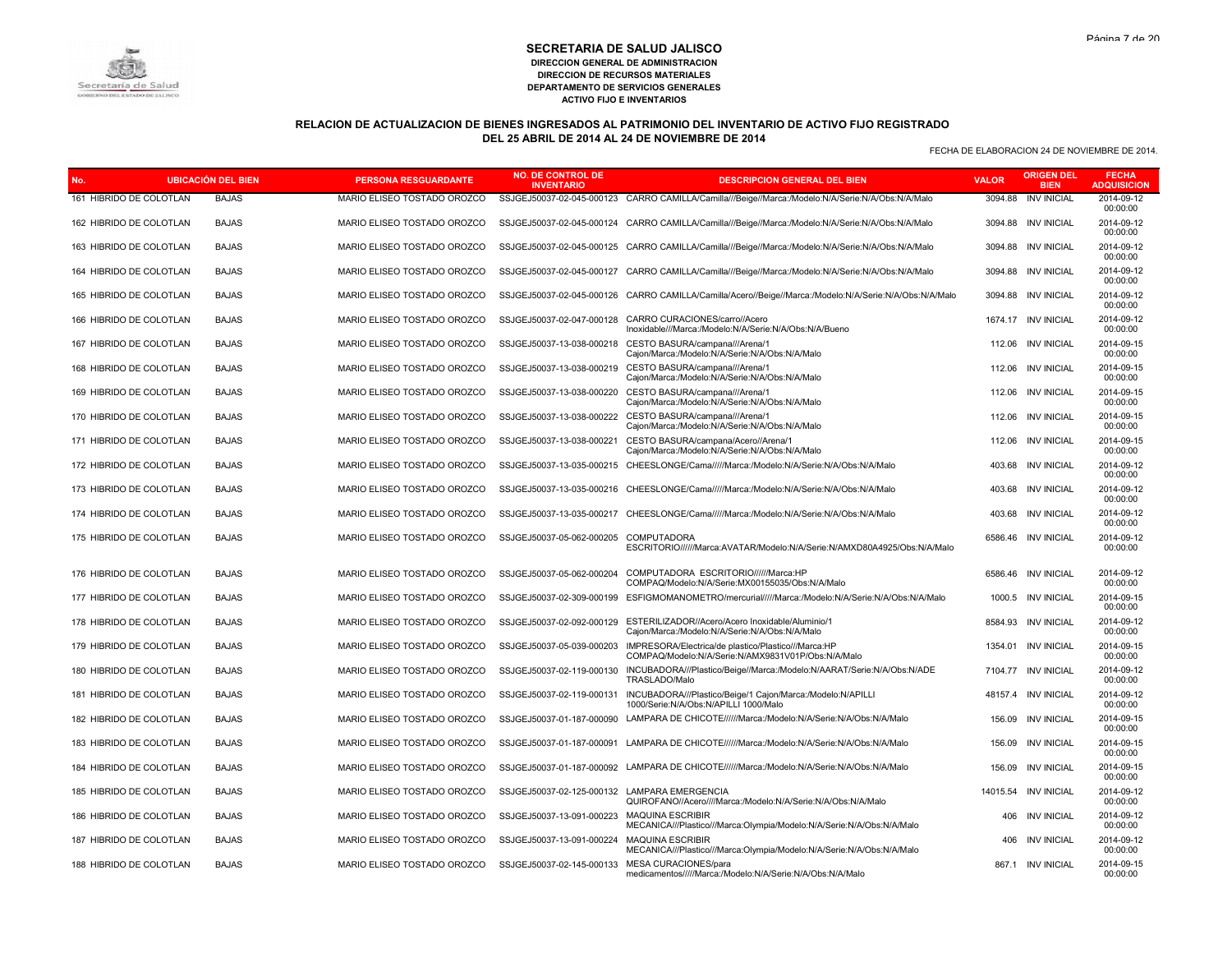# **RELACION DE ACTUALIZACION DE BIENES INGRESADOS AL PATRIMONIO DEL INVENTARIO DE ACTIVO FIJO REGISTRADO DEL 25 ABRIL DE 2014 AL 24 DE NOVIEMBRE DE 2014**

| No                      | <b>UBICACION DEL BIEN</b> | <b>PERSONA RESGUARDANTE</b> | NO. DE CONTROL DE<br><b>INVENTARIO</b>       | <b>DESCRIPCION GENERAL DEL BIEN</b>                                                                       | <b>VALOR</b> | <b>BIEN</b>          | <b>FECHA</b><br><b>ADQUISICION</b> |
|-------------------------|---------------------------|-----------------------------|----------------------------------------------|-----------------------------------------------------------------------------------------------------------|--------------|----------------------|------------------------------------|
| 161 HIBRIDO DE COLOTLAN | <b>BAJAS</b>              | MARIO ELISEO TOSTADO OROZCO | SSJGEJ50037-02-045-000123                    | CARRO CAMILLA/Camilla///Beige//Marca:/Modelo:N/A/Serie:N/A/Obs:N/A/Malo                                   | 3094.88      | <b>INV INICIAL</b>   | 2014-09-12<br>00:00:00             |
| 162 HIBRIDO DE COLOTLAN | <b>BAJAS</b>              | MARIO ELISEO TOSTADO OROZCO |                                              | SSJGEJ50037-02-045-000124 CARRO CAMILLA/Camilla///Beige//Marca:/Modelo:N/A/Serie:N/A/Obs:N/A/Malo         |              | 3094.88 INV INICIAL  | 2014-09-12<br>00:00:00             |
| 163 HIBRIDO DE COLOTLAN | <b>BAJAS</b>              | MARIO ELISEO TOSTADO OROZCO | SSJGEJ50037-02-045-000125                    | CARRO CAMILLA/Camilla///Beige//Marca:/Modelo:N/A/Serie:N/A/Obs:N/A/Malo                                   |              | 3094.88 INV INICIAL  | 2014-09-12<br>00:00:00             |
| 164 HIBRIDO DE COLOTLAN | <b>BAJAS</b>              | MARIO ELISEO TOSTADO OROZCO | SSJGEJ50037-02-045-000127                    | CARRO CAMILLA/Camilla///Beige//Marca:/Modelo:N/A/Serie:N/A/Obs:N/A/Malo                                   |              | 3094.88 INV INICIAL  | 2014-09-12<br>00:00:00             |
| 165 HIBRIDO DE COLOTLAN | <b>BAJAS</b>              | MARIO ELISEO TOSTADO OROZCO | SSJGEJ50037-02-045-000126                    | CARRO CAMILLA/Camilla/Acero//Beige//Marca:/Modelo:N/A/Serie:N/A/Obs:N/A/Malo                              |              | 3094.88 INV INICIAL  | 2014-09-12<br>00:00:00             |
| 166 HIBRIDO DE COLOTLAN | <b>BAJAS</b>              | MARIO ELISEO TOSTADO OROZCO | SSJGEJ50037-02-047-000128                    | CARRO CURACIONES/carro//Acero<br>Inoxidable///Marca:/Modelo:N/A/Serie:N/A/Obs:N/A/Bueno                   |              | 1674.17 INV INICIAL  | 2014-09-12<br>00:00:00             |
| 167 HIBRIDO DE COLOTLAN | <b>BAJAS</b>              | MARIO ELISEO TOSTADO OROZCO | SSJGEJ50037-13-038-000218                    | CESTO BASURA/campana///Arena/1<br>Cajon/Marca:/Modelo:N/A/Serie:N/A/Obs:N/A/Malo                          | 112.06       | <b>INV INICIAL</b>   | 2014-09-15<br>00:00:00             |
| 168 HIBRIDO DE COLOTLAN | <b>BAJAS</b>              | MARIO ELISEO TOSTADO OROZCO | SSJGEJ50037-13-038-000219                    | CESTO BASURA/campana///Arena/1<br>Cajon/Marca:/Modelo:N/A/Serie:N/A/Obs:N/A/Malo                          |              | 112.06 INV INICIAL   | 2014-09-15<br>00:00:00             |
| 169 HIBRIDO DE COLOTLAN | <b>BAJAS</b>              | MARIO ELISEO TOSTADO OROZCO | SSJGEJ50037-13-038-000220                    | CESTO BASURA/campana///Arena/1<br>Cajon/Marca:/Modelo:N/A/Serie:N/A/Obs:N/A/Malo                          |              | 112.06 INV INICIAL   | 2014-09-15<br>00:00:00             |
| 170 HIBRIDO DE COLOTLAN | <b>BAJAS</b>              | MARIO ELISEO TOSTADO OROZCO | SSJGEJ50037-13-038-000222                    | CESTO BASURA/campana///Arena/1<br>Cajon/Marca:/Modelo:N/A/Serie:N/A/Obs:N/A/Malo                          | 112.06       | <b>INV INICIAL</b>   | 2014-09-15<br>00:00:00             |
| 171 HIBRIDO DE COLOTLAN | <b>BAJAS</b>              | MARIO ELISEO TOSTADO OROZCO | SSJGEJ50037-13-038-000221                    | CESTO BASURA/campana/Acero//Arena/1<br>Cajon/Marca:/Modelo:N/A/Serie:N/A/Obs:N/A/Malo                     |              | 112.06 INV INICIAL   | 2014-09-15<br>00:00:00             |
| 172 HIBRIDO DE COLOTLAN | <b>BAJAS</b>              | MARIO ELISEO TOSTADO OROZCO | SSJGEJ50037-13-035-000215                    | CHEESLONGE/Cama/////Marca:/Modelo:N/A/Serie:N/A/Obs:N/A/Malo                                              |              | 403.68 INV INICIAL   | 2014-09-12<br>00:00:00             |
| 173 HIBRIDO DE COLOTLAN | <b>BAJAS</b>              | MARIO ELISEO TOSTADO OROZCO |                                              | SSJGEJ50037-13-035-000216 CHEESLONGE/Cama/////Marca:/Modelo:N/A/Serie:N/A/Obs:N/A/Malo                    |              | 403.68 INV INICIAL   | 2014-09-12<br>00:00:00             |
| 174 HIBRIDO DE COLOTLAN | <b>BAJAS</b>              | MARIO ELISEO TOSTADO OROZCO | SSJGEJ50037-13-035-000217                    | CHEESLONGE/Cama/////Marca:/Modelo:N/A/Serie:N/A/Obs:N/A/Malo                                              |              | 403.68 INV INICIAL   | 2014-09-12<br>00:00:00             |
| 175 HIBRIDO DE COLOTLAN | <b>BAJAS</b>              | MARIO ELISEO TOSTADO OROZCO | SSJGEJ50037-05-062-000205                    | <b>COMPUTADORA</b><br>ESCRITORIO//////Marca:AVATAR/Modelo:N/A/Serie:N/AMXD80A4925/Obs:N/A/Malo            |              | 6586.46 INV INICIAL  | 2014-09-12<br>00:00:00             |
| 176 HIBRIDO DE COLOTLAN | <b>BAJAS</b>              | MARIO ELISEO TOSTADO OROZCO | SSJGEJ50037-05-062-000204                    | COMPUTADORA ESCRITORIO//////Marca:HP<br>COMPAQ/Modelo:N/A/Serie:MX00155035/Obs:N/A/Malo                   | 6586.46      | <b>INV INICIAL</b>   | 2014-09-12<br>00:00:00             |
| 177 HIBRIDO DE COLOTLAN | <b>BAJAS</b>              | MARIO ELISEO TOSTADO OROZCO | SSJGEJ50037-02-309-000199                    | ESFIGMOMANOMETRO/mercurial/////Marca:/Modelo:N/A/Serie:N/A/Obs:N/A/Malo                                   |              | 1000.5 INV INICIAL   | 2014-09-15<br>00:00:00             |
| 178 HIBRIDO DE COLOTLAN | <b>BAJAS</b>              | MARIO ELISEO TOSTADO OROZCO | SSJGEJ50037-02-092-000129                    | ESTERILIZADOR//Acero/Acero Inoxidable/Aluminio/1<br>Cajon/Marca:/Modelo:N/A/Serie:N/A/Obs:N/A/Malo        |              | 8584.93 INV INICIAL  | 2014-09-12<br>00:00:00             |
| 179 HIBRIDO DE COLOTLAN | <b>BAJAS</b>              | MARIO ELISEO TOSTADO OROZCO | SSJGEJ50037-05-039-000203                    | IMPRESORA/Electrica/de plastico/Plastico///Marca:HP<br>COMPAQ/Modelo:N/A/Serie:N/AMX9831V01P/Obs:N/A/Malo | 1354.01      | <b>INV INICIAL</b>   | 2014-09-15<br>00:00:00             |
| 180 HIBRIDO DE COLOTLAN | <b>BAJAS</b>              | MARIO ELISEO TOSTADO OROZCO | SSJGEJ50037-02-119-000130                    | INCUBADORA///Plastico/Beige//Marca:/Modelo:N/AARAT/Serie:N/A/Obs:N/ADE<br>TRASLADO/Malo                   | 7104.77      | <b>INV INICIAL</b>   | 2014-09-12<br>00:00:00             |
| 181 HIBRIDO DE COLOTLAN | <b>BAJAS</b>              | MARIO ELISEO TOSTADO OROZCO | SSJGEJ50037-02-119-000131                    | INCUBADORA///Plastico/Beige/1 Cajon/Marca:/Modelo:N/APILLI<br>1000/Serie:N/A/Obs:N/APILLI 1000/Malo       | 48157.4      | <b>INV INICIAL</b>   | 2014-09-12<br>00:00:00             |
| 182 HIBRIDO DE COLOTLAN | <b>BAJAS</b>              | MARIO ELISEO TOSTADO OROZCO | SSJGEJ50037-01-187-000090                    | LAMPARA DE CHICOTE//////Marca:/Modelo:N/A/Serie:N/A/Obs:N/A/Malo                                          | 156.09       | <b>INV INICIAL</b>   | 2014-09-15<br>00:00:00             |
| 183 HIBRIDO DE COLOTLAN | <b>BAJAS</b>              | MARIO ELISEO TOSTADO OROZCO | SSJGEJ50037-01-187-000091                    | LAMPARA DE CHICOTE//////Marca:/Modelo:N/A/Serie:N/A/Obs:N/A/Malo                                          | 156.09       | <b>INV INICIAL</b>   | 2014-09-15<br>00:00:00             |
| 184 HIBRIDO DE COLOTLAN | <b>BAJAS</b>              | MARIO ELISEO TOSTADO OROZCO | SSJGEJ50037-01-187-000092                    | LAMPARA DE CHICOTE//////Marca:/Modelo:N/A/Serie:N/A/Obs:N/A/Malo                                          | 156.09       | <b>INV INICIAL</b>   | 2014-09-15<br>00:00:00             |
| 185 HIBRIDO DE COLOTLAN | <b>BAJAS</b>              | MARIO ELISEO TOSTADO OROZCO | SSJGEJ50037-02-125-000132 LAMPARA EMERGENCIA | QUIROFANO//Acero////Marca:/Modelo:N/A/Serie:N/A/Obs:N/A/Malo                                              |              | 14015.54 INV INICIAL | 2014-09-12<br>00:00:00             |
| 186 HIBRIDO DE COLOTLAN | <b>BAJAS</b>              | MARIO ELISEO TOSTADO OROZCO | SSJGEJ50037-13-091-000223                    | <b>MAQUINA ESCRIBIR</b><br>MECANICA///Plastico///Marca:Olympia/Modelo:N/A/Serie:N/A/Obs:N/A/Malo          | 406          | <b>INV INICIAL</b>   | 2014-09-12<br>00:00:00             |
| 187 HIBRIDO DE COLOTLAN | <b>BAJAS</b>              | MARIO ELISEO TOSTADO OROZCO | SSJGEJ50037-13-091-000224                    | <b>MAQUINA ESCRIBIR</b><br>MECANICA///Plastico///Marca:Olympia/Modelo:N/A/Serie:N/A/Obs:N/A/Malo          |              | 406 INV INICIAL      | 2014-09-12<br>00:00:00             |
| 188 HIBRIDO DE COLOTLAN | <b>BAJAS</b>              | MARIO ELISEO TOSTADO OROZCO | SSJGEJ50037-02-145-000133                    | MESA CURACIONES/para<br>medicamentos/////Marca:/Modelo:N/A/Serie:N/A/Obs:N/A/Malo                         |              | 867.1 INV INICIAL    | 2014-09-15<br>00:00:00             |



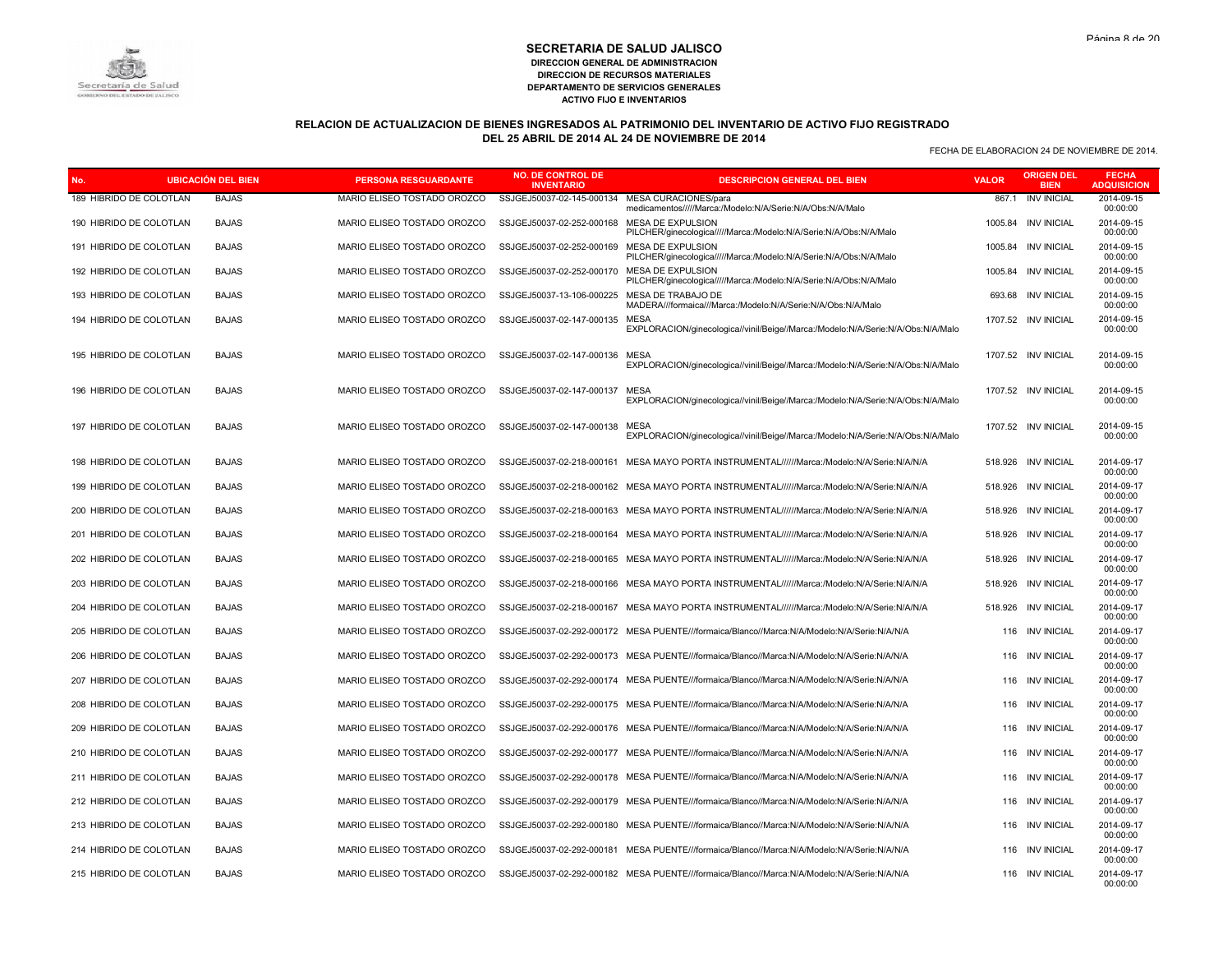# **RELACION DE ACTUALIZACION DE BIENES INGRESADOS AL PATRIMONIO DEL INVENTARIO DE ACTIVO FIJO REGISTRADO DEL 25 ABRIL DE 2014 AL 24 DE NOVIEMBRE DE 2014**

| No. |                         | <b>UBICACIÓN DEL BIEN</b> | <b>PERSONA RESGUARDANTE</b> | NO. DE CONTROL DE<br><b>INVENTARIO</b> | <b>DESCRIPCION GENERAL DEL BIEN</b>                                                            | <b>VALOR</b> | <b>ORIGEN DEL</b><br><b>BIEN</b> | <b>FECHA</b><br><b>ADQUISICION</b> |
|-----|-------------------------|---------------------------|-----------------------------|----------------------------------------|------------------------------------------------------------------------------------------------|--------------|----------------------------------|------------------------------------|
|     | 189 HIBRIDO DE COLOTLAN | <b>BAJAS</b>              | MARIO ELISEO TOSTADO OROZCO | SSJGEJ50037-02-145-000134              | MESA CURACIONES/para<br>medicamentos/////Marca:/Modelo:N/A/Serie:N/A/Obs:N/A/Malo              | 867.1        | <b>INV INICIAL</b>               | 2014-09-15<br>00:00:00             |
|     | 190 HIBRIDO DE COLOTLAN | <b>BAJAS</b>              | MARIO ELISEO TOSTADO OROZCO | SSJGEJ50037-02-252-000168              | MESA DE EXPULSION<br>PILCHER/ginecologica/////Marca:/Modelo:N/A/Serie:N/A/Obs:N/A/Malo         | 1005.84      | <b>INV INICIAL</b>               | 2014-09-15<br>00:00:00             |
|     | 191 HIBRIDO DE COLOTLAN | <b>BAJAS</b>              | MARIO ELISEO TOSTADO OROZCO | SSJGEJ50037-02-252-000169              | MESA DE EXPULSION<br>PILCHER/ginecologica/////Marca:/Modelo:N/A/Serie:N/A/Obs:N/A/Malo         | 1005.84      | <b>INV INICIAL</b>               | 2014-09-15<br>00:00:00             |
|     | 192 HIBRIDO DE COLOTLAN | <b>BAJAS</b>              | MARIO ELISEO TOSTADO OROZCO | SSJGEJ50037-02-252-000170              | MESA DE EXPULSION<br>PILCHER/ginecologica/////Marca:/Modelo:N/A/Serie:N/A/Obs:N/A/Malo         | 1005.84      | <b>INV INICIAL</b>               | 2014-09-15<br>00:00:00             |
|     | 193 HIBRIDO DE COLOTLAN | <b>BAJAS</b>              | MARIO ELISEO TOSTADO OROZCO | SSJGEJ50037-13-106-000225              | MESA DE TRABAJO DE<br>MADERA///formaica///Marca:/Modelo:N/A/Serie:N/A/Obs:N/A/Malo             | 693.68       | <b>INV INICIAL</b>               | 2014-09-15<br>00:00:00             |
|     | 194 HIBRIDO DE COLOTLAN | <b>BAJAS</b>              | MARIO ELISEO TOSTADO OROZCO | SSJGEJ50037-02-147-000135              | MESA<br>EXPLORACION/ginecologica//vinil/Beige//Marca:/Modelo:N/A/Serie:N/A/Obs:N/A/Malo        |              | 1707.52 INV INICIAL              | 2014-09-15<br>00:00:00             |
|     | 195 HIBRIDO DE COLOTLAN | <b>BAJAS</b>              | MARIO ELISEO TOSTADO OROZCO | SSJGEJ50037-02-147-000136              | MESA<br>EXPLORACION/ginecologica//vinil/Beige//Marca:/Modelo:N/A/Serie:N/A/Obs:N/A/Malo        |              | 1707.52 INV INICIAL              | 2014-09-15<br>00:00:00             |
|     | 196 HIBRIDO DE COLOTLAN | <b>BAJAS</b>              | MARIO ELISEO TOSTADO OROZCO | SSJGEJ50037-02-147-000137              | <b>MESA</b><br>EXPLORACION/ginecologica//vinil/Beige//Marca:/Modelo:N/A/Serie:N/A/Obs:N/A/Malo |              | 1707.52 INV INICIAL              | 2014-09-15<br>00:00:00             |
|     | 197 HIBRIDO DE COLOTLAN | <b>BAJAS</b>              | MARIO ELISEO TOSTADO OROZCO | SSJGEJ50037-02-147-000138              | MESA<br>EXPLORACION/ginecologica//vinil/Beige//Marca:/Modelo:N/A/Serie:N/A/Obs:N/A/Malo        |              | 1707.52 INV INICIAL              | 2014-09-15<br>00:00:00             |
|     | 198 HIBRIDO DE COLOTLAN | <b>BAJAS</b>              | MARIO ELISEO TOSTADO OROZCO | SSJGEJ50037-02-218-000161              | MESA MAYO PORTA INSTRUMENTAL//////Marca:/Modelo:N/A/Serie:N/A/N/A                              | 518.926      | <b>INV INICIAL</b>               | 2014-09-17<br>00:00:00             |
|     | 199 HIBRIDO DE COLOTLAN | <b>BAJAS</b>              | MARIO ELISEO TOSTADO OROZCO | SSJGEJ50037-02-218-000162              | MESA MAYO PORTA INSTRUMENTAL//////Marca:/Modelo:N/A/Serie:N/A/N/A                              | 518.926      | <b>INV INICIAL</b>               | 2014-09-17<br>00:00:00             |
|     | 200 HIBRIDO DE COLOTLAN | <b>BAJAS</b>              | MARIO ELISEO TOSTADO OROZCO | SSJGEJ50037-02-218-000163              | MESA MAYO PORTA INSTRUMENTAL//////Marca:/Modelo:N/A/Serie:N/A/N/A                              | 518.926      | <b>INV INICIAL</b>               | 2014-09-17<br>00:00:00             |
|     | 201 HIBRIDO DE COLOTLAN | <b>BAJAS</b>              | MARIO ELISEO TOSTADO OROZCO | SSJGEJ50037-02-218-000164              | MESA MAYO PORTA INSTRUMENTAL//////Marca:/Modelo:N/A/Serie:N/A/N/A                              | 518.926      | <b>INV INICIAL</b>               | 2014-09-17<br>00:00:00             |
|     | 202 HIBRIDO DE COLOTLAN | <b>BAJAS</b>              | MARIO ELISEO TOSTADO OROZCO |                                        | SSJGEJ50037-02-218-000165 MESA MAYO PORTA INSTRUMENTAL//////Marca:/Modelo:N/A/Serie:N/A/N/A    | 518,926      | <b>INV INICIAL</b>               | 2014-09-17<br>00:00:00             |
|     | 203 HIBRIDO DE COLOTLAN | <b>BAJAS</b>              | MARIO ELISEO TOSTADO OROZCO | SSJGEJ50037-02-218-000166              | MESA MAYO PORTA INSTRUMENTAL//////Marca:/Modelo:N/A/Serie:N/A/N/A                              | 518.926      | <b>INV INICIAL</b>               | 2014-09-17<br>00:00:00             |
|     | 204 HIBRIDO DE COLOTLAN | <b>BAJAS</b>              | MARIO ELISEO TOSTADO OROZCO |                                        | SSJGEJ50037-02-218-000167 MESA MAYO PORTA INSTRUMENTAL//////Marca:/Modelo:N/A/Serie:N/A/N/A    | 518.926      | <b>INV INICIAL</b>               | 2014-09-17<br>00:00:00             |
|     | 205 HIBRIDO DE COLOTLAN | <b>BAJAS</b>              | MARIO ELISEO TOSTADO OROZCO |                                        | SSJGEJ50037-02-292-000172 MESA PUENTE///formaica/Blanco//Marca:N/A/Modelo:N/A/Serie:N/A/N/A    | 116          | <b>INV INICIAL</b>               | 2014-09-17<br>00:00:00             |
|     | 206 HIBRIDO DE COLOTLAN | <b>BAJAS</b>              | MARIO ELISEO TOSTADO OROZCO |                                        | SSJGEJ50037-02-292-000173 MESA PUENTE///formaica/Blanco//Marca:N/A/Modelo:N/A/Serie:N/A/N/A    | 116          | <b>INV INICIAL</b>               | 2014-09-17<br>00:00:00             |
|     | 207 HIBRIDO DE COLOTLAN | <b>BAJAS</b>              | MARIO ELISEO TOSTADO OROZCO | SSJGEJ50037-02-292-000174              | MESA PUENTE///formaica/Blanco//Marca:N/A/Modelo:N/A/Serie:N/A/N/A                              | 116          | <b>INV INICIAL</b>               | 2014-09-17<br>00:00:00             |
|     | 208 HIBRIDO DE COLOTLAN | <b>BAJAS</b>              | MARIO ELISEO TOSTADO OROZCO |                                        | SSJGEJ50037-02-292-000175 MESA PUENTE///formaica/Blanco//Marca:N/A/Modelo:N/A/Serie:N/A/N/A    | 116          | <b>INV INICIAL</b>               | 2014-09-17<br>00:00:00             |
|     | 209 HIBRIDO DE COLOTLAN | <b>BAJAS</b>              | MARIO ELISEO TOSTADO OROZCO |                                        | SSJGEJ50037-02-292-000176 MESA PUENTE///formaica/Blanco//Marca:N/A/Modelo:N/A/Serie:N/A/N/A    | 116          | <b>INV INICIAL</b>               | 2014-09-17<br>00:00:00             |
|     | 210 HIBRIDO DE COLOTLAN | <b>BAJAS</b>              | MARIO ELISEO TOSTADO OROZCO | SSJGEJ50037-02-292-000177              | MESA PUENTE///formaica/Blanco//Marca:N/A/Modelo:N/A/Serie:N/A/N/A                              | 116          | <b>INV INICIAL</b>               | 2014-09-17<br>00:00:00             |
|     | 211 HIBRIDO DE COLOTLAN | <b>BAJAS</b>              | MARIO ELISEO TOSTADO OROZCO |                                        | SSJGEJ50037-02-292-000178 MESA PUENTE///formaica/Blanco//Marca:N/A/Modelo:N/A/Serie:N/A/N/A    | 116          | <b>INV INICIAL</b>               | 2014-09-17<br>00:00:00             |
|     | 212 HIBRIDO DE COLOTLAN | <b>BAJAS</b>              | MARIO ELISEO TOSTADO OROZCO |                                        | SSJGEJ50037-02-292-000179 MESA PUENTE///formaica/Blanco//Marca:N/A/Modelo:N/A/Serie:N/A/N/A    | 116          | <b>INV INICIAL</b>               | 2014-09-17<br>00:00:00             |
|     | 213 HIBRIDO DE COLOTLAN | <b>BAJAS</b>              | MARIO ELISEO TOSTADO OROZCO |                                        | SSJGEJ50037-02-292-000180 MESA PUENTE///formaica/Blanco//Marca:N/A/Modelo:N/A/Serie:N/A/N/A    | 116          | <b>INV INICIAL</b>               | 2014-09-17<br>00:00:00             |
|     | 214 HIBRIDO DE COLOTLAN | <b>BAJAS</b>              | MARIO ELISEO TOSTADO OROZCO |                                        | SSJGEJ50037-02-292-000181 MESA PUENTE///formaica/Blanco//Marca:N/A/Modelo:N/A/Serie:N/A/N/A    | 116          | <b>INV INICIAL</b>               | 2014-09-17<br>00:00:00             |
|     | 215 HIBRIDO DE COLOTLAN | <b>BAJAS</b>              | MARIO ELISEO TOSTADO OROZCO |                                        | SSJGEJ50037-02-292-000182 MESA PUENTE///formaica/Blanco//Marca:N/A/Modelo:N/A/Serie:N/A/N/A    |              | 116 INV INICIAL                  | 2014-09-17<br>00:00:00             |



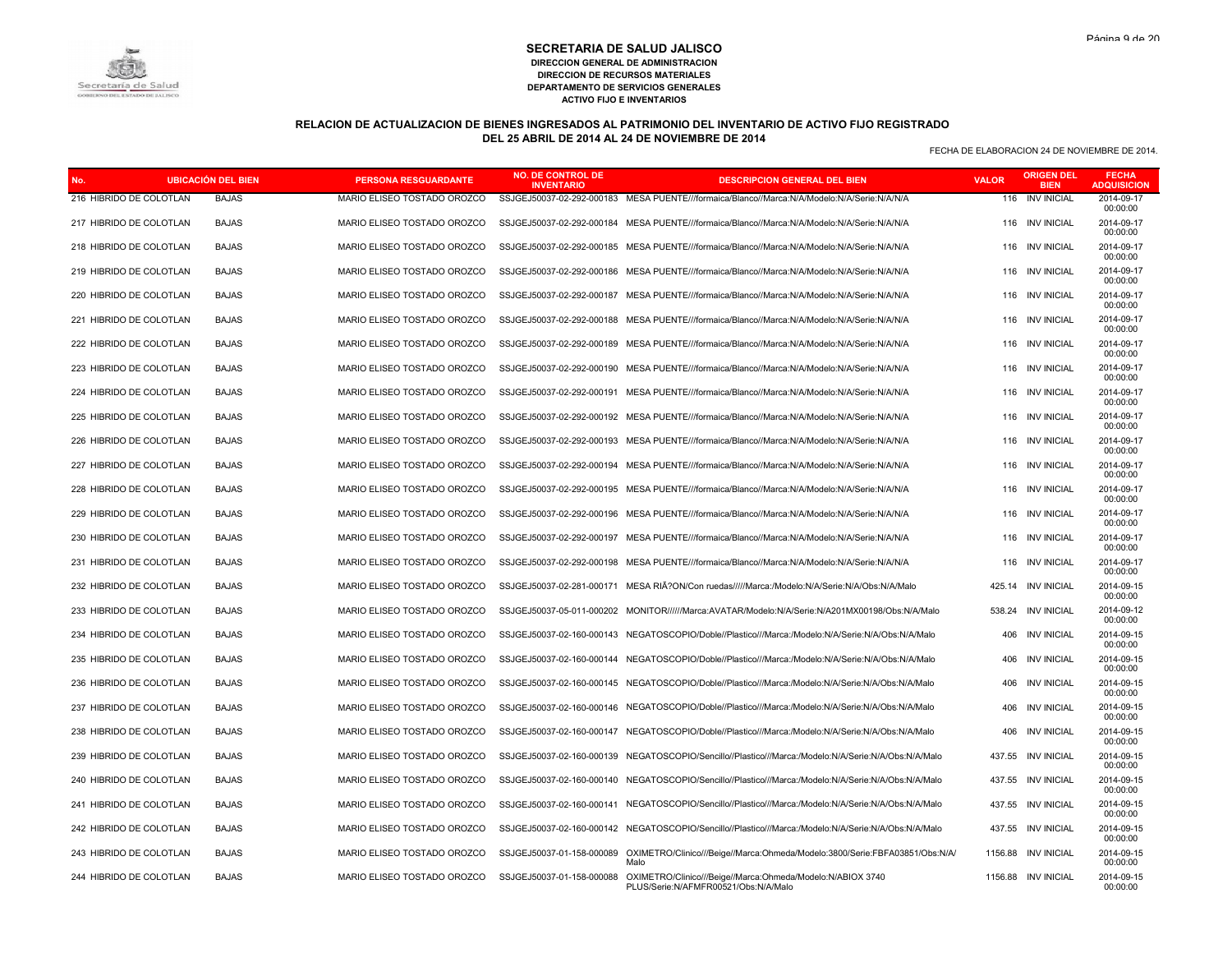# **RELACION DE ACTUALIZACION DE BIENES INGRESADOS AL PATRIMONIO DEL INVENTARIO DE ACTIVO FIJO REGISTRADO DEL 25 ABRIL DE 2014 AL 24 DE NOVIEMBRE DE 2014**

|                         | <b>UBICACIÓN DEL BIEN</b> | <b>PERSONA RESGUARDANTE</b> | NO. DE CONTROL DE<br><b>INVENTARIO</b> | <b>DESCRIPCION GENERAL DEL BIEN</b>                                                                  | <b>VALOR</b> | <u>RIGEN DEL</u><br><b>BIEN</b> | <b>FECHA</b><br><b>ADQUISICION</b> |
|-------------------------|---------------------------|-----------------------------|----------------------------------------|------------------------------------------------------------------------------------------------------|--------------|---------------------------------|------------------------------------|
| 216 HIBRIDO DE COLOTLAN | <b>BAJAS</b>              | MARIO ELISEO TOSTADO OROZCO | SSJGEJ50037-02-292-000183              | MESA PUENTE///formaica/Blanco//Marca:N/A/Modelo:N/A/Serie:N/A/N/A                                    | 116          | <b>INV INICIAL</b>              | 2014-09-17<br>00:00:00             |
| 217 HIBRIDO DE COLOTLAN | <b>BAJAS</b>              | MARIO ELISEO TOSTADO OROZCO |                                        | SSJGEJ50037-02-292-000184 MESA PUENTE///formaica/Blanco//Marca:N/A/Modelo:N/A/Serie:N/A/N/A          |              | 116 INV INICIAL                 | 2014-09-17<br>00:00:00             |
| 218 HIBRIDO DE COLOTLAN | <b>BAJAS</b>              | MARIO ELISEO TOSTADO OROZCO | SSJGEJ50037-02-292-000185              | MESA PUENTE///formaica/Blanco//Marca:N/A/Modelo:N/A/Serie:N/A/N/A                                    | 116          | <b>INV INICIAL</b>              | 2014-09-17<br>00:00:00             |
| 219 HIBRIDO DE COLOTLAN | <b>BAJAS</b>              | MARIO ELISEO TOSTADO OROZCO | SSJGEJ50037-02-292-000186              | MESA PUENTE///formaica/Blanco//Marca:N/A/Modelo:N/A/Serie:N/A/N/A                                    | 116          | <b>INV INICIAL</b>              | 2014-09-17<br>00:00:00             |
| 220 HIBRIDO DE COLOTLAN | <b>BAJAS</b>              | MARIO ELISEO TOSTADO OROZCO | SSJGEJ50037-02-292-000187              | MESA PUENTE///formaica/Blanco//Marca:N/A/Modelo:N/A/Serie:N/A/N/A                                    | 116          | <b>INV INICIAL</b>              | 2014-09-17<br>00:00:00             |
| 221 HIBRIDO DE COLOTLAN | <b>BAJAS</b>              | MARIO ELISEO TOSTADO OROZCO | SSJGEJ50037-02-292-000188              | MESA PUENTE///formaica/Blanco//Marca:N/A/Modelo:N/A/Serie:N/A/N/A                                    | 116          | <b>INV INICIAL</b>              | 2014-09-17<br>00:00:00             |
| 222 HIBRIDO DE COLOTLAN | <b>BAJAS</b>              | MARIO ELISEO TOSTADO OROZCO | SSJGEJ50037-02-292-000189              | MESA PUENTE///formaica/Blanco//Marca:N/A/Modelo:N/A/Serie:N/A/N/A                                    | 116          | <b>INV INICIAL</b>              | 2014-09-17<br>00:00:00             |
| 223 HIBRIDO DE COLOTLAN | <b>BAJAS</b>              | MARIO ELISEO TOSTADO OROZCO | SSJGEJ50037-02-292-000190              | MESA PUENTE///formaica/Blanco//Marca:N/A/Modelo:N/A/Serie:N/A/N/A                                    | 116          | <b>INV INICIAL</b>              | 2014-09-17<br>00:00:00             |
| 224 HIBRIDO DE COLOTLAN | <b>BAJAS</b>              | MARIO ELISEO TOSTADO OROZCO | SSJGEJ50037-02-292-000191              | MESA PUENTE///formaica/Blanco//Marca:N/A/Modelo:N/A/Serie:N/A/N/A                                    | 116          | <b>INV INICIAL</b>              | 2014-09-17<br>00:00:00             |
| 225 HIBRIDO DE COLOTLAN | <b>BAJAS</b>              | MARIO ELISEO TOSTADO OROZCO |                                        | SSJGEJ50037-02-292-000192 MESA PUENTE///formaica/Blanco//Marca:N/A/Modelo:N/A/Serie:N/A/N/A          | 116          | <b>INV INICIAL</b>              | 2014-09-17<br>00:00:00             |
| 226 HIBRIDO DE COLOTLAN | <b>BAJAS</b>              | MARIO ELISEO TOSTADO OROZCO | SSJGEJ50037-02-292-000193              | MESA PUENTE///formaica/Blanco//Marca:N/A/Modelo:N/A/Serie:N/A/N/A                                    | 116          | <b>INV INICIAL</b>              | 2014-09-17<br>00:00:00             |
| 227 HIBRIDO DE COLOTLAN | <b>BAJAS</b>              | MARIO ELISEO TOSTADO OROZCO | SSJGEJ50037-02-292-000194              | MESA PUENTE///formaica/Blanco//Marca:N/A/Modelo:N/A/Serie:N/A/N/A                                    | 116          | <b>INV INICIAL</b>              | 2014-09-17<br>00:00:00             |
| 228 HIBRIDO DE COLOTLAN | <b>BAJAS</b>              | MARIO ELISEO TOSTADO OROZCO | SSJGEJ50037-02-292-000195              | MESA PUENTE///formaica/Blanco//Marca:N/A/Modelo:N/A/Serie:N/A/N/A                                    | 116          | <b>INV INICIAL</b>              | 2014-09-17<br>00:00:00             |
| 229 HIBRIDO DE COLOTLAN | <b>BAJAS</b>              | MARIO ELISEO TOSTADO OROZCO | SSJGEJ50037-02-292-000196              | MESA PUENTE///formaica/Blanco//Marca:N/A/Modelo:N/A/Serie:N/A/N/A                                    | 116          | <b>INV INICIAL</b>              | 2014-09-17<br>00:00:00             |
| 230 HIBRIDO DE COLOTLAN | <b>BAJAS</b>              | MARIO ELISEO TOSTADO OROZCO | SSJGEJ50037-02-292-000197              | MESA PUENTE///formaica/Blanco//Marca:N/A/Modelo:N/A/Serie:N/A/N/A                                    | 116          | <b>INV INICIAL</b>              | 2014-09-17<br>00:00:00             |
| 231 HIBRIDO DE COLOTLAN | <b>BAJAS</b>              | MARIO ELISEO TOSTADO OROZCO | SSJGEJ50037-02-292-000198              | MESA PUENTE///formaica/Blanco//Marca:N/A/Modelo:N/A/Serie:N/A/N/A                                    | 116          | <b>INV INICIAL</b>              | 2014-09-17<br>00:00:00             |
| 232 HIBRIDO DE COLOTLAN | <b>BAJAS</b>              | MARIO ELISEO TOSTADO OROZCO | SSJGEJ50037-02-281-000171              | MESA RIA?ON/Con ruedas/////Marca:/Modelo:N/A/Serie:N/A/Obs:N/A/Malo                                  | 425.14       | <b>INV INICIAL</b>              | 2014-09-15<br>00:00:00             |
| 233 HIBRIDO DE COLOTLAN | <b>BAJAS</b>              | MARIO ELISEO TOSTADO OROZCO |                                        | SSJGEJ50037-05-011-000202 MONITOR//////Marca:AVATAR/Modelo:N/A/Serie:N/A201MX00198/Obs:N/A/Malo      | 538.24       | <b>INV INICIAL</b>              | 2014-09-12<br>00:00:00             |
| 234 HIBRIDO DE COLOTLAN | <b>BAJAS</b>              | MARIO ELISEO TOSTADO OROZCO | SSJGEJ50037-02-160-000143              | NEGATOSCOPIO/Doble//Plastico///Marca:/Modelo:N/A/Serie:N/A/Obs:N/A/Malo                              | 406          | <b>INV INICIAL</b>              | 2014-09-15<br>00:00:00             |
| 235 HIBRIDO DE COLOTLAN | <b>BAJAS</b>              | MARIO ELISEO TOSTADO OROZCO |                                        | SSJGEJ50037-02-160-000144 NEGATOSCOPIO/Doble//Plastico///Marca:/Modelo:N/A/Serie:N/A/Obs:N/A/Malo    | 406          | <b>INV INICIAL</b>              | 2014-09-15<br>00:00:00             |
| 236 HIBRIDO DE COLOTLAN | <b>BAJAS</b>              | MARIO ELISEO TOSTADO OROZCO | SSJGEJ50037-02-160-000145              | NEGATOSCOPIO/Doble//Plastico///Marca:/Modelo:N/A/Serie:N/A/Obs:N/A/Malo                              | 406          | <b>INV INICIAL</b>              | 2014-09-15<br>00:00:00             |
| 237 HIBRIDO DE COLOTLAN | <b>BAJAS</b>              | MARIO ELISEO TOSTADO OROZCO |                                        | SSJGEJ50037-02-160-000146 NEGATOSCOPIO/Doble//Plastico///Marca:/Modelo:N/A/Serie:N/A/Obs:N/A/Malo    | 406          | <b>INV INICIAL</b>              | 2014-09-15<br>00:00:00             |
| 238 HIBRIDO DE COLOTLAN | <b>BAJAS</b>              | MARIO ELISEO TOSTADO OROZCO | SSJGEJ50037-02-160-000147              | NEGATOSCOPIO/Doble//Plastico///Marca:/Modelo:N/A/Serie:N/A/Obs:N/A/Malo                              | 406          | <b>INV INICIAL</b>              | 2014-09-15<br>00:00:00             |
| 239 HIBRIDO DE COLOTLAN | <b>BAJAS</b>              | MARIO ELISEO TOSTADO OROZCO |                                        | SSJGEJ50037-02-160-000139 NEGATOSCOPIO/Sencillo//Plastico///Marca:/Modelo:N/A/Serie:N/A/Obs:N/A/Malo | 437.55       | <b>INV INICIAL</b>              | 2014-09-15<br>00:00:00             |
| 240 HIBRIDO DE COLOTLAN | <b>BAJAS</b>              | MARIO ELISEO TOSTADO OROZCO | SSJGEJ50037-02-160-000140              | NEGATOSCOPIO/Sencillo//Plastico///Marca:/Modelo:N/A/Serie:N/A/Obs:N/A/Malo                           | 437.55       | <b>INV INICIAL</b>              | 2014-09-15<br>00:00:00             |
| 241 HIBRIDO DE COLOTLAN | <b>BAJAS</b>              | MARIO ELISEO TOSTADO OROZCO |                                        | SSJGEJ50037-02-160-000141 NEGATOSCOPIO/Sencillo//Plastico///Marca:/Modelo:N/A/Serie:N/A/Obs:N/A/Malo | 437.55       | <b>INV INICIAL</b>              | 2014-09-15<br>00:00:00             |
| 242 HIBRIDO DE COLOTLAN | <b>BAJAS</b>              | MARIO ELISEO TOSTADO OROZCO |                                        | SSJGEJ50037-02-160-000142 NEGATOSCOPIO/Sencillo//Plastico///Marca:/Modelo:N/A/Serie:N/A/Obs:N/A/Malo | 437.55       | <b>INV INICIAL</b>              | 2014-09-15<br>00:00:00             |
| 243 HIBRIDO DE COLOTLAN | <b>BAJAS</b>              | MARIO ELISEO TOSTADO OROZCO | SSJGEJ50037-01-158-000089              | OXIMETRO/Clinico///Beige//Marca:Ohmeda/Modelo:3800/Serie:FBFA03851/Obs:N/A/<br>Malo                  | 1156.88      | <b>INV INICIAL</b>              | 2014-09-15<br>00:00:00             |
| 244 HIBRIDO DE COLOTLAN | <b>BAJAS</b>              | MARIO ELISEO TOSTADO OROZCO | SSJGEJ50037-01-158-000088              | OXIMETRO/Clinico///Beige//Marca:Ohmeda/Modelo:N/ABIOX 3740<br>PLUS/Serie:N/AFMFR00521/Obs:N/A/Malo   |              | 1156.88 INV INICIAL             | 2014-09-15<br>00:00:00             |

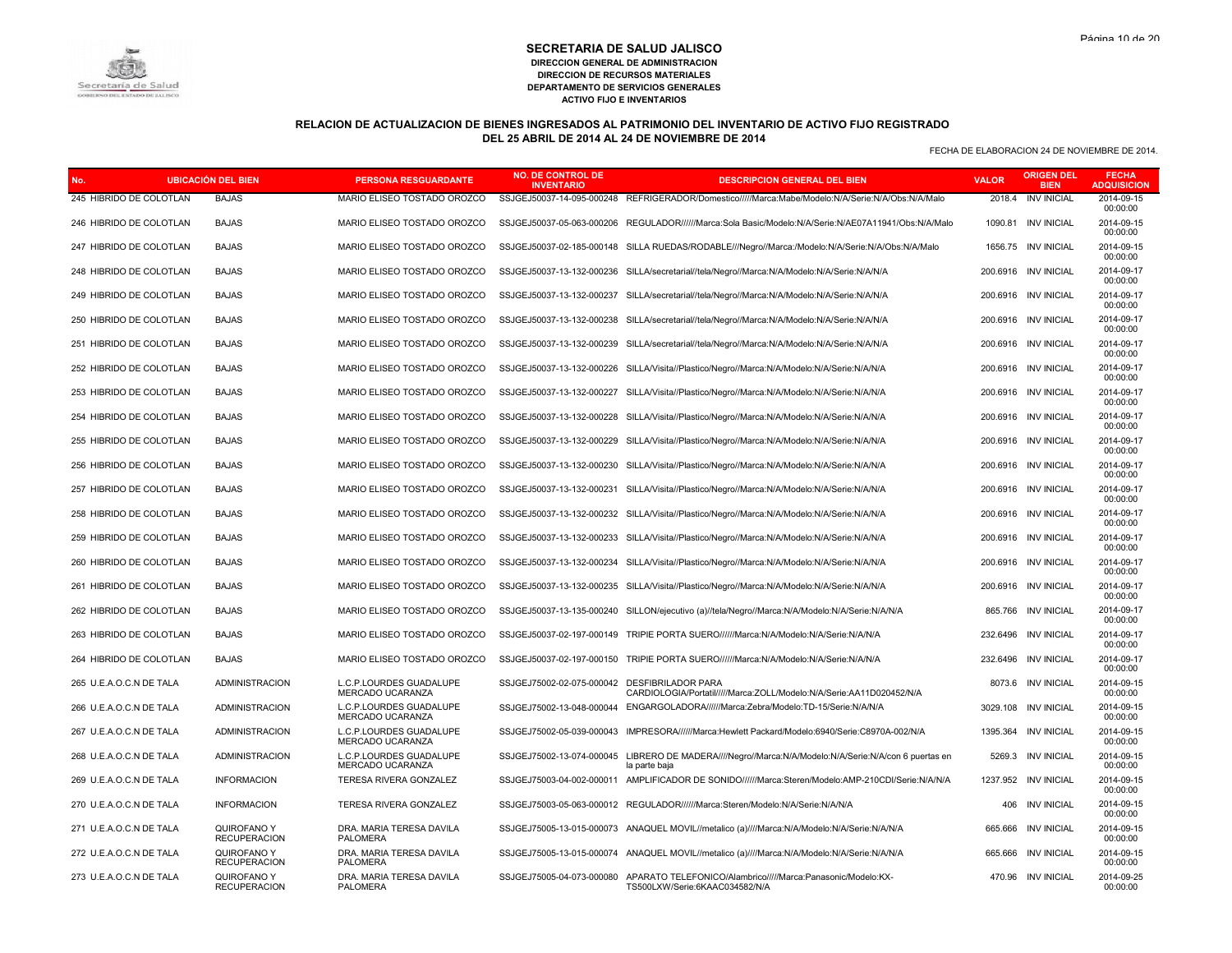# Secretaría de Salud

#### **SECRETARIA DE SALUD JALISCO DIRECCION GENERAL DE ADMINISTRACION DIRECCION DE RECURSOS MATERIALES DEPARTAMENTO DE SERVICIOS GENERALES ACTIVO FIJO E INVENTARIOS**

# **RELACION DE ACTUALIZACION DE BIENES INGRESADOS AL PATRIMONIO DEL INVENTARIO DE ACTIVO FIJO REGISTRADO DEL 25 ABRIL DE 2014 AL 24 DE NOVIEMBRE DE 2014**

| <b>UBICACIÓN DEL BIEN</b><br>No. |                                    | <b>PERSONA RESGUARDANTE</b>                 | <b>NO. DE CONTROL DE</b><br><b>INVENTARIO</b> | <b>DESCRIPCION GENERAL DEL BIEN</b>                                                                                     | <b>VALOR</b> | <b>ORIGEN DEL</b><br><b>BIEN</b> | <b>FECHA</b><br><b>ADQUISICION</b> |
|----------------------------------|------------------------------------|---------------------------------------------|-----------------------------------------------|-------------------------------------------------------------------------------------------------------------------------|--------------|----------------------------------|------------------------------------|
| 245 HIBRIDO DE COLOTLAN          | <b>BAJAS</b>                       | MARIO ELISEO TOSTADO OROZCO                 |                                               | SSJGEJ50037-14-095-000248 REFRIGERADOR/Domestico/////Marca:Mabe/Modelo:N/A/Serie:N/A/Obs:N/A/Malo                       | 2018.4       | <b>INV INICIAL</b>               | 2014-09-15<br>00:00:00             |
| 246 HIBRIDO DE COLOTLAN          | <b>BAJAS</b>                       | MARIO ELISEO TOSTADO OROZCO                 |                                               | SSJGEJ50037-05-063-000206 REGULADOR//////Marca:Sola Basic/Modelo:N/A/Serie:N/AE07A11941/Obs:N/A/Malo                    | 1090.81      | <b>INV INICIAL</b>               | 2014-09-15<br>00:00:00             |
| 247 HIBRIDO DE COLOTLAN          | <b>BAJAS</b>                       | MARIO ELISEO TOSTADO OROZCO                 |                                               | SSJGEJ50037-02-185-000148 SILLA RUEDAS/RODABLE///Negro//Marca:/Modelo:N/A/Serie:N/A/Obs:N/A/Malo                        |              | 1656.75 INV INICIAL              | 2014-09-15<br>00:00:00             |
| 248 HIBRIDO DE COLOTLAN          | <b>BAJAS</b>                       | MARIO ELISEO TOSTADO OROZCO                 | SSJGEJ50037-13-132-000236                     | SILLA/secretarial//tela/Negro//Marca:N/A/Modelo:N/A/Serie:N/A/N/A                                                       | 200.6916     | <b>INV INICIAL</b>               | 2014-09-17<br>00:00:00             |
| 249 HIBRIDO DE COLOTLAN          | <b>BAJAS</b>                       | MARIO ELISEO TOSTADO OROZCO                 |                                               | SSJGEJ50037-13-132-000237 SILLA/secretarial//tela/Negro//Marca:N/A/Modelo:N/A/Serie:N/A/N/A                             |              | 200.6916 INV INICIAL             | 2014-09-17<br>00:00:00             |
| 250 HIBRIDO DE COLOTLAN          | <b>BAJAS</b>                       | MARIO ELISEO TOSTADO OROZCO                 | SSJGEJ50037-13-132-000238                     | SILLA/secretarial//tela/Negro//Marca:N/A/Modelo:N/A/Serie:N/A/N/A                                                       |              | 200.6916 INV INICIAL             | 2014-09-17<br>00:00:00             |
| 251 HIBRIDO DE COLOTLAN          | <b>BAJAS</b>                       | MARIO ELISEO TOSTADO OROZCO                 |                                               | SSJGEJ50037-13-132-000239 SILLA/secretarial//tela/Negro//Marca:N/A/Modelo:N/A/Serie:N/A/N/A                             |              | 200.6916 INV INICIAL             | 2014-09-17<br>00:00:00             |
| 252 HIBRIDO DE COLOTLAN          | <b>BAJAS</b>                       | MARIO ELISEO TOSTADO OROZCO                 |                                               | SSJGEJ50037-13-132-000226 SILLA/Visita//Plastico/Negro//Marca:N/A/Modelo:N/A/Serie:N/A/N/A                              |              | 200.6916 INV INICIAL             | 2014-09-17<br>00:00:00             |
| 253 HIBRIDO DE COLOTLAN          | <b>BAJAS</b>                       | MARIO ELISEO TOSTADO OROZCO                 |                                               | SSJGEJ50037-13-132-000227 SILLA/Visita//Plastico/Negro//Marca:N/A/Modelo:N/A/Serie:N/A/N/A                              |              | 200.6916 INV INICIAL             | 2014-09-17<br>00:00:00             |
| 254 HIBRIDO DE COLOTLAN          | <b>BAJAS</b>                       | MARIO ELISEO TOSTADO OROZCO                 |                                               | SSJGEJ50037-13-132-000228 SILLA/Visita//Plastico/Negro//Marca:N/A/Modelo:N/A/Serie:N/A/N/A                              |              | 200.6916 INV INICIAL             | 2014-09-17<br>00:00:00             |
| 255 HIBRIDO DE COLOTLAN          | <b>BAJAS</b>                       | MARIO ELISEO TOSTADO OROZCO                 |                                               | SSJGEJ50037-13-132-000229 SILLA/Visita//Plastico/Negro//Marca:N/A/Modelo:N/A/Serie:N/A/N/A                              |              | 200.6916 INV INICIAL             | 2014-09-17<br>00:00:00             |
| 256 HIBRIDO DE COLOTLAN          | <b>BAJAS</b>                       | MARIO ELISEO TOSTADO OROZCO                 |                                               | SSJGEJ50037-13-132-000230 SILLA/Visita//Plastico/Negro//Marca:N/A/Modelo:N/A/Serie:N/A/N/A                              |              | 200.6916 INV INICIAL             | 2014-09-17<br>00:00:00             |
| 257 HIBRIDO DE COLOTLAN          | <b>BAJAS</b>                       | MARIO ELISEO TOSTADO OROZCO                 |                                               | SSJGEJ50037-13-132-000231 SILLA/Visita//Plastico/Negro//Marca:N/A/Modelo:N/A/Serie:N/A/N/A                              |              | 200.6916 INV INICIAL             | 2014-09-17<br>00:00:00             |
| 258 HIBRIDO DE COLOTLAN          | <b>BAJAS</b>                       | MARIO ELISEO TOSTADO OROZCO                 |                                               | SSJGEJ50037-13-132-000232 SILLA/Visita//Plastico/Negro//Marca:N/A/Modelo:N/A/Serie:N/A/N/A                              |              | 200.6916 INV INICIAL             | 2014-09-17<br>00:00:00             |
| 259 HIBRIDO DE COLOTLAN          | <b>BAJAS</b>                       | MARIO ELISEO TOSTADO OROZCO                 |                                               | SSJGEJ50037-13-132-000233 SILLA/Visita//Plastico/Negro//Marca:N/A/Modelo:N/A/Serie:N/A/N/A                              |              | 200.6916 INV INICIAL             | 2014-09-17<br>00:00:00             |
| 260 HIBRIDO DE COLOTLAN          | <b>BAJAS</b>                       | MARIO ELISEO TOSTADO OROZCO                 |                                               | SSJGEJ50037-13-132-000234 SILLA/Visita//Plastico/Negro//Marca:N/A/Modelo:N/A/Serie:N/A/N/A                              |              | 200.6916 INV INICIAL             | 2014-09-17<br>00:00:00             |
| 261 HIBRIDO DE COLOTLAN          | <b>BAJAS</b>                       | MARIO ELISEO TOSTADO OROZCO                 |                                               | SSJGEJ50037-13-132-000235 SILLA/Visita//Plastico/Negro//Marca:N/A/Modelo:N/A/Serie:N/A/N/A                              |              | 200.6916 INV INICIAL             | 2014-09-17<br>00:00:00             |
| 262 HIBRIDO DE COLOTLAN          | <b>BAJAS</b>                       | MARIO ELISEO TOSTADO OROZCO                 |                                               | SSJGEJ50037-13-135-000240 SILLON/ejecutivo (a)//tela/Negro//Marca:N/A/Modelo:N/A/Serie:N/A/N/A                          |              | 865.766 INV INICIAL              | 2014-09-17<br>00:00:00             |
| 263 HIBRIDO DE COLOTLAN          | <b>BAJAS</b>                       | MARIO ELISEO TOSTADO OROZCO                 | SSJGEJ50037-02-197-000149                     | TRIPIE PORTA SUERO//////Marca:N/A/Modelo:N/A/Serie:N/A/N/A                                                              | 232.6496     | <b>INV INICIAL</b>               | 2014-09-17<br>00:00:00             |
| 264 HIBRIDO DE COLOTLAN          | <b>BAJAS</b>                       | MARIO ELISEO TOSTADO OROZCO                 |                                               | SSJGEJ50037-02-197-000150 TRIPIE PORTA SUERO//////Marca:N/A/Modelo:N/A/Serie:N/A/N/A                                    | 232.6496     | INV INICIAL                      | 2014-09-17<br>00:00:00             |
| 265 U.E.A.O.C.N DE TALA          | <b>ADMINISTRACION</b>              | L.C.P.LOURDES GUADALUPE<br>MERCADO UCARANZA | SSJGEJ75002-02-075-000042 DESFIBRILADOR PARA  | CARDIOLOGIA/Portatil/////Marca:ZOLL/Modelo:N/A/Serie:AA11D020452/N/A                                                    | 8073.6       | <b>INV INICIAL</b>               | 2014-09-15<br>00:00:00             |
| 266 U.E.A.O.C.N DE TALA          | <b>ADMINISTRACION</b>              | L.C.P.LOURDES GUADALUPE<br>MERCADO UCARANZA |                                               | SSJGEJ75002-13-048-000044 ENGARGOLADORA//////Marca:Zebra/Modelo:TD-15/Serie:N/A/N/A                                     |              | 3029.108 INV INICIAL             | 2014-09-15<br>00:00:00             |
| 267 U.E.A.O.C.N DE TALA          | <b>ADMINISTRACION</b>              | L.C.P.LOURDES GUADALUPE<br>MERCADO UCARANZA |                                               | SSJGEJ75002-05-039-000043 IMPRESORA//////Marca:Hewlett Packard/Modelo:6940/Serie:C8970A-002/N/A                         | 1395.364     | <b>INV INICIAL</b>               | 2014-09-15<br>00:00:00             |
| 268 U.E.A.O.C.N DE TALA          | <b>ADMINISTRACION</b>              | L.C.P.LOURDES GUADALUPE<br>MERCADO UCARANZA |                                               | SSJGEJ75002-13-074-000045 LIBRERO DE MADERA////Negro//Marca:N/A/Modelo:N/A/Serie:N/A/con 6 puertas en<br>la parte baja  | 5269.3       | <b>INV INICIAL</b>               | 2014-09-15<br>00:00:00             |
| 269 U.E.A.O.C.N DE TALA          | <b>INFORMACION</b>                 | TERESA RIVERA GONZALEZ                      |                                               | SSJGEJ75003-04-002-000011 AMPLIFICADOR DE SONIDO//////Marca:Steren/Modelo:AMP-210CDI/Serie:N/A/N/A                      |              | 1237.952 INV INICIAL             | 2014-09-15<br>00:00:00             |
| 270 U.E.A.O.C.N DE TALA          | <b>INFORMACION</b>                 | TERESA RIVERA GONZALEZ                      |                                               | SSJGEJ75003-05-063-000012 REGULADOR//////Marca:Steren/Modelo:N/A/Serie:N/A/N/A                                          | 406          | <b>INV INICIAL</b>               | 2014-09-15<br>00:00:00             |
| 271 U.E.A.O.C.N DE TALA          | QUIROFANO Y<br><b>RECUPERACION</b> | DRA. MARIA TERESA DAVILA<br><b>PALOMERA</b> |                                               | SSJGEJ75005-13-015-000073 ANAQUEL MOVIL//metalico (a)////Marca:N/A/Modelo:N/A/Serie:N/A/N/A                             | 665.666      | <b>INV INICIAL</b>               | 2014-09-15<br>00:00:00             |
| 272 U.E.A.O.C.N DE TALA          | QUIROFANO Y<br><b>RECUPERACION</b> | DRA. MARIA TERESA DAVILA<br><b>PALOMERA</b> |                                               | SSJGEJ75005-13-015-000074 ANAQUEL MOVIL//metalico (a)////Marca:N/A/Modelo:N/A/Serie:N/A/N/A                             |              | 665.666 INV INICIAL              | 2014-09-15<br>00:00:00             |
| 273 U.E.A.O.C.N DE TALA          | QUIROFANO Y<br><b>RECUPERACION</b> | DRA. MARIA TERESA DAVILA<br><b>PALOMERA</b> |                                               | SSJGEJ75005-04-073-000080 APARATO TELEFONICO/Alambrico/////Marca:Panasonic/Modelo:KX-<br>TS500LXW/Serie:6KAAC034582/N/A |              | 470.96 INV INICIAL               | 2014-09-25<br>00:00:00             |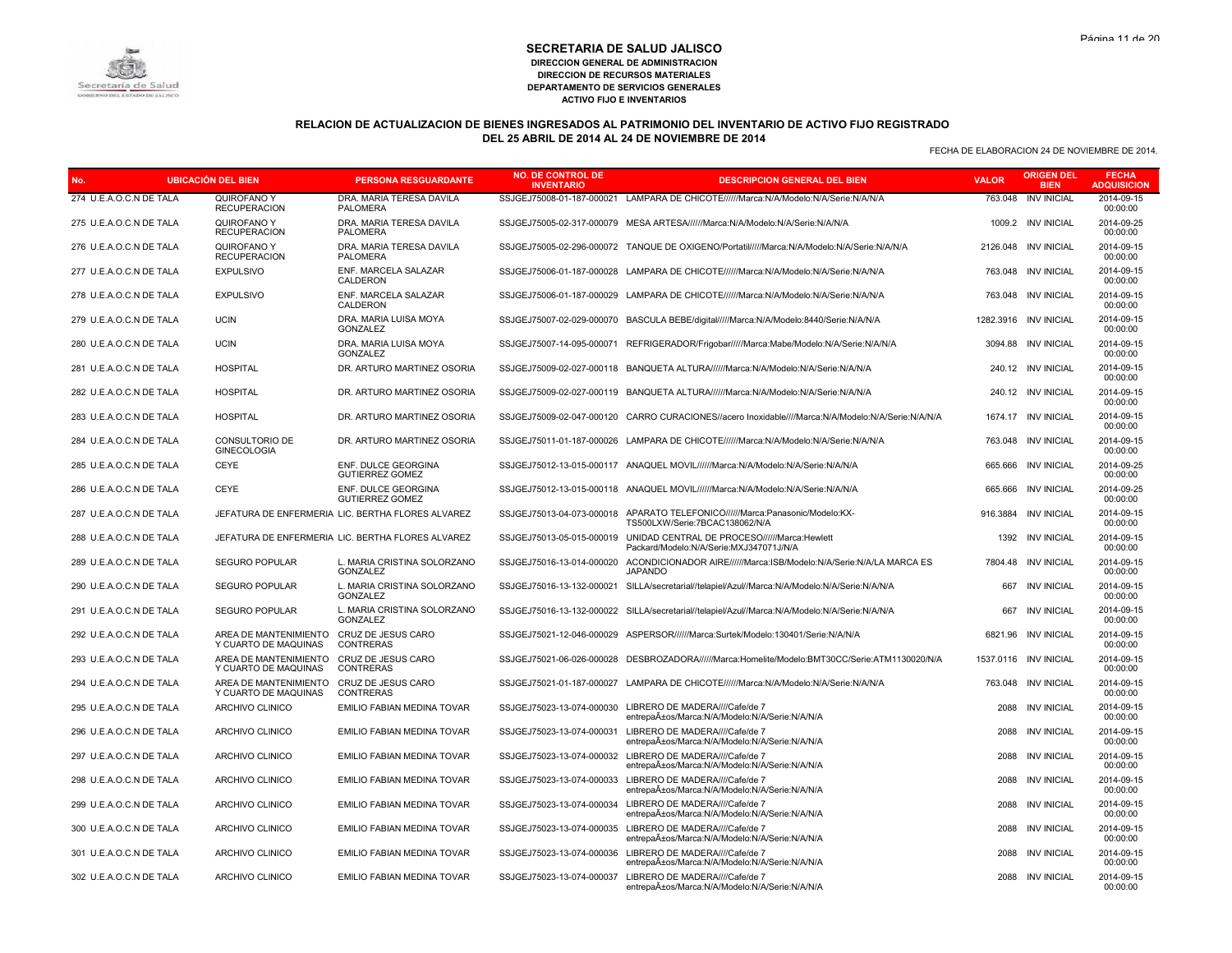

# **RELACION DE ACTUALIZACION DE BIENES INGRESADOS AL PATRIMONIO DEL INVENTARIO DE ACTIVO FIJO REGISTRADO DEL 25 ABRIL DE 2014 AL 24 DE NOVIEMBRE DE 2014**

| <b>UBICACIÓN DEL BIEN</b><br>No. |  | <b>PERSONA RESGUARDANTE</b>                   | <b>NO. DE CONTROL DE</b><br><b>INVENTARIO</b>     | <b>DESCRIPCION GENERAL DEL BIEN</b> | <b>VALOR</b>                                                                                               | <b>ORIGEN DEL</b><br><b>BIEN</b> | <b>FECHA</b><br><b>ADQUISICION</b> |                        |
|----------------------------------|--|-----------------------------------------------|---------------------------------------------------|-------------------------------------|------------------------------------------------------------------------------------------------------------|----------------------------------|------------------------------------|------------------------|
| 274 U.E.A.O.C.N DE TALA          |  | QUIROFANO Y<br><b>RECUPERACION</b>            | DRA. MARIA TERESA DAVILA<br><b>PALOMERA</b>       |                                     | SSJGEJ75008-01-187-000021 LAMPARA DE CHICOTE//////Marca:N/A/Modelo:N/A/Serie:N/A/N/A                       | 763.048                          | <b>INV INICIAL</b>                 | 2014-09-15<br>00:00:00 |
| 275 U.E.A.O.C.N DE TALA          |  | QUIROFANO Y<br><b>RECUPERACION</b>            | DRA, MARIA TERESA DAVILA<br>PALOMERA              |                                     | SSJGEJ75005-02-317-000079 MESA ARTESA//////Marca:N/A/Modelo:N/A/Serie:N/A/N/A                              | 1009.2                           | <b>INV INICIAL</b>                 | 2014-09-25<br>00:00:00 |
| 276 U.E.A.O.C.N DE TALA          |  | QUIROFANO Y<br><b>RECUPERACION</b>            | DRA. MARIA TERESA DAVILA<br><b>PALOMERA</b>       |                                     | SSJGEJ75005-02-296-000072 TANQUE DE OXIGENO/Portatil/////Marca:N/A/Modelo:N/A/Serie:N/A/N/A                |                                  | 2126.048 INV INICIAL               | 2014-09-15<br>00:00:00 |
| 277 U.E.A.O.C.N DE TALA          |  | <b>EXPULSIVO</b>                              | ENF. MARCELA SALAZAR<br>CALDERON                  |                                     | SSJGEJ75006-01-187-000028 LAMPARA DE CHICOTE//////Marca:N/A/Modelo:N/A/Serie:N/A/N/A                       | 763.048                          | <b>INV INICIAL</b>                 | 2014-09-15<br>00:00:00 |
| 278 U.E.A.O.C.N DE TALA          |  | <b>EXPULSIVO</b>                              | ENF. MARCELA SALAZAR<br>CALDERON                  |                                     | SSJGEJ75006-01-187-000029 LAMPARA DE CHICOTE//////Marca:N/A/Modelo:N/A/Serie:N/A/N/A                       |                                  | 763.048 INV INICIAL                | 2014-09-15<br>00:00:00 |
| 279 U.E.A.O.C.N DE TALA          |  | <b>UCIN</b>                                   | DRA. MARIA LUISA MOYA<br>GONZALEZ                 |                                     | SSJGEJ75007-02-029-000070 BASCULA BEBE/digital/////Marca:N/A/Modelo:8440/Serie:N/A/N/A                     |                                  | 1282.3916 INV INICIAL              | 2014-09-15<br>00:00:00 |
| 280 U.E.A.O.C.N DE TALA          |  | <b>UCIN</b>                                   | DRA. MARIA LUISA MOYA<br><b>GONZALEZ</b>          |                                     | SSJGEJ75007-14-095-000071 REFRIGERADOR/Frigobar/////Marca:Mabe/Modelo:N/A/Serie:N/A/N/A                    |                                  | 3094.88 INV INICIAL                | 2014-09-15<br>00:00:00 |
| 281 U.E.A.O.C.N DE TALA          |  | <b>HOSPITAL</b>                               | DR. ARTURO MARTINEZ OSORIA                        |                                     | SSJGEJ75009-02-027-000118 BANQUETA ALTURA//////Marca:N/A/Modelo:N/A/Serie:N/A/N/A                          |                                  | 240.12 INV INICIAL                 | 2014-09-15<br>00:00:00 |
| 282 U.E.A.O.C.N DE TALA          |  | <b>HOSPITAL</b>                               | DR. ARTURO MARTINEZ OSORIA                        |                                     | SSJGEJ75009-02-027-000119 BANQUETA ALTURA//////Marca:N/A/Modelo:N/A/Serie:N/A/N/A                          |                                  | 240.12 INV INICIAL                 | 2014-09-15<br>00:00:00 |
| 283 U.E.A.O.C.N DE TALA          |  | <b>HOSPITAL</b>                               | DR. ARTURO MARTINEZ OSORIA                        |                                     | SSJGEJ75009-02-047-000120 CARRO CURACIONES//acero Inoxidable////Marca:N/A/Modelo:N/A/Serie:N/A/N/A         | 1674.17                          | <b>INV INICIAL</b>                 | 2014-09-15<br>00:00:00 |
| 284 U.E.A.O.C.N DE TALA          |  | CONSULTORIO DE<br><b>GINECOLOGIA</b>          | DR. ARTURO MARTINEZ OSORIA                        |                                     | SSJGEJ75011-01-187-000026 LAMPARA DE CHICOTE//////Marca:N/A/Modelo:N/A/Serie:N/A/N/A                       | 763.048                          | <b>INV INICIAL</b>                 | 2014-09-15<br>00:00:00 |
| 285 U.E.A.O.C.N DE TALA          |  | CEYE                                          | ENF. DULCE GEORGINA<br><b>GUTIERREZ GOMEZ</b>     |                                     | SSJGEJ75012-13-015-000117 ANAQUEL MOVIL//////Marca:N/A/Modelo:N/A/Serie:N/A/N/A                            | 665.666                          | <b>INV INICIAL</b>                 | 2014-09-25<br>00:00:00 |
| 286 U.E.A.O.C.N DE TALA          |  | <b>CEYE</b>                                   | ENF. DULCE GEORGINA<br><b>GUTIERREZ GOMEZ</b>     |                                     | SSJGEJ75012-13-015-000118 ANAQUEL MOVIL//////Marca:N/A/Modelo:N/A/Serie:N/A/N/A                            |                                  | 665.666 INV INICIAL                | 2014-09-25<br>00:00:00 |
| 287 U.E.A.O.C.N DE TALA          |  |                                               | JEFATURA DE ENFERMERIA LIC. BERTHA FLORES ALVAREZ | SSJGEJ75013-04-073-000018           | APARATO TELEFONICO//////Marca:Panasonic/Modelo:KX-<br>TS500LXW/Serie:7BCAC138062/N/A                       | 916.3884                         | <b>INV INICIAL</b>                 | 2014-09-15<br>00:00:00 |
| 288 U.E.A.O.C.N DE TALA          |  |                                               | JEFATURA DE ENFERMERIA LIC. BERTHA FLORES ALVAREZ | SSJGEJ75013-05-015-000019           | UNIDAD CENTRAL DE PROCESO//////Marca:Hewlett<br>Packard/Modelo:N/A/Serie:MXJ347071J/N/A                    | 1392                             | <b>INV INICIAL</b>                 | 2014-09-15<br>00:00:00 |
| 289 U.E.A.O.C.N DE TALA          |  | <b>SEGURO POPULAR</b>                         | L. MARIA CRISTINA SOLORZANO<br>GONZALEZ           | SSJGEJ75016-13-014-000020           | ACONDICIONADOR AIRE//////Marca:ISB/Modelo:N/A/Serie:N/A/LA MARCA ES<br><b>JAPANDO</b>                      | 7804.48                          | <b>INV INICIAL</b>                 | 2014-09-15<br>00:00:00 |
| 290 U.E.A.O.C.N DE TALA          |  | <b>SEGURO POPULAR</b>                         | L. MARIA CRISTINA SOLORZANO<br>GONZALEZ           |                                     | SSJGEJ75016-13-132-000021 SILLA/secretarial//telapiel/Azul//Marca:N/A/Modelo:N/A/Serie:N/A/N/A             | 667                              | <b>INV INICIAL</b>                 | 2014-09-15<br>00:00:00 |
| 291 U.E.A.O.C.N DE TALA          |  | <b>SEGURO POPULAR</b>                         | L. MARIA CRISTINA SOLORZANO<br><b>GONZALEZ</b>    |                                     | SSJGEJ75016-13-132-000022 SILLA/secretarial//telapiel/Azul//Marca:N/A/Modelo:N/A/Serie:N/A/N/A             | 667                              | <b>INV INICIAL</b>                 | 2014-09-15<br>00:00:00 |
| 292 U.E.A.O.C.N DE TALA          |  | AREA DE MANTENIMIENTO<br>Y CUARTO DE MAQUINAS | CRUZ DE JESUS CARO<br>CONTRERAS                   |                                     | SSJGEJ75021-12-046-000029 ASPERSOR//////Marca:Surtek/Modelo:130401/Serie:N/A/N/A                           |                                  | 6821.96 INV INICIAL                | 2014-09-15<br>00:00:00 |
| 293 U.E.A.O.C.N DE TALA          |  | AREA DE MANTENIMIENTO<br>Y CUARTO DE MAQUINAS | CRUZ DE JESUS CARO<br>CONTRERAS                   |                                     | SSJGEJ75021-06-026-000028 DESBROZADORA/////Marca:Homelite/Modelo:BMT30CC/Serie:ATM1130020/N/A              |                                  | 1537.0116 INV INICIAL              | 2014-09-15<br>00:00:00 |
| 294 U.E.A.O.C.N DE TALA          |  | AREA DE MANTENIMIENTO<br>Y CUARTO DE MAQUINAS | CRUZ DE JESUS CARO<br>CONTRERAS                   |                                     | SSJGEJ75021-01-187-000027 LAMPARA DE CHICOTE//////Marca:N/A/Modelo:N/A/Serie:N/A/N/A                       |                                  | 763.048 INV INICIAL                | 2014-09-15<br>00:00:00 |
| 295 U.E.A.O.C.N DE TALA          |  | ARCHIVO CLINICO                               | EMILIO FABIAN MEDINA TOVAR                        | SSJGEJ75023-13-074-000030           | LIBRERO DE MADERA////Cafe/de 7<br>entrepaA±os/Marca:N/A/Modelo:N/A/Serie:N/A/N/A                           | 2088                             | <b>INV INICIAL</b>                 | 2014-09-15<br>00:00:00 |
| 296 U.E.A.O.C.N DE TALA          |  | ARCHIVO CLINICO                               | EMILIO FABIAN MEDINA TOVAR                        | SSJGEJ75023-13-074-000031           | LIBRERO DE MADERA////Cafe/de 7<br>entrepaA±os/Marca:N/A/Modelo:N/A/Serie:N/A/N/A                           |                                  | 2088 INV INICIAL                   | 2014-09-15<br>00:00:00 |
| 297 U.E.A.O.C.N DE TALA          |  | ARCHIVO CLINICO                               | EMILIO FABIAN MEDINA TOVAR                        |                                     | SSJGEJ75023-13-074-000032 LIBRERO DE MADERA////Cafe/de 7<br>entrepaA±os/Marca:N/A/Modelo:N/A/Serie:N/A/N/A | 2088                             | <b>INV INICIAL</b>                 | 2014-09-15<br>00:00:00 |
| 298 U.E.A.O.C.N DE TALA          |  | ARCHIVO CLINICO                               | EMILIO FABIAN MEDINA TOVAR                        |                                     | SSJGEJ75023-13-074-000033 LIBRERO DE MADERA////Cafe/de 7<br>entrepaA±os/Marca:N/A/Modelo:N/A/Serie:N/A/N/A | 2088                             | <b>INV INICIAL</b>                 | 2014-09-15<br>00:00:00 |
| 299 U.E.A.O.C.N DE TALA          |  | ARCHIVO CLINICO                               | EMILIO FABIAN MEDINA TOVAR                        | SSJGEJ75023-13-074-000034           | LIBRERO DE MADERA////Cafe/de 7<br>entrepaA±os/Marca:N/A/Modelo:N/A/Serie:N/A/N/A                           | 2088                             | <b>INV INICIAL</b>                 | 2014-09-15<br>00:00:00 |
| 300 U.E.A.O.C.N DE TALA          |  | ARCHIVO CLINICO                               | EMILIO FABIAN MEDINA TOVAR                        | SSJGEJ75023-13-074-000035           | LIBRERO DE MADERA////Cafe/de 7<br>entrepaA±os/Marca:N/A/Modelo:N/A/Serie:N/A/N/A                           |                                  | 2088 INV INICIAL                   | 2014-09-15<br>00:00:00 |
| 301 U.E.A.O.C.N DE TALA          |  | ARCHIVO CLINICO                               | EMILIO FABIAN MEDINA TOVAR                        | SSJGEJ75023-13-074-000036           | LIBRERO DE MADERA////Cafe/de 7<br>entrepaA±os/Marca:N/A/Modelo:N/A/Serie:N/A/N/A                           | 2088                             | <b>INV INICIAL</b>                 | 2014-09-15<br>00:00:00 |
| 302 U.E.A.O.C.N DE TALA          |  | ARCHIVO CLINICO                               | EMILIO FABIAN MEDINA TOVAR                        |                                     | SSJGEJ75023-13-074-000037 LIBRERO DE MADERA////Cafe/de 7<br>entrepaños/Marca:N/A/Modelo:N/A/Serie:N/A/N/A  |                                  | 2088 INV INICIAL                   | 2014-09-15<br>00:00:00 |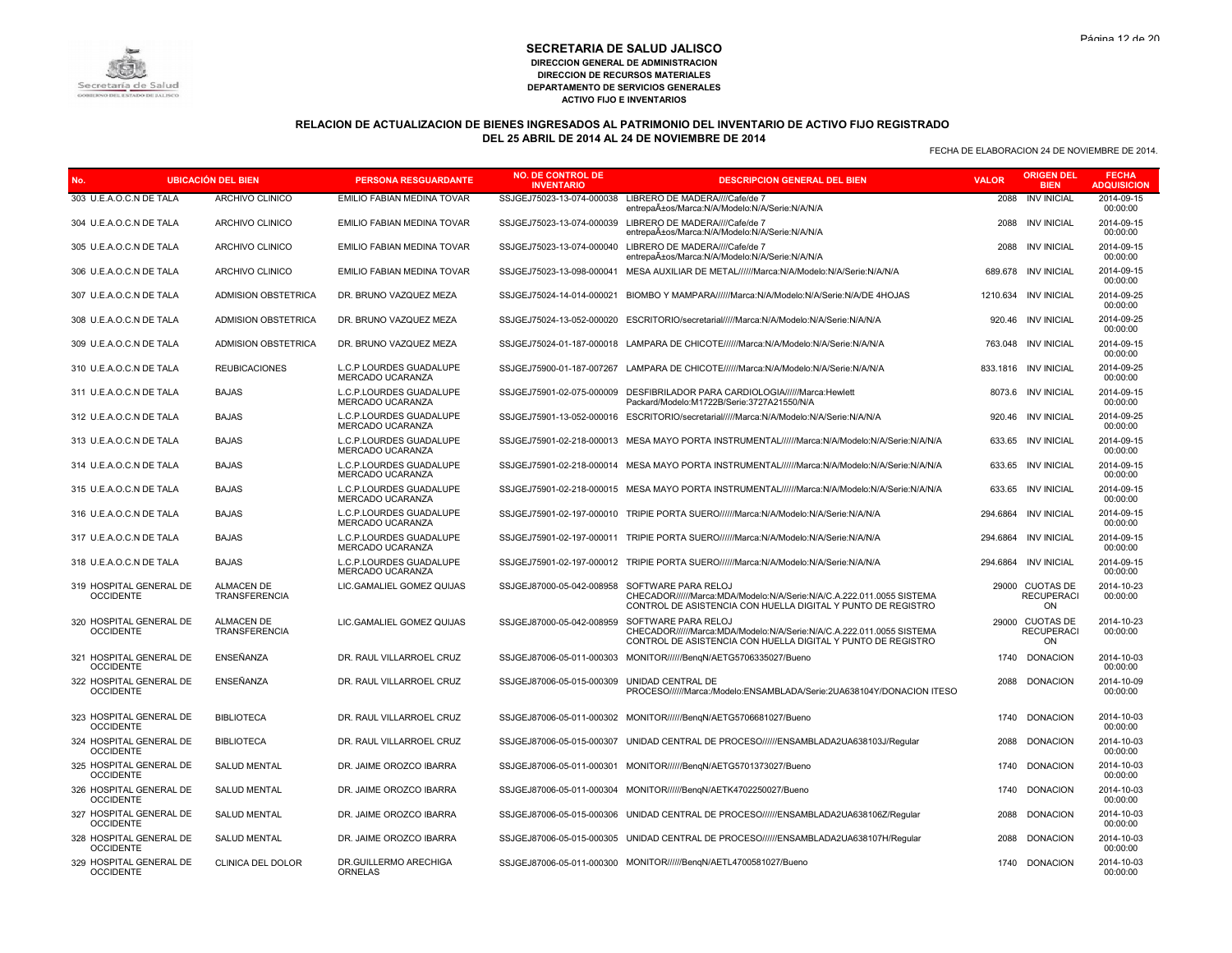

# **RELACION DE ACTUALIZACION DE BIENES INGRESADOS AL PATRIMONIO DEL INVENTARIO DE ACTIVO FIJO REGISTRADO DEL 25 ABRIL DE 2014 AL 24 DE NOVIEMBRE DE 2014**

| <b>UBICACIÓN DEL BIEN</b><br>No.            |                                    | <b>PERSONA RESGUARDANTE</b>                 | <b>NO. DE CONTROL DE</b><br><b>INVENTARIO</b> | <b>DESCRIPCION GENERAL DEL BIEN</b>                                                                                                                          | <b>VALOR</b> | <b>ORIGEN DEL</b><br><b>BIEN</b>           | <b>FECHA</b><br><b>ADQUISICION</b> |
|---------------------------------------------|------------------------------------|---------------------------------------------|-----------------------------------------------|--------------------------------------------------------------------------------------------------------------------------------------------------------------|--------------|--------------------------------------------|------------------------------------|
| 303 U.E.A.O.C.N DE TALA                     | ARCHIVO CLINICO                    | EMILIO FABIAN MEDINA TOVAR                  |                                               | SSJGEJ75023-13-074-000038 LIBRERO DE MADERA////Cafe/de 7<br>entrepaA±os/Marca:N/A/Modelo:N/A/Serie:N/A/N/A                                                   | 2088         | <b>INV INICIAL</b>                         | 2014-09-15<br>00:00:00             |
| 304 U.E.A.O.C.N DE TALA                     | ARCHIVO CLINICO                    | <b>EMILIO FABIAN MEDINA TOVAR</b>           | SSJGEJ75023-13-074-000039                     | LIBRERO DE MADERA////Cafe/de 7<br>entrepaños/Marca:N/A/Modelo:N/A/Serie:N/A/N/A                                                                              | 2088         | <b>INV INICIAL</b>                         | 2014-09-15<br>00:00:00             |
| 305 U.E.A.O.C.N DE TALA                     | ARCHIVO CLINICO                    | EMILIO FABIAN MEDINA TOVAR                  |                                               | SSJGEJ75023-13-074-000040 LIBRERO DE MADERA////Cafe/de 7<br>entrepaA±os/Marca:N/A/Modelo:N/A/Serie:N/A/N/A                                                   |              | 2088 INV INICIAL                           | 2014-09-15<br>00:00:00             |
| 306 U.E.A.O.C.N DE TALA                     | ARCHIVO CLINICO                    | EMILIO FABIAN MEDINA TOVAR                  | SSJGEJ75023-13-098-000041                     | MESA AUXILIAR DE METAL//////Marca:N/A/Modelo:N/A/Serie:N/A/N/A                                                                                               |              | 689.678 INV INICIAL                        | 2014-09-15<br>00:00:00             |
| 307 U.E.A.O.C.N DE TALA                     | <b>ADMISION OBSTETRICA</b>         | DR. BRUNO VAZQUEZ MEZA                      | SSJGEJ75024-14-014-000021                     | BIOMBO Y MAMPARA//////Marca:N/A/Modelo:N/A/Serie:N/A/DE 4HOJAS                                                                                               |              | 1210.634 INV INICIAL                       | 2014-09-25<br>00:00:00             |
| 308 U.E.A.O.C.N DE TALA                     | ADMISION OBSTETRICA                | DR. BRUNO VAZQUEZ MEZA                      | SSJGEJ75024-13-052-000020                     | ESCRITORIO/secretarial/////Marca:N/A/Modelo:N/A/Serie:N/A/N/A                                                                                                |              | 920.46 INV INICIAL                         | 2014-09-25<br>00:00:00             |
| 309 U.E.A.O.C.N DE TALA                     | ADMISION OBSTETRICA                | DR. BRUNO VAZQUEZ MEZA                      |                                               | SSJGEJ75024-01-187-000018 LAMPARA DE CHICOTE//////Marca:N/A/Modelo:N/A/Serie:N/A/N/A                                                                         |              | 763.048 INV INICIAL                        | 2014-09-15<br>00:00:00             |
| 310 U.E.A.O.C.N DE TALA                     | <b>REUBICACIONES</b>               | L.C.P LOURDES GUADALUPE<br>MERCADO UCARANZA |                                               | SSJGEJ75900-01-187-007267 LAMPARA DE CHICOTE//////Marca:N/A/Modelo:N/A/Serie:N/A/N/A                                                                         |              | 833.1816 INV INICIAL                       | 2014-09-25<br>00:00:00             |
| 311 U.E.A.O.C.N DE TALA                     | <b>BAJAS</b>                       | L.C.P.LOURDES GUADALUPE<br>MERCADO UCARANZA | SSJGEJ75901-02-075-000009                     | DESFIBRILADOR PARA CARDIOLOGIA//////Marca:Hewlett<br>Packard/Modelo:M1722B/Serie:3727A21550/N/A                                                              |              | 8073.6 INV INICIAL                         | 2014-09-15<br>00:00:00             |
| 312 U.E.A.O.C.N DE TALA                     | <b>BAJAS</b>                       | L.C.P.LOURDES GUADALUPE<br>MERCADO UCARANZA |                                               | SSJGEJ75901-13-052-000016 ESCRITORIO/secretarial/////Marca:N/A/Modelo:N/A/Serie:N/A/N/A                                                                      |              | 920.46 INV INICIAL                         | 2014-09-25<br>00:00:00             |
| 313 U.E.A.O.C.N DE TALA                     | <b>BAJAS</b>                       | L.C.P.LOURDES GUADALUPE<br>MERCADO UCARANZA |                                               | SSJGEJ75901-02-218-000013 MESA MAYO PORTA INSTRUMENTAL//////Marca:N/A/Modelo:N/A/Serie:N/A/N/A                                                               |              | 633.65 INV INICIAL                         | 2014-09-15<br>00:00:00             |
| 314 U.E.A.O.C.N DE TALA                     | <b>BAJAS</b>                       | L.C.P.LOURDES GUADALUPE<br>MERCADO UCARANZA |                                               | SSJGEJ75901-02-218-000014 MESA MAYO PORTA INSTRUMENTAL//////Marca:N/A/Modelo:N/A/Serie:N/A/N/A                                                               |              | 633.65 INV INICIAL                         | 2014-09-15<br>00:00:00             |
| 315 U.E.A.O.C.N DE TALA                     | <b>BAJAS</b>                       | L.C.P.LOURDES GUADALUPE<br>MERCADO UCARANZA |                                               | SSJGEJ75901-02-218-000015 MESA MAYO PORTA INSTRUMENTAL//////Marca:N/A/Modelo:N/A/Serie:N/A/N/A                                                               | 633.65       | <b>INV INICIAL</b>                         | 2014-09-15<br>00:00:00             |
| 316 U.E.A.O.C.N DE TALA                     | <b>BAJAS</b>                       | L.C.P.LOURDES GUADALUPE<br>MERCADO UCARANZA |                                               | SSJGEJ75901-02-197-000010 TRIPIE PORTA SUERO//////Marca:N/A/Modelo:N/A/Serie:N/A/N/A                                                                         | 294.6864     | <b>INV INICIAL</b>                         | 2014-09-15<br>00:00:00             |
| 317 U.E.A.O.C.N DE TALA                     | <b>BAJAS</b>                       | L.C.P.LOURDES GUADALUPE<br>MERCADO UCARANZA |                                               | SSJGEJ75901-02-197-000011 TRIPIE PORTA SUERO//////Marca:N/A/Modelo:N/A/Serie:N/A/N/A                                                                         |              | 294.6864 INV INICIAL                       | 2014-09-15<br>00:00:00             |
| 318 U.E.A.O.C.N DE TALA                     | <b>BAJAS</b>                       | L.C.P.LOURDES GUADALUPE<br>MERCADO UCARANZA |                                               | SSJGEJ75901-02-197-000012 TRIPIE PORTA SUERO//////Marca:N/A/Modelo:N/A/Serie:N/A/N/A                                                                         | 294.6864     | <b>INV INICIAL</b>                         | 2014-09-15<br>00:00:00             |
| 319 HOSPITAL GENERAL DE<br><b>OCCIDENTE</b> | <b>ALMACEN DE</b><br>TRANSFERENCIA | LIC.GAMALIEL GOMEZ QUIJAS                   | SSJGEJ87000-05-042-008958                     | SOFTWARE PARA RELOJ<br>CHECADOR//////Marca:MDA/Modelo:N/A/Serie:N/A/C.A.222.011.0055 SISTEMA<br>CONTROL DE ASISTENCIA CON HUELLA DIGITAL Y PUNTO DE REGISTRO |              | 29000 CUOTAS DE<br><b>RECUPERACI</b><br>ON | 2014-10-23<br>00:00:00             |
| 320 HOSPITAL GENERAL DE<br><b>OCCIDENTE</b> | <b>ALMACEN DE</b><br>TRANSFERENCIA | LIC.GAMALIEL GOMEZ QUIJAS                   | SSJGEJ87000-05-042-008959                     | SOFTWARE PARA RELOJ<br>CHECADOR//////Marca:MDA/Modelo:N/A/Serie:N/A/C.A.222.011.0055 SISTEMA<br>CONTROL DE ASISTENCIA CON HUELLA DIGITAL Y PUNTO DE REGISTRO |              | 29000 CUOTAS DE<br><b>RECUPERACI</b><br>ON | 2014-10-23<br>00:00:00             |
| 321 HOSPITAL GENERAL DE<br><b>OCCIDENTE</b> | ENSEÑANZA                          | DR. RAUL VILLARROEL CRUZ                    | SSJGEJ87006-05-011-000303                     | MONITOR//////BengN/AETG5706335027/Bueno                                                                                                                      | 1740         | <b>DONACION</b>                            | 2014-10-03<br>00:00:00             |
| 322 HOSPITAL GENERAL DE<br><b>OCCIDENTE</b> | ENSEÑANZA                          | DR. RAUL VILLARROEL CRUZ                    | SSJGEJ87006-05-015-000309                     | UNIDAD CENTRAL DE<br>PROCESO//////Marca:/Modelo:ENSAMBLADA/Serie:2UA638104Y/DONACION ITESO                                                                   |              | 2088 DONACION                              | 2014-10-09<br>00:00:00             |
| 323 HOSPITAL GENERAL DE<br><b>OCCIDENTE</b> | <b>BIBLIOTECA</b>                  | DR. RAUL VILLARROEL CRUZ                    |                                               | SSJGEJ87006-05-011-000302 MONITOR//////BengN/AETG5706681027/Bueno                                                                                            | 1740         | <b>DONACION</b>                            | 2014-10-03<br>00:00:00             |
| 324 HOSPITAL GENERAL DE<br><b>OCCIDENTE</b> | <b>BIBLIOTECA</b>                  | DR. RAUL VILLARROEL CRUZ                    |                                               | SSJGEJ87006-05-015-000307 UNIDAD CENTRAL DE PROCESO///////ENSAMBLADA2UA638103J/Reqular                                                                       | 2088         | <b>DONACION</b>                            | 2014-10-03<br>00:00:00             |
| 325 HOSPITAL GENERAL DE<br><b>OCCIDENTE</b> | <b>SALUD MENTAL</b>                | DR. JAIME OROZCO IBARRA                     |                                               | SSJGEJ87006-05-011-000301 MONITOR//////BengN/AETG5701373027/Bueno                                                                                            |              | 1740 DONACION                              | 2014-10-03<br>00:00:00             |
| 326 HOSPITAL GENERAL DE<br><b>OCCIDENTE</b> | <b>SALUD MENTAL</b>                | DR. JAIME OROZCO IBARRA                     |                                               | SSJGEJ87006-05-011-000304 MONITOR//////BenqN/AETK4702250027/Bueno                                                                                            | 1740         | <b>DONACION</b>                            | 2014-10-03<br>00:00:00             |
| 327 HOSPITAL GENERAL DE<br><b>OCCIDENTE</b> | SALUD MENTAL                       | DR. JAIME OROZCO IBARRA                     |                                               | SSJGEJ87006-05-015-000306 UNIDAD CENTRAL DE PROCESO///////ENSAMBLADA2UA638106Z/Regular                                                                       | 2088         | <b>DONACION</b>                            | 2014-10-03<br>00:00:00             |
| 328 HOSPITAL GENERAL DE<br><b>OCCIDENTE</b> | <b>SALUD MENTAL</b>                | DR. JAIME OROZCO IBARRA                     |                                               | SSJGEJ87006-05-015-000305 UNIDAD CENTRAL DE PROCESO//////ENSAMBLADA2UA638107H/Reqular                                                                        | 2088         | <b>DONACION</b>                            | 2014-10-03<br>00:00:00             |
| 329 HOSPITAL GENERAL DE<br><b>OCCIDENTE</b> | <b>CLINICA DEL DOLOR</b>           | DR.GUILLERMO ARECHIGA<br>ORNELAS            |                                               | SSJGEJ87006-05-011-000300 MONITOR//////BengN/AETL4700581027/Bueno                                                                                            |              | 1740 DONACION                              | 2014-10-03<br>00:00:00             |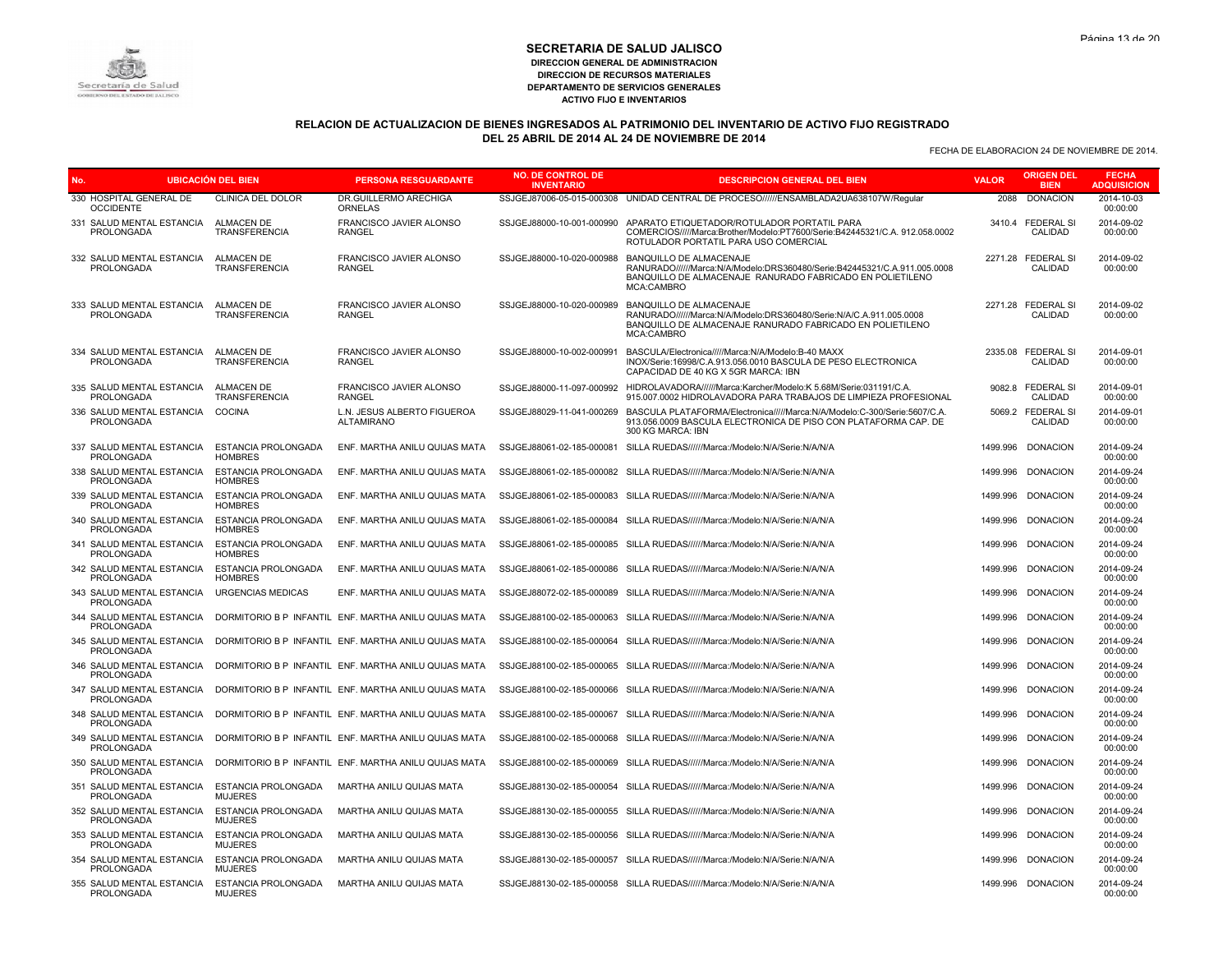

# **RELACION DE ACTUALIZACION DE BIENES INGRESADOS AL PATRIMONIO DEL INVENTARIO DE ACTIVO FIJO REGISTRADO DEL 25 ABRIL DE 2014 AL 24 DE NOVIEMBRE DE 2014**

| No.                                                         | <b>UBICACIÓN DEL BIEN</b>                    | <b>PERSONA RESGUARDANTE</b>                                                      | <b>NO. DE CONTROL DE</b><br><b>INVENTARIO</b> | <b>DESCRIPCION GENERAL DEL BIEN</b>                                                                                                                                                    | <b>VALOR</b> | <b>ORIGEN DEL</b><br><b>BIEN</b> | <b>FECHA</b><br><b>ADQUISICION</b> |
|-------------------------------------------------------------|----------------------------------------------|----------------------------------------------------------------------------------|-----------------------------------------------|----------------------------------------------------------------------------------------------------------------------------------------------------------------------------------------|--------------|----------------------------------|------------------------------------|
| 330 HOSPITAL GENERAL DE<br><b>OCCIDENTE</b>                 | <b>CLINICA DEL DOLOR</b>                     | DR.GUILLERMO ARECHIGA<br>ORNELAS                                                 |                                               | SSJGEJ87006-05-015-000308 UNIDAD CENTRAL DE PROCESO//////ENSAMBLADA2UA638107W/Reqular                                                                                                  | 2088         | <b>DONACION</b>                  | 2014-10-03<br>00:00:00             |
| 331 SALUD MENTAL ESTANCIA<br>PROLONGADA                     | <b>ALMACEN DE</b><br>TRANSFERENCIA           | FRANCISCO JAVIER ALONSO<br><b>RANGEL</b>                                         | SSJGEJ88000-10-001-000990                     | APARATO ETIQUETADOR/ROTULADOR PORTATIL PARA<br>COMERCIOS/////Marca:Brother/Modelo:PT7600/Serie:B42445321/C.A. 912.058.0002<br>ROTULADOR PORTATIL PARA USO COMERCIAL                    |              | 3410.4 FEDERAL SI<br>CALIDAD     | 2014-09-02<br>00:00:00             |
| 332 SALUD MENTAL ESTANCIA<br>PROLONGADA                     | <b>ALMACEN DE</b><br><b>TRANSFERENCIA</b>    | FRANCISCO JAVIER ALONSO<br><b>RANGEL</b>                                         | SSJGEJ88000-10-020-000988                     | BANQUILLO DE ALMACENAJE<br>RANURADO//////Marca:N/A/Modelo:DRS360480/Serie:B42445321/C.A.911.005.0008<br>BANQUILLO DE ALMACENAJE RANURADO FABRICADO EN POLIETILENO<br><b>MCA:CAMBRO</b> |              | 2271.28 FEDERAL SI<br>CALIDAD    | 2014-09-02<br>00:00:00             |
| 333 SALUD MENTAL ESTANCIA<br><b>PROLONGADA</b>              | ALMACEN DE<br><b>TRANSFERENCIA</b>           | <b>FRANCISCO JAVIER ALONSO</b><br><b>RANGEL</b>                                  | SSJGEJ88000-10-020-000989                     | BANQUILLO DE ALMACENAJE<br>RANURADO//////Marca:N/A/Modelo:DRS360480/Serie:N/A/C.A.911.005.0008<br>BANQUILLO DE ALMACENAJE RANURADO FABRICADO EN POLIETILENO<br>MCA:CAMBRO              |              | 2271.28 FEDERAL SI<br>CALIDAD    | 2014-09-02<br>00:00:00             |
| 334 SALUD MENTAL ESTANCIA<br>PROLONGADA                     | <b>ALMACEN DE</b><br><b>TRANSFERENCIA</b>    | FRANCISCO JAVIER ALONSO<br><b>RANGEL</b>                                         | SSJGEJ88000-10-002-000991                     | BASCULA/Electronica/////Marca:N/A/Modelo:B-40 MAXX<br>INOX/Serie:16998/C.A.913.056.0010 BASCULA DE PESO ELECTRONICA<br>CAPACIDAD DE 40 KG X 5GR MARCA: IBN                             |              | 2335.08 FEDERAL SI<br>CALIDAD    | 2014-09-01<br>00:00:00             |
| 335 SALUD MENTAL ESTANCIA<br>PROLONGADA                     | <b>ALMACEN DE</b><br><b>TRANSFERENCIA</b>    | FRANCISCO JAVIER ALONSO<br><b>RANGEL</b>                                         |                                               | SSJGEJ88000-11-097-000992 HIDROLAVADORA//////Marca:Karcher/Modelo:K 5.68M/Serie:031191/C.A.<br>915.007.0002 HIDROLAVADORA PARA TRABAJOS DE LIMPIEZA PROFESIONAL                        |              | 9082.8 FEDERAL SI<br>CALIDAD     | 2014-09-01<br>00:00:00             |
| 336 SALUD MENTAL ESTANCIA<br><b>PROLONGADA</b>              | <b>COCINA</b>                                | L.N. JESUS ALBERTO FIGUEROA<br><b>ALTAMIRANO</b>                                 | SSJGEJ88029-11-041-000269                     | BASCULA PLATAFORMA/Electronica/////Marca:N/A/Modelo:C-300/Serie:5607/C.A.<br>913.056.0009 BASCULA ELECTRONICA DE PISO CON PLATAFORMA CAP. DE<br>300 KG MARCA: IBN                      |              | 5069.2 FEDERAL SI<br>CALIDAD     | 2014-09-01<br>00:00:00             |
| 337 SALUD MENTAL ESTANCIA<br><b>PROLONGADA</b>              | ESTANCIA PROLONGADA<br><b>HOMBRES</b>        | ENF. MARTHA ANILU QUIJAS MATA                                                    | SSJGEJ88061-02-185-000081                     | SILLA RUEDAS//////Marca:/Modelo:N/A/Serie:N/A/N/A                                                                                                                                      | 1499.996     | <b>DONACION</b>                  | 2014-09-24<br>00:00:00             |
| 338 SALUD MENTAL ESTANCIA<br>PROLONGADA                     | ESTANCIA PROLONGADA<br><b>HOMBRES</b>        | ENF. MARTHA ANILU QUIJAS MATA                                                    |                                               | SSJGEJ88061-02-185-000082 SILLA RUEDAS//////Marca:/Modelo:N/A/Serie:N/A/N/A                                                                                                            |              | 1499.996 DONACION                | 2014-09-24<br>00:00:00             |
| 339 SALUD MENTAL ESTANCIA<br><b>PROLONGADA</b>              | ESTANCIA PROLONGADA<br><b>HOMBRES</b>        | ENF. MARTHA ANILU QUIJAS MATA                                                    |                                               | SSJGEJ88061-02-185-000083 SILLA RUEDAS//////Marca:/Modelo:N/A/Serie:N/A/N/A                                                                                                            |              | 1499.996 DONACION                | 2014-09-24<br>00:00:00             |
| 340 SALUD MENTAL ESTANCIA<br>PROLONGADA                     | ESTANCIA PROLONGADA<br><b>HOMBRES</b>        | ENF. MARTHA ANILU QUIJAS MATA                                                    |                                               | SSJGEJ88061-02-185-000084 SILLA RUEDAS//////Marca:/Modelo:N/A/Serie:N/A/N/A                                                                                                            | 1499.996     | <b>DONACION</b>                  | 2014-09-24<br>00:00:00             |
| 341 SALUD MENTAL ESTANCIA<br><b>PROLONGADA</b>              | ESTANCIA PROLONGADA<br><b>HOMBRES</b>        | ENF. MARTHA ANILU QUIJAS MATA                                                    |                                               | SSJGEJ88061-02-185-000085 SILLA RUEDAS//////Marca:/Modelo:N/A/Serie:N/A/N/A                                                                                                            |              | 1499.996 DONACION                | 2014-09-24<br>00:00:00             |
| 342 SALUD MENTAL ESTANCIA<br><b>PROLONGADA</b>              | ESTANCIA PROLONGADA<br><b>HOMBRES</b>        | ENF. MARTHA ANILU QUIJAS MATA                                                    |                                               | SSJGEJ88061-02-185-000086 SILLA RUEDAS//////Marca:/Modelo:N/A/Serie:N/A/N/A                                                                                                            |              | 1499.996 DONACION                | 2014-09-24<br>00:00:00             |
| 343 SALUD MENTAL ESTANCIA<br><b>PROLONGADA</b>              | <b>URGENCIAS MEDICAS</b>                     | ENF. MARTHA ANILU QUIJAS MATA                                                    |                                               | SSJGEJ88072-02-185-000089 SILLA RUEDAS//////Marca:/Modelo:N/A/Serie:N/A/N/A                                                                                                            | 1499.996     | <b>DONACION</b>                  | 2014-09-24<br>00:00:00             |
| 344 SALUD MENTAL ESTANCIA<br><b>PROLONGADA</b>              |                                              | DORMITORIO B P INFANTIL ENF. MARTHA ANILU QUIJAS MATA                            |                                               | SSJGEJ88100-02-185-000063 SILLA RUEDAS//////Marca:/Modelo:N/A/Serie:N/A/N/A                                                                                                            | 1499.996     | <b>DONACION</b>                  | 2014-09-24<br>00:00:00             |
| PROLONGADA                                                  |                                              | 345 SALUD MENTAL ESTANCIA DORMITORIO B P INFANTIL ENF. MARTHA ANILU QUIJAS MATA  |                                               | SSJGEJ88100-02-185-000064 SILLA RUEDAS//////Marca:/Modelo:N/A/Serie:N/A/N/A                                                                                                            | 1499.996     | <b>DONACION</b>                  | 2014-09-24<br>00:00:00             |
| 346 SALUD MENTAL ESTANCIA<br><b>PROLONGADA</b>              |                                              | DORMITORIO B P INFANTIL ENF. MARTHA ANILU QUIJAS MATA                            |                                               | SSJGEJ88100-02-185-000065 SILLA RUEDAS//////Marca:/Modelo:N/A/Serie:N/A/N/A                                                                                                            | 1499.996     | <b>DONACION</b>                  | 2014-09-24<br>00:00:00             |
| <b>PROLONGADA</b>                                           |                                              | 347 SALUD MENTAL ESTANCIA DORMITORIO B P INFANTIL ENF. MARTHA ANILU QUIJAS MATA  |                                               | SSJGEJ88100-02-185-000066 SILLA RUEDAS//////Marca:/Modelo:N/A/Serie:N/A/N/A                                                                                                            | 1499.996     | <b>DONACION</b>                  | 2014-09-24<br>00:00:00             |
| 348 SALUD MENTAL ESTANCIA<br>PROLONGADA                     |                                              | DORMITORIO B P INFANTIL ENF. MARTHA ANILU QUIJAS MATA                            |                                               | SSJGEJ88100-02-185-000067 SILLA RUEDAS//////Marca:/Modelo:N/A/Serie:N/A/N/A                                                                                                            | 1499.996     | <b>DONACION</b>                  | 2014-09-24<br>00:00:00             |
| <b>PROLONGADA</b>                                           |                                              | 349 SALUD MENTAL ESTANCIA  DORMITORIO B P INFANTIL ENF. MARTHA ANILU QUIJAS MATA |                                               | SSJGEJ88100-02-185-000068 SILLA RUEDAS//////Marca:/Modelo:N/A/Serie:N/A/N/A                                                                                                            |              | 1499.996 DONACION                | 2014-09-24<br>00:00:00             |
| <b>PROLONGADA</b>                                           |                                              | 350 SALUD MENTAL ESTANCIA DORMITORIO B P INFANTIL ENF. MARTHA ANILU QUIJAS MATA  |                                               | SSJGEJ88100-02-185-000069 SILLA RUEDAS/////Marca:/Modelo:N/A/Serie:N/A/N/A                                                                                                             |              | 1499.996 DONACION                | 2014-09-24<br>00:00:00             |
| 351 SALUD MENTAL ESTANCIA ESTANCIA PROLONGADA<br>PROLONGADA | <b>MUJERES</b>                               | MARTHA ANILU QUIJAS MATA                                                         |                                               | SSJGEJ88130-02-185-000054 SILLA RUEDAS//////Marca:/Modelo:N/A/Serie:N/A/N/A                                                                                                            |              | 1499.996 DONACION                | 2014-09-24<br>00:00:00             |
| 352 SALUD MENTAL ESTANCIA<br><b>PROLONGADA</b>              | <b>ESTANCIA PROLONGADA</b><br><b>MUJERES</b> | MARTHA ANILU QUIJAS MATA                                                         |                                               | SSJGEJ88130-02-185-000055 SILLA RUEDAS//////Marca:/Modelo:N/A/Serie:N/A/N/A                                                                                                            |              | 1499.996 DONACION                | 2014-09-24<br>00:00:00             |
| 353 SALUD MENTAL ESTANCIA ESTANCIA PROLONGADA<br>PROLONGADA | <b>MUJERES</b>                               | MARTHA ANILU QUIJAS MATA                                                         |                                               | SSJGEJ88130-02-185-000056 SILLA RUEDAS//////Marca:/Modelo:N/A/Serie:N/A/N/A                                                                                                            |              | 1499.996 DONACION                | 2014-09-24<br>00:00:00             |
| 354 SALUD MENTAL ESTANCIA<br><b>PROLONGADA</b>              | ESTANCIA PROLONGADA<br><b>MUJERES</b>        | MARTHA ANILU QUIJAS MATA                                                         |                                               | SSJGEJ88130-02-185-000057 SILLA RUEDAS//////Marca:/Modelo:N/A/Serie:N/A/N/A                                                                                                            |              | 1499.996 DONACION                | 2014-09-24<br>00:00:00             |
| 355 SALUD MENTAL ESTANCIA<br>PROLONGADA                     | ESTANCIA PROLONGADA<br><b>MUJERES</b>        | MARTHA ANILU QUIJAS MATA                                                         |                                               | SSJGEJ88130-02-185-000058 SILLA RUEDAS//////Marca:/Modelo:N/A/Serie:N/A/N/A                                                                                                            |              | 1499.996 DONACION                | 2014-09-24<br>00:00:00             |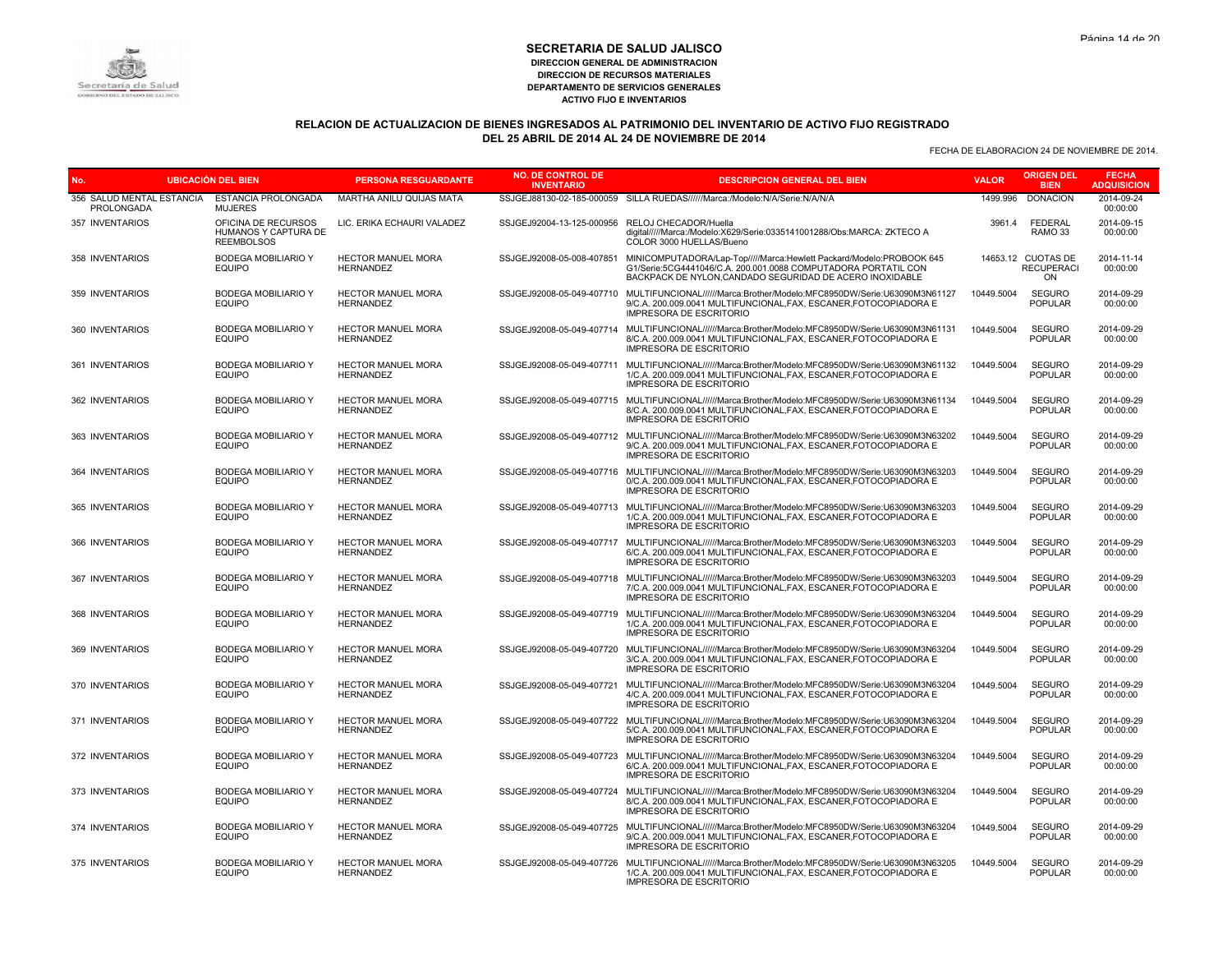

# **RELACION DE ACTUALIZACION DE BIENES INGRESADOS AL PATRIMONIO DEL INVENTARIO DE ACTIVO FIJO REGISTRADO DEL 25 ABRIL DE 2014 AL 24 DE NOVIEMBRE DE 2014**

| No.                                     | <b>UBICACIÓN DEL BIEN</b>                                        | <b>PERSONA RESGUARDANTE</b>                   | <b>NO. DE CONTROL DE</b><br><b>INVENTARIO</b>   | <b>DESCRIPCION GENERAL DEL BIEN</b>                                                                                                                                                                      | <b>VALOR</b> | <b>ORIGEN DEL</b><br><b>BIEN</b>              | <b>FECHA</b><br><b>ADQUISICION</b> |
|-----------------------------------------|------------------------------------------------------------------|-----------------------------------------------|-------------------------------------------------|----------------------------------------------------------------------------------------------------------------------------------------------------------------------------------------------------------|--------------|-----------------------------------------------|------------------------------------|
| 356 SALUD MENTAL ESTANCIA<br>PROLONGADA | ESTANCIA PROLONGADA<br><b>MUJERES</b>                            | MARTHA ANILU QUIJAS MATA                      |                                                 | SSJGEJ88130-02-185-000059 SILLA RUEDAS//////Marca:/Modelo:N/A/Serie:N/A/N/A                                                                                                                              | 1499.996     | <b>DONACION</b>                               | 2014-09-24<br>00:00:00             |
| 357 INVENTARIOS                         | OFICINA DE RECURSOS<br>HUMANOS Y CAPTURA DE<br><b>REEMBOLSOS</b> | LIC. ERIKA ECHAURI VALADEZ                    | SSJGEJ92004-13-125-000956 RELOJ CHECADOR/Huella | digital/////Marca:/Modelo:X629/Serie:0335141001288/Obs:MARCA: ZKTECO A<br>COLOR 3000 HUELLAS/Bueno                                                                                                       | 3961.4       | <b>FEDERAL</b><br>RAMO 33                     | 2014-09-15<br>00:00:00             |
| 358 INVENTARIOS                         | <b>BODEGA MOBILIARIO Y</b><br><b>EQUIPO</b>                      | HECTOR MANUEL MORA<br><b>HERNANDEZ</b>        | SSJGEJ92008-05-008-407851                       | MINICOMPUTADORA/Lap-Top/////Marca:Hewlett Packard/Modelo:PROBOOK 645<br>G1/Serie:5CG4441046/C.A. 200.001.0088 COMPUTADORA PORTATIL CON<br>BACKPACK DE NYLON, CANDADO SEGURIDAD DE ACERO INOXIDABLE       |              | 14653.12 CUOTAS DE<br><b>RECUPERACI</b><br>ON | 2014-11-14<br>00:00:00             |
| 359 INVENTARIOS                         | <b>BODEGA MOBILIARIO Y</b><br><b>EQUIPO</b>                      | <b>HECTOR MANUEL MORA</b><br><b>HERNANDEZ</b> |                                                 | SSJGEJ92008-05-049-407710 MULTIFUNCIONAL//////Marca:Brother/Modelo:MFC8950DW/Serie:U63090M3N61127<br>9/C.A. 200.009.0041 MULTIFUNCIONAL, FAX, ESCANER, FOTOCOPIADORA E<br><b>IMPRESORA DE ESCRITORIO</b> | 10449.5004   | <b>SEGURO</b><br><b>POPULAR</b>               | 2014-09-29<br>00:00:00             |
| 360 INVENTARIOS                         | <b>BODEGA MOBILIARIO Y</b><br><b>EQUIPO</b>                      | <b>HECTOR MANUEL MORA</b><br><b>HERNANDEZ</b> |                                                 | SSJGEJ92008-05-049-407714 MULTIFUNCIONAL//////Marca:Brother/Modelo:MFC8950DW/Serie:U63090M3N61131<br>8/C.A. 200.009.0041 MULTIFUNCIONAL.FAX. ESCANER.FOTOCOPIADORA E<br><b>IMPRESORA DE ESCRITORIO</b>   | 10449.5004   | <b>SEGURO</b><br><b>POPULAR</b>               | 2014-09-29<br>00:00:00             |
| 361 INVENTARIOS                         | <b>BODEGA MOBILIARIO Y</b><br><b>EQUIPO</b>                      | HECTOR MANUEL MORA<br><b>HERNANDEZ</b>        |                                                 | SSJGEJ92008-05-049-407711 MULTIFUNCIONAL//////Marca:Brother/Modelo:MFC8950DW/Serie:U63090M3N61132<br>1/C.A. 200.009.0041 MULTIFUNCIONAL.FAX. ESCANER.FOTOCOPIADORA E<br><b>IMPRESORA DE ESCRITORIO</b>   | 10449.5004   | <b>SEGURO</b><br><b>POPULAR</b>               | 2014-09-29<br>00:00:00             |
| 362 INVENTARIOS                         | <b>BODEGA MOBILIARIO Y</b><br><b>EQUIPO</b>                      | <b>HECTOR MANUEL MORA</b><br><b>HERNANDEZ</b> |                                                 | SSJGEJ92008-05-049-407715 MULTIFUNCIONAL//////Marca:Brother/Modelo:MFC8950DW/Serie:U63090M3N61134<br>8/C.A. 200.009.0041 MULTIFUNCIONAL, FAX, ESCANER, FOTOCOPIADORA E<br><b>IMPRESORA DE ESCRITORIO</b> | 10449.5004   | <b>SEGURO</b><br><b>POPULAR</b>               | 2014-09-29<br>00:00:00             |
| 363 INVENTARIOS                         | <b>BODEGA MOBILIARIO Y</b><br><b>EQUIPO</b>                      | HECTOR MANUEL MORA<br><b>HERNANDEZ</b>        |                                                 | SSJGEJ92008-05-049-407712 MULTIFUNCIONAL//////Marca:Brother/Modelo:MFC8950DW/Serie:U63090M3N63202<br>9/C.A. 200.009.0041 MULTIFUNCIONAL, FAX, ESCANER, FOTOCOPIADORA E<br><b>IMPRESORA DE ESCRITORIO</b> | 10449.5004   | <b>SEGURO</b><br><b>POPULAR</b>               | 2014-09-29<br>00:00:00             |
| 364 INVENTARIOS                         | <b>BODEGA MOBILIARIO Y</b><br><b>EQUIPO</b>                      | <b>HECTOR MANUEL MORA</b><br><b>HERNANDEZ</b> |                                                 | SSJGEJ92008-05-049-407716 MULTIFUNCIONAL//////Marca:Brother/Modelo:MFC8950DW/Serie:U63090M3N63203<br>0/C.A. 200.009.0041 MULTIFUNCIONAL.FAX. ESCANER.FOTOCOPIADORA E<br><b>IMPRESORA DE ESCRITORIO</b>   | 10449.5004   | <b>SEGURO</b><br><b>POPULAR</b>               | 2014-09-29<br>00:00:00             |
| 365 INVENTARIOS                         | <b>BODEGA MOBILIARIO Y</b><br><b>EQUIPO</b>                      | <b>HECTOR MANUEL MORA</b><br><b>HERNANDEZ</b> |                                                 | SSJGEJ92008-05-049-407713 MULTIFUNCIONAL//////Marca:Brother/Modelo:MFC8950DW/Serie:U63090M3N63203<br>1/C.A. 200.009.0041 MULTIFUNCIONAL, FAX, ESCANER, FOTOCOPIADORA E<br><b>IMPRESORA DE ESCRITORIO</b> | 10449.5004   | <b>SEGURO</b><br><b>POPULAR</b>               | 2014-09-29<br>00:00:00             |
| 366 INVENTARIOS                         | <b>BODEGA MOBILIARIO Y</b><br><b>EQUIPO</b>                      | <b>HECTOR MANUEL MORA</b><br><b>HERNANDEZ</b> | SSJGEJ92008-05-049-407717                       | MULTIFUNCIONAL//////Marca:Brother/Modelo:MFC8950DW/Serie:U63090M3N63203<br>6/C.A. 200.009.0041 MULTIFUNCIONAL, FAX, ESCANER, FOTOCOPIADORA E<br><b>IMPRESORA DE ESCRITORIO</b>                           | 10449.5004   | <b>SEGURO</b><br><b>POPULAR</b>               | 2014-09-29<br>00:00:00             |
| 367 INVENTARIOS                         | <b>BODEGA MOBILIARIO Y</b><br><b>EQUIPO</b>                      | <b>HECTOR MANUEL MORA</b><br>HERNANDEZ        | SSJGEJ92008-05-049-407718                       | MULTIFUNCIONAL//////Marca:Brother/Modelo:MFC8950DW/Serie:U63090M3N63203<br>7/C.A. 200.009.0041 MULTIFUNCIONAL, FAX, ESCANER, FOTOCOPIADORA E<br><b>IMPRESORA DE ESCRITORIO</b>                           | 10449.5004   | <b>SEGURO</b><br><b>POPULAR</b>               | 2014-09-29<br>00:00:00             |
| 368 INVENTARIOS                         | <b>BODEGA MOBILIARIO Y</b><br><b>EQUIPO</b>                      | HECTOR MANUEL MORA<br><b>HERNANDEZ</b>        | SSJGEJ92008-05-049-407719                       | MULTIFUNCIONAL//////Marca:Brother/Modelo:MFC8950DW/Serie:U63090M3N63204<br>1/C.A. 200.009.0041 MULTIFUNCIONAL, FAX, ESCANER, FOTOCOPIADORA E<br><b>IMPRESORA DE ESCRITORIO</b>                           | 10449.5004   | <b>SEGURO</b><br><b>POPULAR</b>               | 2014-09-29<br>00:00:00             |
| 369 INVENTARIOS                         | <b>BODEGA MOBILIARIO Y</b><br><b>EQUIPO</b>                      | HECTOR MANUEL MORA<br><b>HERNANDEZ</b>        | SSJGEJ92008-05-049-407720                       | MULTIFUNCIONAL//////Marca:Brother/Modelo:MFC8950DW/Serie:U63090M3N63204<br>3/C.A. 200.009.0041 MULTIFUNCIONAL.FAX. ESCANER.FOTOCOPIADORA E<br><b>IMPRESORA DE ESCRITORIO</b>                             | 10449.5004   | <b>SEGURO</b><br><b>POPULAR</b>               | 2014-09-29<br>00:00:00             |
| 370 INVENTARIOS                         | <b>BODEGA MOBILIARIO Y</b><br><b>EQUIPO</b>                      | <b>HECTOR MANUEL MORA</b><br><b>HERNANDEZ</b> | SSJGEJ92008-05-049-407721                       | MULTIFUNCIONAL//////Marca:Brother/Modelo:MFC8950DW/Serie:U63090M3N63204<br>4/C.A. 200.009.0041 MULTIFUNCIONAL, FAX, ESCANER, FOTOCOPIADORA E<br><b>IMPRESORA DE ESCRITORIO</b>                           | 10449.5004   | <b>SEGURO</b><br><b>POPULAR</b>               | 2014-09-29<br>00:00:00             |
| 371 INVENTARIOS                         | <b>BODEGA MOBILIARIO Y</b><br><b>EQUIPO</b>                      | <b>HECTOR MANUEL MORA</b><br><b>HERNANDEZ</b> |                                                 | SSJGEJ92008-05-049-407722 MULTIFUNCIONAL//////Marca:Brother/Modelo:MFC8950DW/Serie:U63090M3N63204<br>5/C.A. 200.009.0041 MULTIFUNCIONAL, FAX, ESCANER, FOTOCOPIADORA E<br><b>IMPRESORA DE ESCRITORIO</b> | 10449.5004   | <b>SEGURO</b><br><b>POPULAR</b>               | 2014-09-29<br>00:00:00             |
| 372 INVENTARIOS                         | <b>BODEGA MOBILIARIO Y</b><br><b>EQUIPO</b>                      | <b>HECTOR MANUEL MORA</b><br>HERNANDEZ        | SSJGEJ92008-05-049-407723                       | MULTIFUNCIONAL//////Marca:Brother/Modelo:MFC8950DW/Serie:U63090M3N63204<br>6/C.A. 200.009.0041 MULTIFUNCIONAL, FAX, ESCANER, FOTOCOPIADORA E<br><b>IMPRESORA DE ESCRITORIO</b>                           | 10449.5004   | <b>SEGURO</b><br><b>POPULAR</b>               | 2014-09-29<br>00:00:00             |
| 373 INVENTARIOS                         | <b>BODEGA MOBILIARIO Y</b><br><b>EQUIPO</b>                      | HECTOR MANUEL MORA<br><b>HERNANDEZ</b>        |                                                 | SSJGEJ92008-05-049-407724 MULTIFUNCIONAL//////Marca:Brother/Modelo:MFC8950DW/Serie:U63090M3N63204<br>8/C.A. 200.009.0041 MULTIFUNCIONAL, FAX, ESCANER, FOTOCOPIADORA E<br><b>IMPRESORA DE ESCRITORIO</b> | 10449.5004   | <b>SEGURO</b><br><b>POPULAR</b>               | 2014-09-29<br>00:00:00             |
| 374 INVENTARIOS                         | <b>BODEGA MOBILIARIO Y</b><br><b>EQUIPO</b>                      | <b>HECTOR MANUEL MORA</b><br><b>HERNANDEZ</b> |                                                 | SSJGEJ92008-05-049-407725 MULTIFUNCIONAL//////Marca:Brother/Modelo:MFC8950DW/Serie:U63090M3N63204<br>9/C.A. 200.009.0041 MULTIFUNCIONAL, FAX, ESCANER, FOTOCOPIADORA E<br><b>IMPRESORA DE ESCRITORIO</b> | 10449.5004   | <b>SEGURO</b><br><b>POPULAR</b>               | 2014-09-29<br>00:00:00             |
| 375 INVENTARIOS                         | <b>BODEGA MOBILIARIO Y</b><br><b>EQUIPO</b>                      | <b>HECTOR MANUEL MORA</b><br><b>HERNANDEZ</b> |                                                 | SSJGEJ92008-05-049-407726 MULTIFUNCIONAL//////Marca:Brother/Modelo:MFC8950DW/Serie:U63090M3N63205<br>1/C.A. 200.009.0041 MULTIFUNCIONAL.FAX. ESCANER.FOTOCOPIADORA E<br><b>IMPRESORA DE ESCRITORIO</b>   | 10449.5004   | <b>SEGURO</b><br><b>POPULAR</b>               | 2014-09-29<br>00:00:00             |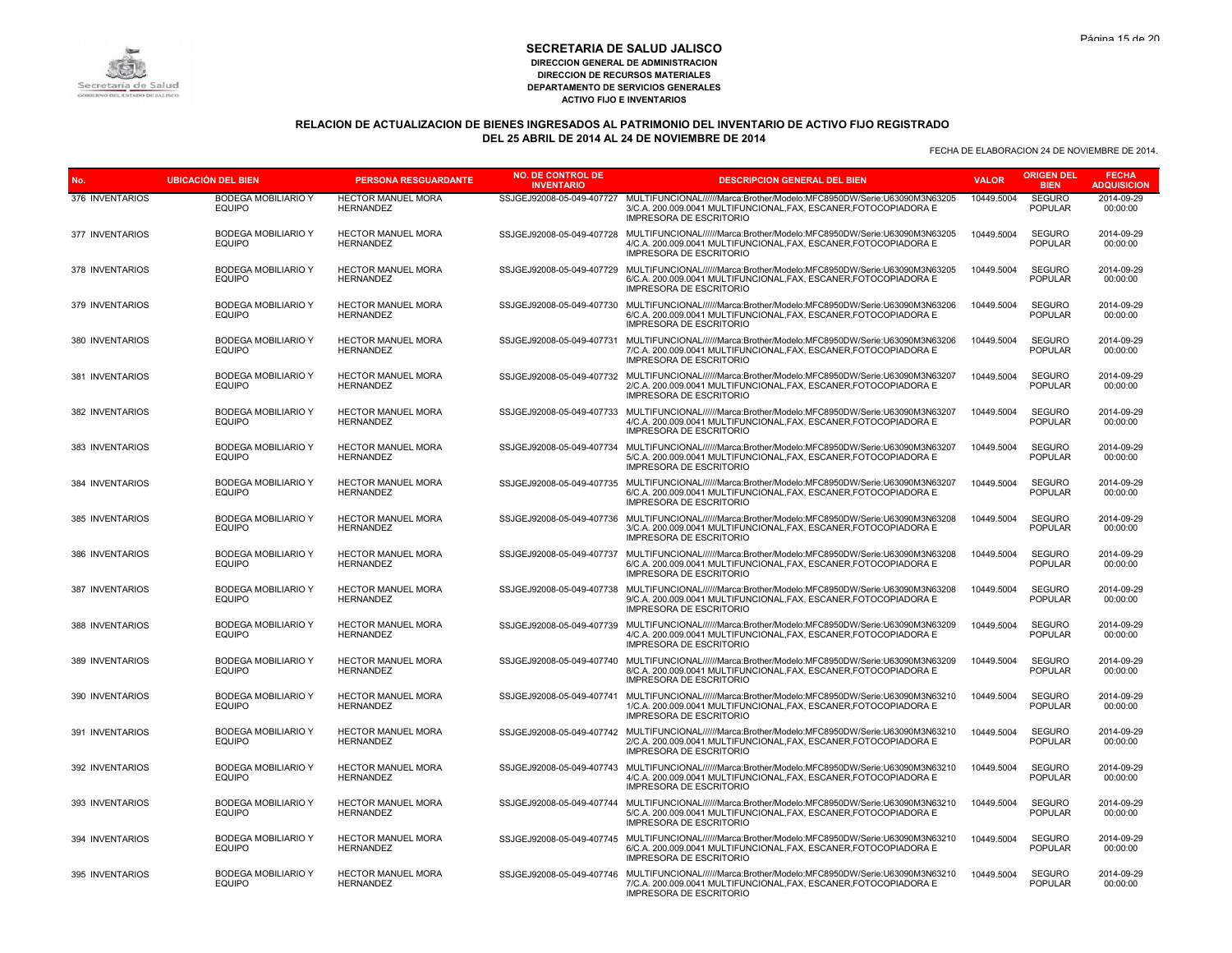# Secretaría de Salud

#### **SECRETARIA DE SALUD JALISCO DIRECCION GENERAL DE ADMINISTRACION DIRECCION DE RECURSOS MATERIALES DEPARTAMENTO DE SERVICIOS GENERALES ACTIVO FIJO E INVENTARIOS**

# **RELACION DE ACTUALIZACION DE BIENES INGRESADOS AL PATRIMONIO DEL INVENTARIO DE ACTIVO FIJO REGISTRADO DEL 25 ABRIL DE 2014 AL 24 DE NOVIEMBRE DE 2014**

| No.             | <b>UBICACIÓN DEL BIEN</b>                   | <b>PERSONA RESGUARDANTE</b>                   | <b>NO. DE CONTROL DE</b><br><b>INVENTARIO</b> | <b>DESCRIPCION GENERAL DEL BIEN</b>                                                                                                                                                                      | <b>VALOR</b> | <b>ORIGEN DEL</b><br><b>BIEN</b> | <b>FECHA</b><br><b>ADQUISICION</b> |
|-----------------|---------------------------------------------|-----------------------------------------------|-----------------------------------------------|----------------------------------------------------------------------------------------------------------------------------------------------------------------------------------------------------------|--------------|----------------------------------|------------------------------------|
| 376 INVENTARIOS | <b>BODEGA MOBILIARIO Y</b><br><b>EQUIPO</b> | <b>HECTOR MANUEL MORA</b><br><b>HERNANDEZ</b> | SSJGEJ92008-05-049-407727                     | MULTIFUNCIONAL//////Marca:Brother/Modelo:MFC8950DW/Serie:U63090M3N63205<br>3/C.A. 200.009.0041 MULTIFUNCIONAL, FAX, ESCANER, FOTOCOPIADORA E<br><b>IMPRESORA DE ESCRITORIO</b>                           | 10449.5004   | <b>SEGURO</b><br><b>POPULAR</b>  | 2014-09-29<br>00:00:00             |
| 377 INVENTARIOS | <b>BODEGA MOBILIARIO Y</b><br><b>EQUIPO</b> | HECTOR MANUEL MORA<br><b>HERNANDEZ</b>        | SSJGEJ92008-05-049-407728                     | MULTIFUNCIONAL//////Marca:Brother/Modelo:MFC8950DW/Serie:U63090M3N63205<br>4/C.A. 200.009.0041 MULTIFUNCIONAL, FAX, ESCANER, FOTOCOPIADORA E<br><b>IMPRESORA DE ESCRITORIO</b>                           | 10449.5004   | <b>SEGURO</b><br><b>POPULAR</b>  | 2014-09-29<br>00:00:00             |
| 378 INVENTARIOS | <b>BODEGA MOBILIARIO Y</b><br><b>EQUIPO</b> | <b>HECTOR MANUEL MORA</b><br><b>HERNANDEZ</b> | SSJGEJ92008-05-049-407729                     | MULTIFUNCIONAL//////Marca:Brother/Modelo:MFC8950DW/Serie:U63090M3N63205<br>6/C.A. 200.009.0041 MULTIFUNCIONAL.FAX. ESCANER.FOTOCOPIADORA E<br><b>IMPRESORA DE ESCRITORIO</b>                             | 10449.5004   | <b>SEGURO</b><br><b>POPULAR</b>  | 2014-09-29<br>00:00:00             |
| 379 INVENTARIOS | <b>BODEGA MOBILIARIO Y</b><br><b>EQUIPO</b> | HECTOR MANUEL MORA<br><b>HERNANDEZ</b>        | SSJGEJ92008-05-049-407730                     | MULTIFUNCIONAL//////Marca:Brother/Modelo:MFC8950DW/Serie:U63090M3N63206<br>6/C.A. 200.009.0041 MULTIFUNCIONAL, FAX, ESCANER, FOTOCOPIADORA E<br><b>IMPRESORA DE ESCRITORIO</b>                           | 10449.5004   | <b>SEGURO</b><br><b>POPULAR</b>  | 2014-09-29<br>00:00:00             |
| 380 INVENTARIOS | <b>BODEGA MOBILIARIO Y</b><br><b>EQUIPO</b> | <b>HECTOR MANUEL MORA</b><br><b>HERNANDEZ</b> | SSJGEJ92008-05-049-407731                     | MULTIFUNCIONAL//////Marca:Brother/Modelo:MFC8950DW/Serie:U63090M3N63206<br>7/C.A. 200.009.0041 MULTIFUNCIONAL.FAX. ESCANER.FOTOCOPIADORA E<br><b>IMPRESORA DE ESCRITORIO</b>                             | 10449.5004   | <b>SEGURO</b><br>POPULAR         | 2014-09-29<br>00:00:00             |
| 381 INVENTARIOS | <b>BODEGA MOBILIARIO Y</b><br><b>EQUIPO</b> | HECTOR MANUEL MORA<br>HERNANDEZ               | SSJGEJ92008-05-049-407732                     | MULTIFUNCIONAL//////Marca:Brother/Modelo:MFC8950DW/Serie:U63090M3N63207<br>2/C.A. 200.009.0041 MULTIFUNCIONAL, FAX, ESCANER, FOTOCOPIADORA E<br>IMPRESORA DE ESCRITORIO                                  | 10449.5004   | <b>SEGURO</b><br><b>POPULAR</b>  | 2014-09-29<br>00:00:00             |
| 382 INVENTARIOS | <b>BODEGA MOBILIARIO Y</b><br><b>EQUIPO</b> | HECTOR MANUEL MORA<br><b>HERNANDEZ</b>        | SSJGEJ92008-05-049-407733                     | MULTIFUNCIONAL//////Marca:Brother/Modelo:MFC8950DW/Serie:U63090M3N63207<br>4/C.A. 200.009.0041 MULTIFUNCIONAL, FAX, ESCANER, FOTOCOPIADORA E<br><b>IMPRESORA DE ESCRITORIO</b>                           | 10449.5004   | <b>SEGURO</b><br><b>POPULAR</b>  | 2014-09-29<br>00:00:00             |
| 383 INVENTARIOS | <b>BODEGA MOBILIARIO Y</b><br><b>EQUIPO</b> | <b>HECTOR MANUEL MORA</b><br><b>HERNANDEZ</b> | SSJGEJ92008-05-049-407734                     | MULTIFUNCIONAL//////Marca:Brother/Modelo:MFC8950DW/Serie:U63090M3N63207<br>5/C.A. 200.009.0041 MULTIFUNCIONAL.FAX. ESCANER.FOTOCOPIADORA E<br><b>IMPRESORA DE ESCRITORIO</b>                             | 10449.5004   | <b>SEGURO</b><br><b>POPULAR</b>  | 2014-09-29<br>00:00:00             |
| 384 INVENTARIOS | <b>BODEGA MOBILIARIO Y</b><br><b>EQUIPO</b> | HECTOR MANUEL MORA<br><b>HERNANDEZ</b>        | SSJGEJ92008-05-049-407735                     | MULTIFUNCIONAL//////Marca:Brother/Modelo:MFC8950DW/Serie:U63090M3N63207<br>6/C.A. 200.009.0041 MULTIFUNCIONAL, FAX, ESCANER, FOTOCOPIADORA E<br><b>IMPRESORA DE ESCRITORIO</b>                           | 10449.5004   | <b>SEGURO</b><br><b>POPULAR</b>  | 2014-09-29<br>00:00:00             |
| 385 INVENTARIOS | <b>BODEGA MOBILIARIO Y</b><br><b>EQUIPO</b> | <b>HECTOR MANUEL MORA</b><br><b>HERNANDEZ</b> | SSJGEJ92008-05-049-407736                     | MULTIFUNCIONAL//////Marca:Brother/Modelo:MFC8950DW/Serie:U63090M3N63208<br>3/C.A. 200.009.0041 MULTIFUNCIONAL.FAX. ESCANER.FOTOCOPIADORA E<br><b>IMPRESORA DE ESCRITORIO</b>                             | 10449.5004   | <b>SEGURO</b><br><b>POPULAR</b>  | 2014-09-29<br>00:00:00             |
| 386 INVENTARIOS | <b>BODEGA MOBILIARIO Y</b><br><b>EQUIPO</b> | <b>HECTOR MANUEL MORA</b><br><b>HERNANDEZ</b> | SSJGEJ92008-05-049-407737                     | MULTIFUNCIONAL//////Marca:Brother/Modelo:MFC8950DW/Serie:U63090M3N63208<br>6/C.A. 200.009.0041 MULTIFUNCIONAL, FAX, ESCANER, FOTOCOPIADORA E<br><b>IMPRESORA DE ESCRITORIO</b>                           | 10449.5004   | <b>SEGURO</b><br><b>POPULAR</b>  | 2014-09-29<br>00:00:00             |
| 387 INVENTARIOS | <b>BODEGA MOBILIARIO Y</b><br><b>EQUIPO</b> | HECTOR MANUEL MORA<br><b>HERNANDEZ</b>        | SSJGEJ92008-05-049-407738                     | MULTIFUNCIONAL//////Marca:Brother/Modelo:MFC8950DW/Serie:U63090M3N63208<br>9/C.A. 200.009.0041 MULTIFUNCIONAL, FAX, ESCANER, FOTOCOPIADORA E<br><b>IMPRESORA DE ESCRITORIO</b>                           | 10449.5004   | <b>SEGURO</b><br><b>POPULAR</b>  | 2014-09-29<br>00:00:00             |
| 388 INVENTARIOS | <b>BODEGA MOBILIARIO Y</b><br><b>EQUIPO</b> | HECTOR MANUEL MORA<br><b>HERNANDEZ</b>        | SSJGEJ92008-05-049-407739                     | MULTIFUNCIONAL//////Marca:Brother/Modelo:MFC8950DW/Serie:U63090M3N63209<br>4/C.A. 200.009.0041 MULTIFUNCIONAL.FAX. ESCANER.FOTOCOPIADORA E<br><b>IMPRESORA DE ESCRITORIO</b>                             | 10449.5004   | <b>SEGURO</b><br><b>POPULAR</b>  | 2014-09-29<br>00:00:00             |
| 389 INVENTARIOS | <b>BODEGA MOBILIARIO Y</b><br><b>EQUIPO</b> | HECTOR MANUEL MORA<br><b>HERNANDEZ</b>        | SSJGEJ92008-05-049-407740                     | MULTIFUNCIONAL//////Marca:Brother/Modelo:MFC8950DW/Serie:U63090M3N63209<br>8/C.A. 200.009.0041 MULTIFUNCIONAL, FAX, ESCANER, FOTOCOPIADORA E<br><b>IMPRESORA DE ESCRITORIO</b>                           | 10449.5004   | <b>SEGURO</b><br><b>POPULAR</b>  | 2014-09-29<br>00:00:00             |
| 390 INVENTARIOS | <b>BODEGA MOBILIARIO Y</b><br><b>EQUIPO</b> | <b>HECTOR MANUEL MORA</b><br><b>HERNANDEZ</b> | SSJGEJ92008-05-049-407741                     | MULTIFUNCIONAL//////Marca:Brother/Modelo:MFC8950DW/Serie:U63090M3N63210<br>1/C.A. 200.009.0041 MULTIFUNCIONAL, FAX, ESCANER, FOTOCOPIADORA E<br><b>IMPRESORA DE ESCRITORIO</b>                           | 10449.5004   | <b>SEGURO</b><br>POPULAR         | 2014-09-29<br>00:00:00             |
| 391 INVENTARIOS | <b>BODEGA MOBILIARIO Y</b><br><b>EQUIPO</b> | <b>HECTOR MANUEL MORA</b><br><b>HERNANDEZ</b> |                                               | SSJGEJ92008-05-049-407742 MULTIFUNCIONAL//////Marca:Brother/Modelo:MFC8950DW/Serie:U63090M3N63210<br>2/C.A. 200.009.0041 MULTIFUNCIONAL, FAX, ESCANER, FOTOCOPIADORA E<br><b>IMPRESORA DE ESCRITORIO</b> | 10449.5004   | <b>SEGURO</b><br><b>POPULAR</b>  | 2014-09-29<br>00:00:00             |
| 392 INVENTARIOS | <b>BODEGA MOBILIARIO Y</b><br>EQUIPO        | <b>HECTOR MANUEL MORA</b><br><b>HERNANDEZ</b> |                                               | SSJGEJ92008-05-049-407743 MULTIFUNCIONAL//////Marca:Brother/Modelo:MFC8950DW/Serie:U63090M3N63210<br>4/C.A. 200.009.0041 MULTIFUNCIONAL, FAX, ESCANER, FOTOCOPIADORA E<br><b>IMPRESORA DE ESCRITORIO</b> | 10449.5004   | <b>SEGURO</b><br><b>POPULAR</b>  | 2014-09-29<br>00:00:00             |
| 393 INVENTARIOS | <b>BODEGA MOBILIARIO Y</b><br><b>EQUIPO</b> | HECTOR MANUEL MORA<br><b>HERNANDEZ</b>        | SSJGEJ92008-05-049-407744                     | MULTIFUNCIONAL//////Marca:Brother/Modelo:MFC8950DW/Serie:U63090M3N63210<br>5/C.A. 200.009.0041 MULTIFUNCIONAL, FAX, ESCANER, FOTOCOPIADORA E<br><b>IMPRESORA DE ESCRITORIO</b>                           | 10449.5004   | <b>SEGURO</b><br><b>POPULAR</b>  | 2014-09-29<br>00:00:00             |
| 394 INVENTARIOS | BODEGA MOBILIARIO Y<br><b>EQUIPO</b>        | HECTOR MANUEL MORA<br><b>HERNANDEZ</b>        |                                               | SSJGEJ92008-05-049-407745 MULTIFUNCIONAL//////Marca:Brother/Modelo:MFC8950DW/Serie:U63090M3N63210<br>6/C.A. 200.009.0041 MULTIFUNCIONAL, FAX, ESCANER, FOTOCOPIADORA E<br><b>IMPRESORA DE ESCRITORIO</b> | 10449.5004   | <b>SEGURO</b><br><b>POPULAR</b>  | 2014-09-29<br>00:00:00             |
| 395 INVENTARIOS | <b>BODEGA MOBILIARIO Y</b><br><b>EQUIPO</b> | <b>HECTOR MANUEL MORA</b><br><b>HERNANDEZ</b> |                                               | SSJGEJ92008-05-049-407746 MULTIFUNCIONAL//////Marca:Brother/Modelo:MFC8950DW/Serie:U63090M3N63210<br>7/C.A. 200.009.0041 MULTIFUNCIONAL, FAX, ESCANER, FOTOCOPIADORA E<br><b>IMPRESORA DE ESCRITORIO</b> | 10449.5004   | <b>SEGURO</b><br><b>POPULAR</b>  | 2014-09-29<br>00:00:00             |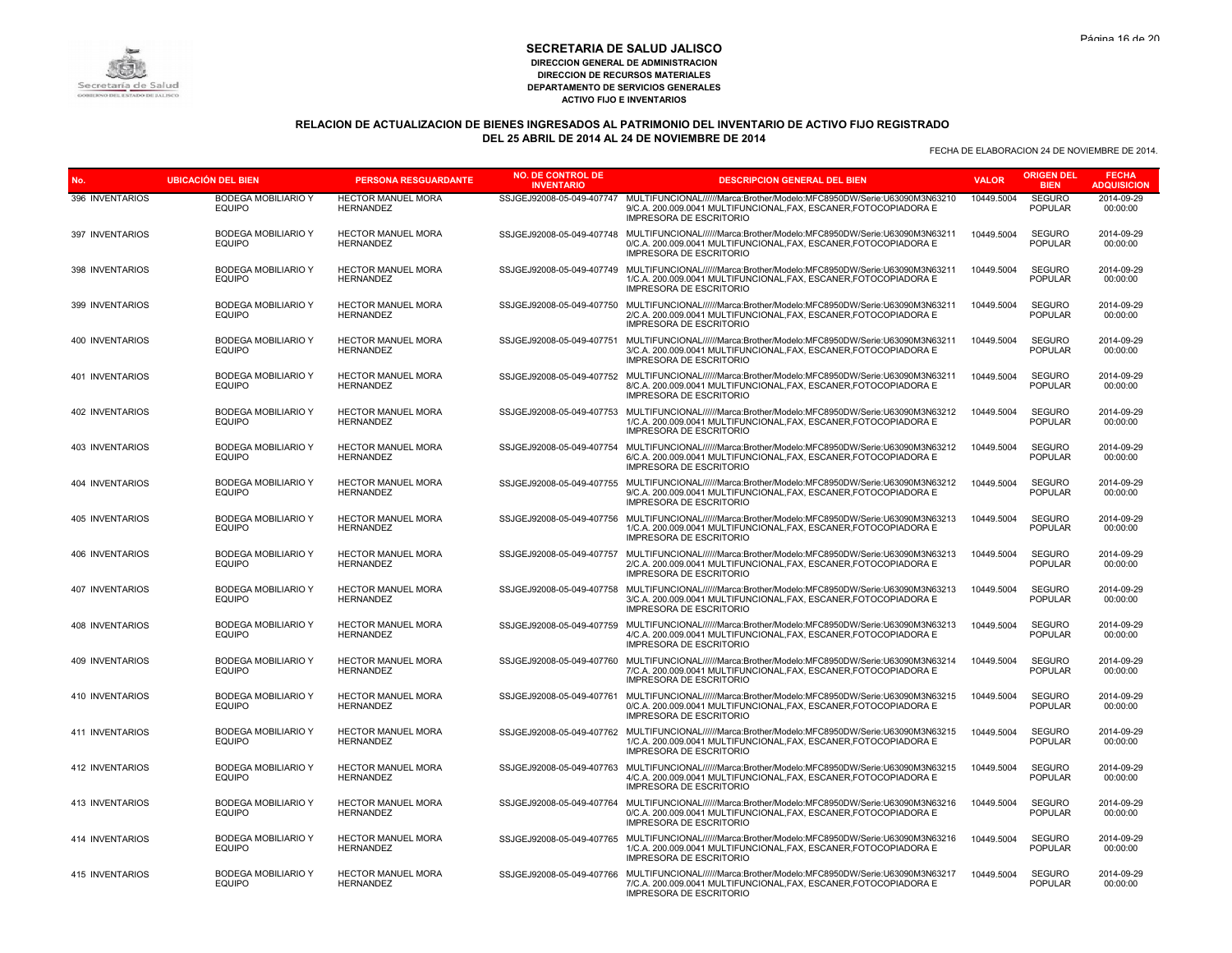

# **RELACION DE ACTUALIZACION DE BIENES INGRESADOS AL PATRIMONIO DEL INVENTARIO DE ACTIVO FIJO REGISTRADO DEL 25 ABRIL DE 2014 AL 24 DE NOVIEMBRE DE 2014**

| No.                    | <b>UBICACIÓN DEL BIEN</b>                   | <b>PERSONA RESGUARDANTE</b>                   | <b>NO. DE CONTROL DE</b><br><b>INVENTARIO</b> | <b>DESCRIPCION GENERAL DEL BIEN</b>                                                                                                                                            | <b>VALOR</b> | <b>ORIGEN DEL</b><br><b>BIEN</b> | <b>FECHA</b><br><b>ADQUISICION</b> |
|------------------------|---------------------------------------------|-----------------------------------------------|-----------------------------------------------|--------------------------------------------------------------------------------------------------------------------------------------------------------------------------------|--------------|----------------------------------|------------------------------------|
| 396 INVENTARIOS        | <b>BODEGA MOBILIARIO Y</b><br><b>EQUIPO</b> | <b>HECTOR MANUEL MORA</b><br><b>HERNANDEZ</b> | SSJGEJ92008-05-049-407747                     | MULTIFUNCIONAL//////Marca:Brother/Modelo:MFC8950DW/Serie:U63090M3N63210<br>9/C.A. 200.009.0041 MULTIFUNCIONAL, FAX, ESCANER, FOTOCOPIADORA E<br><b>IMPRESORA DE ESCRITORIO</b> | 10449.5004   | <b>SEGURO</b><br><b>POPULAR</b>  | 2014-09-29<br>00:00:00             |
| 397 INVENTARIOS        | <b>BODEGA MOBILIARIO Y</b><br><b>EQUIPO</b> | <b>HECTOR MANUEL MORA</b><br><b>HERNANDEZ</b> | SSJGEJ92008-05-049-407748                     | MULTIFUNCIONAL//////Marca:Brother/Modelo:MFC8950DW/Serie:U63090M3N63211<br>0/C.A. 200.009.0041 MULTIFUNCIONAL, FAX, ESCANER, FOTOCOPIADORA E<br><b>IMPRESORA DE ESCRITORIO</b> | 10449.5004   | <b>SEGURO</b><br><b>POPULAR</b>  | 2014-09-29<br>00:00:00             |
| 398 INVENTARIOS        | <b>BODEGA MOBILIARIO Y</b><br><b>EQUIPO</b> | <b>HECTOR MANUEL MORA</b><br><b>HERNANDEZ</b> | SSJGEJ92008-05-049-407749                     | MULTIFUNCIONAL//////Marca:Brother/Modelo:MFC8950DW/Serie:U63090M3N63211<br>1/C.A. 200.009.0041 MULTIFUNCIONAL.FAX. ESCANER.FOTOCOPIADORA E<br><b>IMPRESORA DE ESCRITORIO</b>   | 10449.5004   | <b>SEGURO</b><br><b>POPULAR</b>  | 2014-09-29<br>00:00:00             |
| 399 INVENTARIOS        | <b>BODEGA MOBILIARIO Y</b><br><b>EQUIPO</b> | <b>HECTOR MANUEL MORA</b><br><b>HERNANDEZ</b> | SSJGEJ92008-05-049-407750                     | MULTIFUNCIONAL//////Marca:Brother/Modelo:MFC8950DW/Serie:U63090M3N63211<br>2/C.A. 200.009.0041 MULTIFUNCIONAL.FAX. ESCANER.FOTOCOPIADORA E<br><b>IMPRESORA DE ESCRITORIO</b>   | 10449.5004   | <b>SEGURO</b><br><b>POPULAR</b>  | 2014-09-29<br>00:00:00             |
| 400 INVENTARIOS        | <b>BODEGA MOBILIARIO Y</b><br><b>EQUIPO</b> | <b>HECTOR MANUEL MORA</b><br><b>HERNANDEZ</b> | SSJGEJ92008-05-049-407751                     | MULTIFUNCIONAL//////Marca:Brother/Modelo:MFC8950DW/Serie:U63090M3N63211<br>3/C.A. 200.009.0041 MULTIFUNCIONAL, FAX, ESCANER, FOTOCOPIADORA E<br>IMPRESORA DE ESCRITORIO        | 10449.5004   | <b>SEGURO</b><br><b>POPULAR</b>  | 2014-09-29<br>00:00:00             |
| 401 INVENTARIOS        | <b>BODEGA MOBILIARIO Y</b><br><b>EQUIPO</b> | <b>HECTOR MANUEL MORA</b><br><b>HERNANDEZ</b> | SSJGEJ92008-05-049-407752                     | MULTIFUNCIONAL//////Marca:Brother/Modelo:MFC8950DW/Serie:U63090M3N63211<br>8/C.A. 200.009.0041 MULTIFUNCIONAL, FAX, ESCANER, FOTOCOPIADORA E<br><b>IMPRESORA DE ESCRITORIO</b> | 10449.5004   | <b>SEGURO</b><br><b>POPULAR</b>  | 2014-09-29<br>00:00:00             |
| 402 INVENTARIOS        | <b>BODEGA MOBILIARIO Y</b><br><b>EQUIPO</b> | <b>HECTOR MANUEL MORA</b><br><b>HERNANDEZ</b> | SSJGEJ92008-05-049-407753                     | MULTIFUNCIONAL//////Marca:Brother/Modelo:MFC8950DW/Serie:U63090M3N63212<br>1/C.A. 200.009.0041 MULTIFUNCIONAL.FAX. ESCANER.FOTOCOPIADORA E<br><b>IMPRESORA DE ESCRITORIO</b>   | 10449.5004   | <b>SEGURO</b><br><b>POPULAR</b>  | 2014-09-29<br>00:00:00             |
| 403 INVENTARIOS        | <b>BODEGA MOBILIARIO Y</b><br><b>EQUIPO</b> | <b>HECTOR MANUEL MORA</b><br><b>HERNANDEZ</b> | SSJGEJ92008-05-049-407754                     | MULTIFUNCIONAL//////Marca:Brother/Modelo:MFC8950DW/Serie:U63090M3N63212<br>6/C.A. 200.009.0041 MULTIFUNCIONAL, FAX, ESCANER, FOTOCOPIADORA E<br><b>IMPRESORA DE ESCRITORIO</b> | 10449.5004   | <b>SEGURO</b><br><b>POPULAR</b>  | 2014-09-29<br>00:00:00             |
| <b>404 INVENTARIOS</b> | <b>BODEGA MOBILIARIO Y</b><br><b>EQUIPO</b> | <b>HECTOR MANUEL MORA</b><br><b>HERNANDEZ</b> | SSJGEJ92008-05-049-407755                     | MULTIFUNCIONAL//////Marca:Brother/Modelo:MFC8950DW/Serie:U63090M3N63212<br>9/C.A. 200.009.0041 MULTIFUNCIONAL, FAX, ESCANER, FOTOCOPIADORA E<br><b>IMPRESORA DE ESCRITORIO</b> | 10449.5004   | <b>SEGURO</b><br><b>POPULAR</b>  | 2014-09-29<br>00:00:00             |
| 405 INVENTARIOS        | <b>BODEGA MOBILIARIO Y</b><br><b>EQUIPO</b> | <b>HECTOR MANUEL MORA</b><br><b>HERNANDEZ</b> | SSJGEJ92008-05-049-407756                     | MULTIFUNCIONAL//////Marca:Brother/Modelo:MFC8950DW/Serie:U63090M3N63213<br>1/C.A. 200.009.0041 MULTIFUNCIONAL, FAX, ESCANER, FOTOCOPIADORA E<br><b>IMPRESORA DE ESCRITORIO</b> | 10449.5004   | <b>SEGURO</b><br><b>POPULAR</b>  | 2014-09-29<br>00:00:00             |
| 406 INVENTARIOS        | <b>BODEGA MOBILIARIO Y</b><br><b>EQUIPO</b> | <b>HECTOR MANUEL MORA</b><br><b>HERNANDEZ</b> | SSJGEJ92008-05-049-407757                     | MULTIFUNCIONAL//////Marca:Brother/Modelo:MFC8950DW/Serie:U63090M3N63213<br>2/C.A. 200.009.0041 MULTIFUNCIONAL.FAX. ESCANER.FOTOCOPIADORA E<br><b>IMPRESORA DE ESCRITORIO</b>   | 10449.5004   | <b>SEGURO</b><br><b>POPULAR</b>  | 2014-09-29<br>00:00:00             |
| 407 INVENTARIOS        | <b>BODEGA MOBILIARIO Y</b><br><b>EQUIPO</b> | <b>HECTOR MANUEL MORA</b><br><b>HERNANDEZ</b> | SSJGEJ92008-05-049-407758                     | MULTIFUNCIONAL//////Marca:Brother/Modelo:MFC8950DW/Serie:U63090M3N63213<br>3/C.A. 200.009.0041 MULTIFUNCIONAL, FAX, ESCANER, FOTOCOPIADORA E<br>IMPRESORA DE ESCRITORIO        | 10449.5004   | <b>SEGURO</b><br><b>POPULAR</b>  | 2014-09-29<br>00:00:00             |
| 408 INVENTARIOS        | <b>BODEGA MOBILIARIO Y</b><br><b>EQUIPO</b> | <b>HECTOR MANUEL MORA</b><br><b>HERNANDEZ</b> | SSJGEJ92008-05-049-407759                     | MULTIFUNCIONAL//////Marca:Brother/Modelo:MFC8950DW/Serie:U63090M3N63213<br>4/C.A. 200.009.0041 MULTIFUNCIONAL, FAX, ESCANER, FOTOCOPIADORA E<br><b>IMPRESORA DE ESCRITORIO</b> | 10449.5004   | <b>SEGURO</b><br><b>POPULAR</b>  | 2014-09-29<br>00:00:00             |
| 409 INVENTARIOS        | <b>BODEGA MOBILIARIO Y</b><br><b>EQUIPO</b> | <b>HECTOR MANUEL MORA</b><br><b>HERNANDEZ</b> | SSJGEJ92008-05-049-407760                     | MULTIFUNCIONAL//////Marca:Brother/Modelo:MFC8950DW/Serie:U63090M3N63214<br>7/C.A. 200.009.0041 MULTIFUNCIONAL.FAX. ESCANER.FOTOCOPIADORA E<br><b>IMPRESORA DE ESCRITORIO</b>   | 10449.5004   | <b>SEGURO</b><br><b>POPULAR</b>  | 2014-09-29<br>00:00:00             |
| 410 INVENTARIOS        | <b>BODEGA MOBILIARIO Y</b><br><b>EQUIPO</b> | <b>HECTOR MANUEL MORA</b><br><b>HERNANDEZ</b> | SSJGEJ92008-05-049-407761                     | MULTIFUNCIONAL//////Marca:Brother/Modelo:MFC8950DW/Serie:U63090M3N63215<br>0/C.A. 200.009.0041 MULTIFUNCIONAL, FAX, ESCANER, FOTOCOPIADORA E<br><b>IMPRESORA DE ESCRITORIO</b> | 10449.5004   | <b>SEGURO</b><br><b>POPULAR</b>  | 2014-09-29<br>00:00:00             |
| 411 INVENTARIOS        | BODEGA MOBILIARIO Y<br><b>EQUIPO</b>        | <b>HECTOR MANUEL MORA</b><br><b>HERNANDEZ</b> | SSJGEJ92008-05-049-407762                     | MULTIFUNCIONAL//////Marca:Brother/Modelo:MFC8950DW/Serie:U63090M3N63215<br>1/C.A. 200.009.0041 MULTIFUNCIONAL, FAX, ESCANER, FOTOCOPIADORA E<br><b>IMPRESORA DE ESCRITORIO</b> | 10449.5004   | <b>SEGURO</b><br><b>POPULAR</b>  | 2014-09-29<br>00:00:00             |
| 412 INVENTARIOS        | <b>BODEGA MOBILIARIO Y</b><br><b>EQUIPO</b> | <b>HECTOR MANUEL MORA</b><br><b>HERNANDEZ</b> | SSJGEJ92008-05-049-407763                     | MULTIFUNCIONAL//////Marca:Brother/Modelo:MFC8950DW/Serie:U63090M3N63215<br>4/C.A. 200.009.0041 MULTIFUNCIONAL, FAX, ESCANER, FOTOCOPIADORA E<br><b>IMPRESORA DE ESCRITORIO</b> | 10449.5004   | <b>SEGURO</b><br><b>POPULAR</b>  | 2014-09-29<br>00:00:00             |
| 413 INVENTARIOS        | <b>BODEGA MOBILIARIO Y</b><br><b>EQUIPO</b> | <b>HECTOR MANUEL MORA</b><br><b>HERNANDEZ</b> | SSJGEJ92008-05-049-407764                     | MULTIFUNCIONAL//////Marca:Brother/Modelo:MFC8950DW/Serie:U63090M3N63216<br>0/C.A. 200.009.0041 MULTIFUNCIONAL, FAX, ESCANER, FOTOCOPIADORA E<br><b>IMPRESORA DE ESCRITORIO</b> | 10449.5004   | <b>SEGURO</b><br><b>POPULAR</b>  | 2014-09-29<br>00:00:00             |
| 414 INVENTARIOS        | <b>BODEGA MOBILIARIO Y</b><br><b>EQUIPO</b> | <b>HECTOR MANUEL MORA</b><br><b>HERNANDEZ</b> | SSJGEJ92008-05-049-407765                     | MULTIFUNCIONAL//////Marca:Brother/Modelo:MFC8950DW/Serie:U63090M3N63216<br>1/C.A. 200.009.0041 MULTIFUNCIONAL, FAX, ESCANER, FOTOCOPIADORA E<br><b>IMPRESORA DE ESCRITORIO</b> | 10449.5004   | <b>SEGURO</b><br><b>POPULAR</b>  | 2014-09-29<br>00:00:00             |
| <b>415 INVENTARIOS</b> | <b>BODEGA MOBILIARIO Y</b><br><b>EQUIPO</b> | <b>HECTOR MANUEL MORA</b><br><b>HERNANDEZ</b> | SSJGEJ92008-05-049-407766                     | MULTIFUNCIONAL//////Marca:Brother/Modelo:MFC8950DW/Serie:U63090M3N63217<br>7/C.A. 200.009.0041 MULTIFUNCIONAL, FAX, ESCANER, FOTOCOPIADORA E<br><b>IMPRESORA DE ESCRITORIO</b> | 10449.5004   | <b>SEGURO</b><br><b>POPULAR</b>  | 2014-09-29<br>00:00:00             |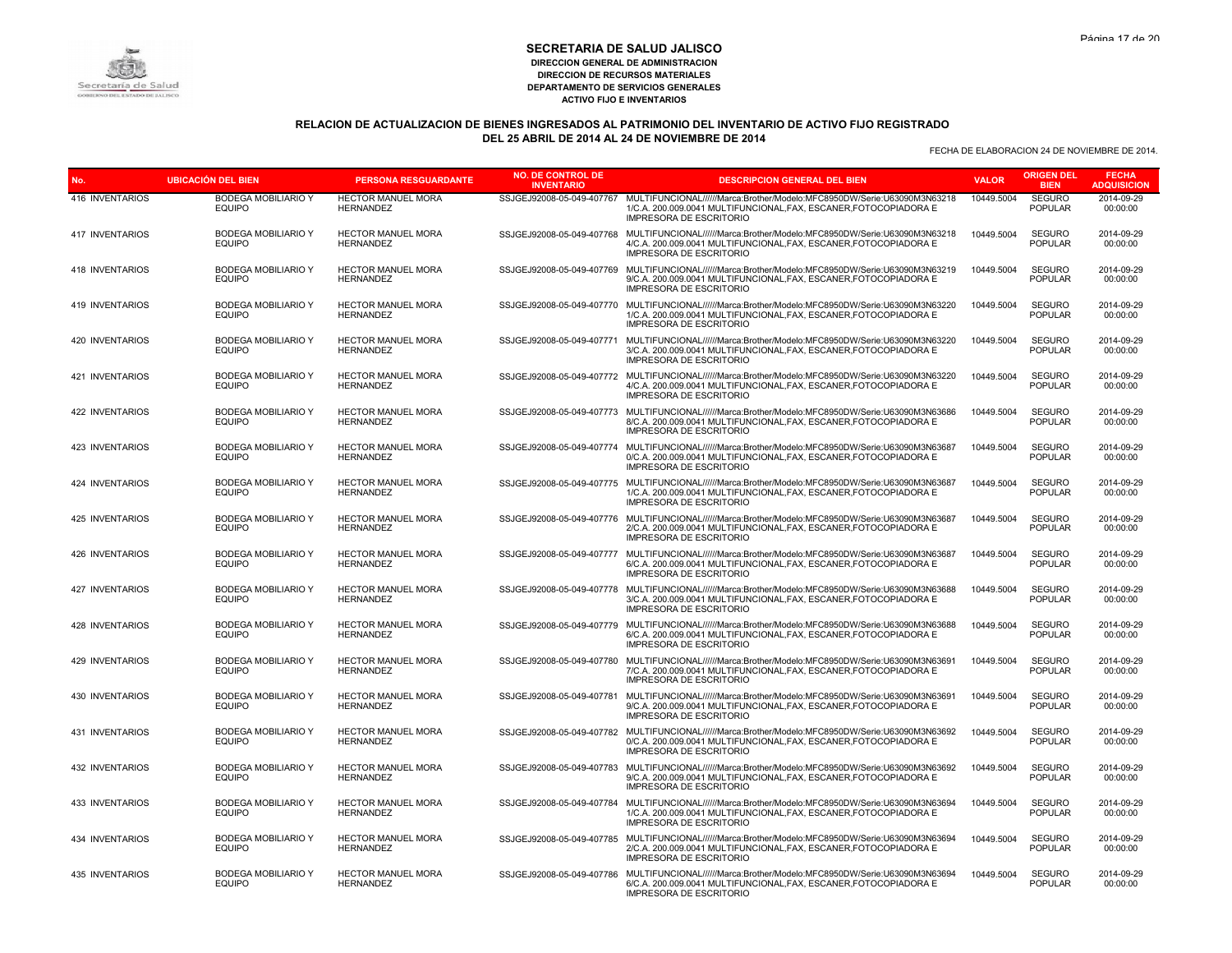

# **RELACION DE ACTUALIZACION DE BIENES INGRESADOS AL PATRIMONIO DEL INVENTARIO DE ACTIVO FIJO REGISTRADO DEL 25 ABRIL DE 2014 AL 24 DE NOVIEMBRE DE 2014**

| No.                    | <b>UBICACIÓN DEL BIEN</b>                   | <b>PERSONA RESGUARDANTE</b>                   | <b>NO. DE CONTROL DE</b><br><b>INVENTARIO</b> | <b>DESCRIPCION GENERAL DEL BIEN</b>                                                                                                                                                                      | <b>VALOR</b> | <b>ORIGEN DEL</b><br><b>BIEN</b> | <b>FECHA</b><br><b>ADQUISICION</b> |
|------------------------|---------------------------------------------|-----------------------------------------------|-----------------------------------------------|----------------------------------------------------------------------------------------------------------------------------------------------------------------------------------------------------------|--------------|----------------------------------|------------------------------------|
| 416 INVENTARIOS        | <b>BODEGA MOBILIARIO Y</b><br>EQUIPO        | HECTOR MANUEL MORA<br><b>HERNANDEZ</b>        | SSJGEJ92008-05-049-407767                     | MULTIFUNCIONAL//////Marca:Brother/Modelo:MFC8950DW/Serie:U63090M3N63218<br>1/C.A. 200.009.0041 MULTIFUNCIONAL, FAX, ESCANER, FOTOCOPIADORA E<br><b>IMPRESORA DE ESCRITORIO</b>                           | 10449.5004   | <b>SEGURO</b><br><b>POPULAR</b>  | 2014-09-29<br>00:00:00             |
| 417 INVENTARIOS        | <b>BODEGA MOBILIARIO Y</b><br><b>EQUIPO</b> | <b>HECTOR MANUEL MORA</b><br><b>HERNANDEZ</b> | SSJGEJ92008-05-049-407768                     | MULTIFUNCIONAL//////Marca:Brother/Modelo:MFC8950DW/Serie:U63090M3N63218<br>4/C.A. 200.009.0041 MULTIFUNCIONAL, FAX, ESCANER, FOTOCOPIADORA E<br><b>IMPRESORA DE ESCRITORIO</b>                           | 10449.5004   | <b>SEGURO</b><br><b>POPULAR</b>  | 2014-09-29<br>00:00:00             |
| 418 INVENTARIOS        | <b>BODEGA MOBILIARIO Y</b><br><b>EQUIPO</b> | HECTOR MANUEL MORA<br><b>HERNANDEZ</b>        | SSJGEJ92008-05-049-407769                     | MULTIFUNCIONAL//////Marca:Brother/Modelo:MFC8950DW/Serie:U63090M3N63219<br>9/C.A. 200.009.0041 MULTIFUNCIONAL, FAX, ESCANER, FOTOCOPIADORA E<br><b>IMPRESORA DE ESCRITORIO</b>                           | 10449.5004   | <b>SEGURO</b><br><b>POPULAR</b>  | 2014-09-29<br>00:00:00             |
| 419 INVENTARIOS        | <b>BODEGA MOBILIARIO Y</b><br><b>EQUIPO</b> | <b>HECTOR MANUEL MORA</b><br><b>HERNANDEZ</b> |                                               | SSJGEJ92008-05-049-407770 MULTIFUNCIONAL//////Marca:Brother/Modelo:MFC8950DW/Serie:U63090M3N63220<br>1/C.A. 200.009.0041 MULTIFUNCIONAL.FAX. ESCANER.FOTOCOPIADORA E<br><b>IMPRESORA DE ESCRITORIO</b>   | 10449.5004   | <b>SEGURO</b><br><b>POPULAR</b>  | 2014-09-29<br>00:00:00             |
| 420 INVENTARIOS        | <b>BODEGA MOBILIARIO Y</b><br><b>EQUIPO</b> | HECTOR MANUEL MORA<br><b>HERNANDEZ</b>        | SSJGEJ92008-05-049-407771                     | MULTIFUNCIONAL//////Marca:Brother/Modelo:MFC8950DW/Serie:U63090M3N63220<br>3/C.A. 200.009.0041 MULTIFUNCIONAL, FAX, ESCANER, FOTOCOPIADORA E<br><b>IMPRESORA DE ESCRITORIO</b>                           | 10449.5004   | SEGURO<br><b>POPULAR</b>         | 2014-09-29<br>00:00:00             |
| 421 INVENTARIOS        | <b>BODEGA MOBILIARIO Y</b><br><b>EQUIPO</b> | <b>HECTOR MANUEL MORA</b><br><b>HERNANDEZ</b> |                                               | SSJGEJ92008-05-049-407772 MULTIFUNCIONAL//////Marca:Brother/Modelo:MFC8950DW/Serie:U63090M3N63220<br>4/C.A. 200.009.0041 MULTIFUNCIONAL, FAX, ESCANER, FOTOCOPIADORA E<br><b>IMPRESORA DE ESCRITORIO</b> | 10449.5004   | <b>SEGURO</b><br><b>POPULAR</b>  | 2014-09-29<br>00:00:00             |
| 422 INVENTARIOS        | <b>BODEGA MOBILIARIO Y</b><br><b>EQUIPO</b> | HECTOR MANUEL MORA<br><b>HERNANDEZ</b>        |                                               | SSJGEJ92008-05-049-407773 MULTIFUNCIONAL//////Marca:Brother/Modelo:MFC8950DW/Serie:U63090M3N63686<br>8/C.A. 200.009.0041 MULTIFUNCIONAL.FAX. ESCANER.FOTOCOPIADORA E<br><b>IMPRESORA DE ESCRITORIO</b>   | 10449.5004   | <b>SEGURO</b><br><b>POPULAR</b>  | 2014-09-29<br>00:00:00             |
| 423 INVENTARIOS        | <b>BODEGA MOBILIARIO Y</b><br>EQUIPO        | <b>HECTOR MANUEL MORA</b><br><b>HERNANDEZ</b> |                                               | SSJGEJ92008-05-049-407774 MULTIFUNCIONAL//////Marca:Brother/Modelo:MFC8950DW/Serie:U63090M3N63687<br>0/C.A. 200.009.0041 MULTIFUNCIONAL, FAX, ESCANER, FOTOCOPIADORA E<br><b>IMPRESORA DE ESCRITORIO</b> | 10449.5004   | <b>SEGURO</b><br><b>POPULAR</b>  | 2014-09-29<br>00:00:00             |
| 424 INVENTARIOS        | <b>BODEGA MOBILIARIO Y</b><br><b>EQUIPO</b> | HECTOR MANUEL MORA<br><b>HERNANDEZ</b>        | SSJGEJ92008-05-049-407775                     | MULTIFUNCIONAL//////Marca:Brother/Modelo:MFC8950DW/Serie:U63090M3N63687<br>1/C.A. 200.009.0041 MULTIFUNCIONAL, FAX, ESCANER, FOTOCOPIADORA E<br><b>IMPRESORA DE ESCRITORIO</b>                           | 10449.5004   | <b>SEGURO</b><br><b>POPULAR</b>  | 2014-09-29<br>00:00:00             |
| 425 INVENTARIOS        | <b>BODEGA MOBILIARIO Y</b><br><b>EQUIPO</b> | HECTOR MANUEL MORA<br><b>HERNANDEZ</b>        | SSJGEJ92008-05-049-407776                     | MULTIFUNCIONAL//////Marca:Brother/Modelo:MFC8950DW/Serie:U63090M3N63687<br>2/C.A. 200.009.0041 MULTIFUNCIONAL, FAX, ESCANER, FOTOCOPIADORA E<br><b>IMPRESORA DE ESCRITORIO</b>                           | 10449.5004   | <b>SEGURO</b><br><b>POPULAR</b>  | 2014-09-29<br>00:00:00             |
| 426 INVENTARIOS        | <b>BODEGA MOBILIARIO Y</b><br><b>EQUIPO</b> | <b>HECTOR MANUEL MORA</b><br><b>HERNANDEZ</b> | SSJGEJ92008-05-049-407777                     | MULTIFUNCIONAL//////Marca:Brother/Modelo:MFC8950DW/Serie:U63090M3N63687<br>6/C.A. 200.009.0041 MULTIFUNCIONAL.FAX. ESCANER.FOTOCOPIADORA E<br><b>IMPRESORA DE ESCRITORIO</b>                             | 10449.5004   | <b>SEGURO</b><br><b>POPULAR</b>  | 2014-09-29<br>00:00:00             |
| 427 INVENTARIOS        | <b>BODEGA MOBILIARIO Y</b><br>EQUIPO        | HECTOR MANUEL MORA<br><b>HERNANDEZ</b>        | SSJGEJ92008-05-049-407778                     | MULTIFUNCIONAL//////Marca:Brother/Modelo:MFC8950DW/Serie:U63090M3N63688<br>3/C.A. 200.009.0041 MULTIFUNCIONAL, FAX, ESCANER, FOTOCOPIADORA E<br>IMPRESORA DE ESCRITORIO                                  | 10449.5004   | <b>SEGURO</b><br><b>POPULAR</b>  | 2014-09-29<br>00:00:00             |
| 428 INVENTARIOS        | <b>BODEGA MOBILIARIO Y</b><br><b>EQUIPO</b> | <b>HECTOR MANUEL MORA</b><br><b>HERNANDEZ</b> | SSJGEJ92008-05-049-407779                     | MULTIFUNCIONAL//////Marca:Brother/Modelo:MFC8950DW/Serie:U63090M3N63688<br>6/C.A. 200.009.0041 MULTIFUNCIONAL, FAX, ESCANER, FOTOCOPIADORA E<br><b>IMPRESORA DE ESCRITORIO</b>                           | 10449.5004   | <b>SEGURO</b><br><b>POPULAR</b>  | 2014-09-29<br>00:00:00             |
| 429 INVENTARIOS        | <b>BODEGA MOBILIARIO Y</b><br><b>EQUIPO</b> | HECTOR MANUEL MORA<br><b>HERNANDEZ</b>        | SSJGEJ92008-05-049-407780                     | MULTIFUNCIONAL//////Marca:Brother/Modelo:MFC8950DW/Serie:U63090M3N63691<br>7/C.A. 200.009.0041 MULTIFUNCIONAL.FAX. ESCANER.FOTOCOPIADORA E<br><b>IMPRESORA DE ESCRITORIO</b>                             | 10449.5004   | <b>SEGURO</b><br><b>POPULAR</b>  | 2014-09-29<br>00:00:00             |
| <b>430 INVENTARIOS</b> | <b>BODEGA MOBILIARIO Y</b><br><b>EQUIPO</b> | <b>HECTOR MANUEL MORA</b><br><b>HERNANDEZ</b> | SSJGEJ92008-05-049-407781                     | MULTIFUNCIONAL//////Marca:Brother/Modelo:MFC8950DW/Serie:U63090M3N63691<br>9/C.A. 200.009.0041 MULTIFUNCIONAL, FAX, ESCANER, FOTOCOPIADORA E<br><b>IMPRESORA DE ESCRITORIO</b>                           | 10449.5004   | <b>SEGURO</b><br><b>POPULAR</b>  | 2014-09-29<br>00:00:00             |
| 431 INVENTARIOS        | <b>BODEGA MOBILIARIO Y</b><br><b>EQUIPO</b> | <b>HECTOR MANUEL MORA</b><br><b>HERNANDEZ</b> | SSJGEJ92008-05-049-407782                     | MULTIFUNCIONAL//////Marca:Brother/Modelo:MFC8950DW/Serie:U63090M3N63692<br>0/C.A. 200.009.0041 MULTIFUNCIONAL, FAX, ESCANER, FOTOCOPIADORA E<br><b>IMPRESORA DE ESCRITORIO</b>                           | 10449.5004   | <b>SEGURO</b><br><b>POPULAR</b>  | 2014-09-29<br>00:00:00             |
| 432 INVENTARIOS        | <b>BODEGA MOBILIARIO Y</b><br><b>EQUIPO</b> | HECTOR MANUEL MORA<br><b>HERNANDEZ</b>        |                                               | SSJGEJ92008-05-049-407783 MULTIFUNCIONAL//////Marca:Brother/Modelo:MFC8950DW/Serie:U63090M3N63692<br>9/C.A. 200.009.0041 MULTIFUNCIONAL, FAX, ESCANER, FOTOCOPIADORA E<br><b>IMPRESORA DE ESCRITORIO</b> | 10449.5004   | <b>SEGURO</b><br><b>POPULAR</b>  | 2014-09-29<br>00:00:00             |
| 433 INVENTARIOS        | <b>BODEGA MOBILIARIO Y</b><br><b>EQUIPO</b> | HECTOR MANUEL MORA<br><b>HERNANDEZ</b>        | SSJGEJ92008-05-049-407784                     | MULTIFUNCIONAL//////Marca:Brother/Modelo:MFC8950DW/Serie:U63090M3N63694<br>1/C.A. 200.009.0041 MULTIFUNCIONAL, FAX, ESCANER, FOTOCOPIADORA E<br><b>IMPRESORA DE ESCRITORIO</b>                           | 10449.5004   | <b>SEGURO</b><br><b>POPULAR</b>  | 2014-09-29<br>00:00:00             |
| 434 INVENTARIOS        | <b>BODEGA MOBILIARIO Y</b><br><b>EQUIPO</b> | HECTOR MANUEL MORA<br><b>HERNANDEZ</b>        | SSJGEJ92008-05-049-407785                     | MULTIFUNCIONAL//////Marca:Brother/Modelo:MFC8950DW/Serie:U63090M3N63694<br>2/C.A. 200.009.0041 MULTIFUNCIONAL, FAX, ESCANER, FOTOCOPIADORA E<br><b>IMPRESORA DE ESCRITORIO</b>                           | 10449.5004   | <b>SEGURO</b><br><b>POPULAR</b>  | 2014-09-29<br>00:00:00             |
| <b>435 INVENTARIOS</b> | <b>BODEGA MOBILIARIO Y</b><br><b>EQUIPO</b> | <b>HECTOR MANUEL MORA</b><br><b>HERNANDEZ</b> |                                               | SSJGEJ92008-05-049-407786 MULTIFUNCIONAL//////Marca:Brother/Modelo:MFC8950DW/Serie:U63090M3N63694<br>6/C.A. 200.009.0041 MULTIFUNCIONAL, FAX, ESCANER, FOTOCOPIADORA E<br><b>IMPRESORA DE ESCRITORIO</b> | 10449.5004   | <b>SEGURO</b><br><b>POPULAR</b>  | 2014-09-29<br>00:00:00             |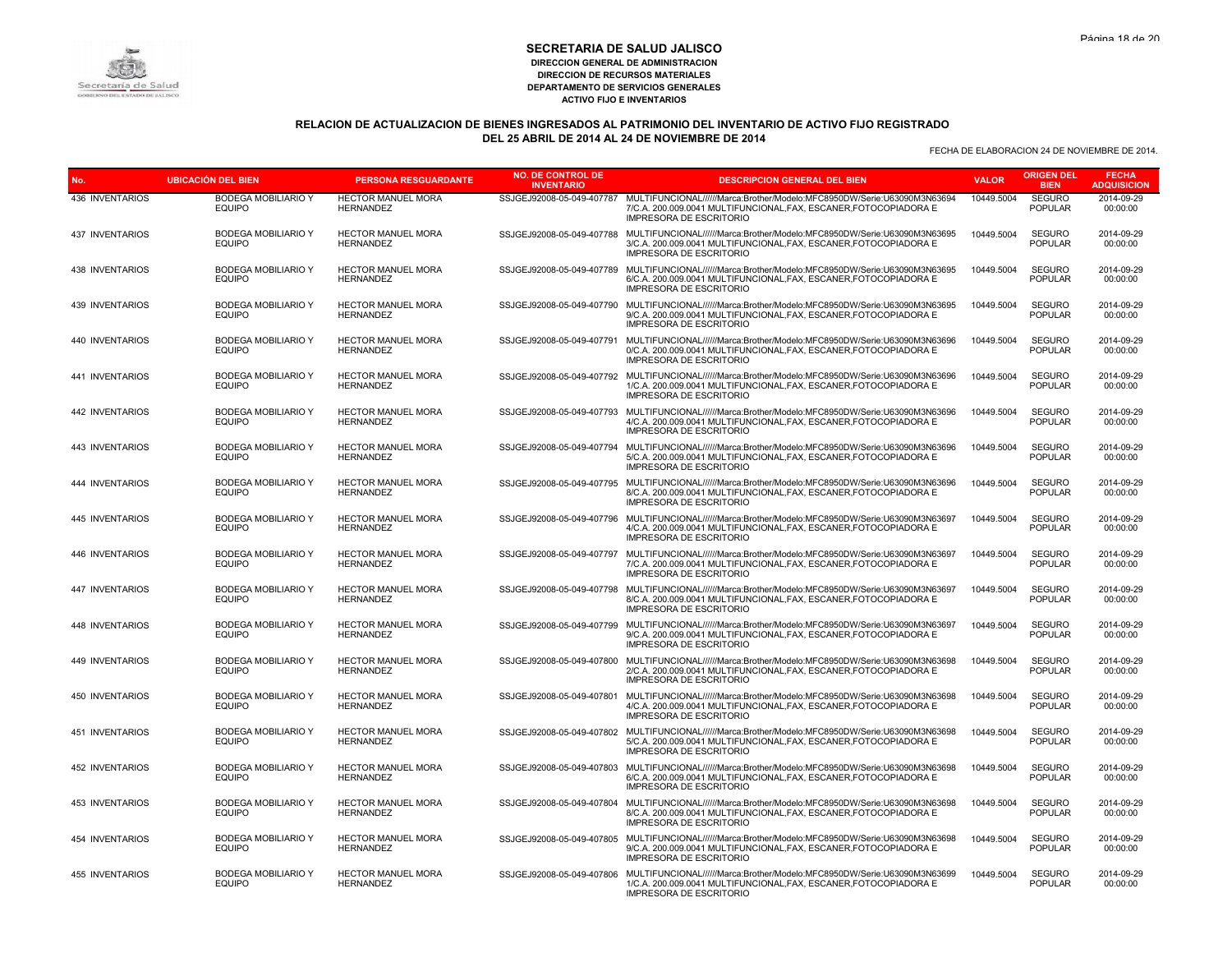

# **RELACION DE ACTUALIZACION DE BIENES INGRESADOS AL PATRIMONIO DEL INVENTARIO DE ACTIVO FIJO REGISTRADO DEL 25 ABRIL DE 2014 AL 24 DE NOVIEMBRE DE 2014**

| No.                    | <b>UBICACIÓN DEL BIEN</b>                   | <b>PERSONA RESGUARDANTE</b>                   | <b>NO. DE CONTROL DE</b><br><b>INVENTARIO</b> | <b>DESCRIPCION GENERAL DEL BIEN</b>                                                                                                                                                                      | <b>VALOR</b> | <b>ORIGEN DEL</b><br><b>BIEN</b> | <b>FECHA</b><br><b>ADQUISICION</b> |
|------------------------|---------------------------------------------|-----------------------------------------------|-----------------------------------------------|----------------------------------------------------------------------------------------------------------------------------------------------------------------------------------------------------------|--------------|----------------------------------|------------------------------------|
| 436 INVENTARIOS        | <b>BODEGA MOBILIARIO Y</b><br><b>EQUIPO</b> | HECTOR MANUEL MORA<br><b>HERNANDEZ</b>        | SSJGEJ92008-05-049-407787                     | MULTIFUNCIONAL//////Marca:Brother/Modelo:MFC8950DW/Serie:U63090M3N63694<br>7/C.A. 200.009.0041 MULTIFUNCIONAL, FAX, ESCANER, FOTOCOPIADORA E<br><b>IMPRESORA DE ESCRITORIO</b>                           | 10449.5004   | <b>SEGURO</b><br><b>POPULAR</b>  | 2014-09-29<br>00:00:00             |
| <b>437 INVENTARIOS</b> | <b>BODEGA MOBILIARIO Y</b><br><b>EQUIPO</b> | <b>HECTOR MANUEL MORA</b><br><b>HERNANDEZ</b> | SSJGEJ92008-05-049-407788                     | MULTIFUNCIONAL//////Marca:Brother/Modelo:MFC8950DW/Serie:U63090M3N63695<br>3/C.A. 200.009.0041 MULTIFUNCIONAL, FAX, ESCANER, FOTOCOPIADORA E<br><b>IMPRESORA DE ESCRITORIO</b>                           | 10449.5004   | <b>SEGURO</b><br><b>POPULAR</b>  | 2014-09-29<br>00:00:00             |
| 438 INVENTARIOS        | <b>BODEGA MOBILIARIO Y</b><br><b>EQUIPO</b> | HECTOR MANUEL MORA<br><b>HERNANDEZ</b>        | SSJGEJ92008-05-049-407789                     | MULTIFUNCIONAL//////Marca:Brother/Modelo:MFC8950DW/Serie:U63090M3N63695<br>6/C.A. 200.009.0041 MULTIFUNCIONAL, FAX, ESCANER, FOTOCOPIADORA E<br><b>IMPRESORA DE ESCRITORIO</b>                           | 10449.5004   | <b>SEGURO</b><br><b>POPULAR</b>  | 2014-09-29<br>00:00:00             |
| 439 INVENTARIOS        | <b>BODEGA MOBILIARIO Y</b><br><b>EQUIPO</b> | <b>HECTOR MANUEL MORA</b><br><b>HERNANDEZ</b> | SSJGEJ92008-05-049-407790                     | MULTIFUNCIONAL//////Marca:Brother/Modelo:MFC8950DW/Serie:U63090M3N63695<br>9/C.A. 200.009.0041 MULTIFUNCIONAL.FAX. ESCANER.FOTOCOPIADORA E<br><b>IMPRESORA DE ESCRITORIO</b>                             | 10449.5004   | <b>SEGURO</b><br><b>POPULAR</b>  | 2014-09-29<br>00:00:00             |
| 440 INVENTARIOS        | <b>BODEGA MOBILIARIO Y</b><br><b>EQUIPO</b> | HECTOR MANUEL MORA<br><b>HERNANDEZ</b>        | SSJGEJ92008-05-049-407791                     | MULTIFUNCIONAL//////Marca:Brother/Modelo:MFC8950DW/Serie:U63090M3N63696<br>0/C.A. 200.009.0041 MULTIFUNCIONAL, FAX, ESCANER, FOTOCOPIADORA E<br><b>IMPRESORA DE ESCRITORIO</b>                           | 10449.5004   | SEGURO<br><b>POPULAR</b>         | 2014-09-29<br>00:00:00             |
| 441 INVENTARIOS        | <b>BODEGA MOBILIARIO Y</b><br><b>EQUIPO</b> | <b>HECTOR MANUEL MORA</b><br><b>HERNANDEZ</b> |                                               | SSJGEJ92008-05-049-407792 MULTIFUNCIONAL//////Marca:Brother/Modelo:MFC8950DW/Serie:U63090M3N63696<br>1/C.A. 200.009.0041 MULTIFUNCIONAL, FAX, ESCANER, FOTOCOPIADORA E<br><b>IMPRESORA DE ESCRITORIO</b> | 10449.5004   | <b>SEGURO</b><br><b>POPULAR</b>  | 2014-09-29<br>00:00:00             |
| 442 INVENTARIOS        | <b>BODEGA MOBILIARIO Y</b><br><b>EQUIPO</b> | HECTOR MANUEL MORA<br><b>HERNANDEZ</b>        |                                               | SSJGEJ92008-05-049-407793 MULTIFUNCIONAL//////Marca:Brother/Modelo:MFC8950DW/Serie:U63090M3N63696<br>4/C.A. 200.009.0041 MULTIFUNCIONAL.FAX. ESCANER.FOTOCOPIADORA E<br><b>IMPRESORA DE ESCRITORIO</b>   | 10449.5004   | <b>SEGURO</b><br><b>POPULAR</b>  | 2014-09-29<br>00:00:00             |
| 443 INVENTARIOS        | <b>BODEGA MOBILIARIO Y</b><br><b>EQUIPO</b> | <b>HECTOR MANUEL MORA</b><br><b>HERNANDEZ</b> | SSJGEJ92008-05-049-407794                     | MULTIFUNCIONAL//////Marca:Brother/Modelo:MFC8950DW/Serie:U63090M3N63696<br>5/C.A. 200.009.0041 MULTIFUNCIONAL, FAX, ESCANER, FOTOCOPIADORA E<br><b>IMPRESORA DE ESCRITORIO</b>                           | 10449.5004   | <b>SEGURO</b><br><b>POPULAR</b>  | 2014-09-29<br>00:00:00             |
| 444 INVENTARIOS        | <b>BODEGA MOBILIARIO Y</b><br><b>EQUIPO</b> | HECTOR MANUEL MORA<br><b>HERNANDEZ</b>        | SSJGEJ92008-05-049-407795                     | MULTIFUNCIONAL//////Marca:Brother/Modelo:MFC8950DW/Serie:U63090M3N63696<br>8/C.A. 200.009.0041 MULTIFUNCIONAL, FAX, ESCANER, FOTOCOPIADORA E<br><b>IMPRESORA DE ESCRITORIO</b>                           | 10449.5004   | <b>SEGURO</b><br><b>POPULAR</b>  | 2014-09-29<br>00:00:00             |
| 445 INVENTARIOS        | <b>BODEGA MOBILIARIO Y</b><br><b>EQUIPO</b> | HECTOR MANUEL MORA<br><b>HERNANDEZ</b>        | SSJGEJ92008-05-049-407796                     | MULTIFUNCIONAL//////Marca:Brother/Modelo:MFC8950DW/Serie:U63090M3N63697<br>4/C.A. 200.009.0041 MULTIFUNCIONAL, FAX, ESCANER, FOTOCOPIADORA E<br><b>IMPRESORA DE ESCRITORIO</b>                           | 10449.5004   | <b>SEGURO</b><br><b>POPULAR</b>  | 2014-09-29<br>00:00:00             |
| 446 INVENTARIOS        | <b>BODEGA MOBILIARIO Y</b><br><b>EQUIPO</b> | <b>HECTOR MANUEL MORA</b><br><b>HERNANDEZ</b> | SSJGEJ92008-05-049-407797                     | MULTIFUNCIONAL//////Marca:Brother/Modelo:MFC8950DW/Serie:U63090M3N63697<br>7/C.A. 200.009.0041 MULTIFUNCIONAL.FAX. ESCANER.FOTOCOPIADORA E<br><b>IMPRESORA DE ESCRITORIO</b>                             | 10449.5004   | <b>SEGURO</b><br><b>POPULAR</b>  | 2014-09-29<br>00:00:00             |
| 447 INVENTARIOS        | <b>BODEGA MOBILIARIO Y</b><br><b>EQUIPO</b> | HECTOR MANUEL MORA<br><b>HERNANDEZ</b>        | SSJGEJ92008-05-049-407798                     | MULTIFUNCIONAL//////Marca:Brother/Modelo:MFC8950DW/Serie:U63090M3N63697<br>8/C.A. 200.009.0041 MULTIFUNCIONAL, FAX, ESCANER, FOTOCOPIADORA E<br>IMPRESORA DE ESCRITORIO                                  | 10449.5004   | <b>SEGURO</b><br><b>POPULAR</b>  | 2014-09-29<br>00:00:00             |
| 448 INVENTARIOS        | <b>BODEGA MOBILIARIO Y</b><br><b>EQUIPO</b> | <b>HECTOR MANUEL MORA</b><br><b>HERNANDEZ</b> | SSJGEJ92008-05-049-407799                     | MULTIFUNCIONAL//////Marca:Brother/Modelo:MFC8950DW/Serie:U63090M3N63697<br>9/C.A. 200.009.0041 MULTIFUNCIONAL, FAX, ESCANER, FOTOCOPIADORA E<br><b>IMPRESORA DE ESCRITORIO</b>                           | 10449.5004   | <b>SEGURO</b><br><b>POPULAR</b>  | 2014-09-29<br>00:00:00             |
| 449 INVENTARIOS        | <b>BODEGA MOBILIARIO Y</b><br><b>EQUIPO</b> | HECTOR MANUEL MORA<br><b>HERNANDEZ</b>        | SSJGEJ92008-05-049-407800                     | MULTIFUNCIONAL//////Marca:Brother/Modelo:MFC8950DW/Serie:U63090M3N63698<br>2/C.A. 200.009.0041 MULTIFUNCIONAL.FAX. ESCANER.FOTOCOPIADORA E<br><b>IMPRESORA DE ESCRITORIO</b>                             | 10449.5004   | <b>SEGURO</b><br><b>POPULAR</b>  | 2014-09-29<br>00:00:00             |
| <b>450 INVENTARIOS</b> | <b>BODEGA MOBILIARIO Y</b><br><b>EQUIPO</b> | <b>HECTOR MANUEL MORA</b><br><b>HERNANDEZ</b> | SSJGEJ92008-05-049-407801                     | MULTIFUNCIONAL//////Marca:Brother/Modelo:MFC8950DW/Serie:U63090M3N63698<br>4/C.A. 200.009.0041 MULTIFUNCIONAL, FAX, ESCANER, FOTOCOPIADORA E<br><b>IMPRESORA DE ESCRITORIO</b>                           | 10449.5004   | <b>SEGURO</b><br><b>POPULAR</b>  | 2014-09-29<br>00:00:00             |
| 451 INVENTARIOS        | <b>BODEGA MOBILIARIO Y</b><br><b>EQUIPO</b> | <b>HECTOR MANUEL MORA</b><br><b>HERNANDEZ</b> |                                               | SSJGEJ92008-05-049-407802 MULTIFUNCIONAL//////Marca:Brother/Modelo:MFC8950DW/Serie:U63090M3N63698<br>5/C.A. 200.009.0041 MULTIFUNCIONAL, FAX, ESCANER, FOTOCOPIADORA E<br><b>IMPRESORA DE ESCRITORIO</b> | 10449.5004   | <b>SEGURO</b><br><b>POPULAR</b>  | 2014-09-29<br>00:00:00             |
| 452 INVENTARIOS        | <b>BODEGA MOBILIARIO Y</b><br><b>EQUIPO</b> | HECTOR MANUEL MORA<br><b>HERNANDEZ</b>        |                                               | SSJGEJ92008-05-049-407803 MULTIFUNCIONAL//////Marca:Brother/Modelo:MFC8950DW/Serie:U63090M3N63698<br>6/C.A. 200.009.0041 MULTIFUNCIONAL, FAX, ESCANER, FOTOCOPIADORA E<br><b>IMPRESORA DE ESCRITORIO</b> | 10449.5004   | <b>SEGURO</b><br><b>POPULAR</b>  | 2014-09-29<br>00:00:00             |
| 453 INVENTARIOS        | <b>BODEGA MOBILIARIO Y</b><br><b>EQUIPO</b> | HECTOR MANUEL MORA<br><b>HERNANDEZ</b>        | SSJGEJ92008-05-049-407804                     | MULTIFUNCIONAL//////Marca:Brother/Modelo:MFC8950DW/Serie:U63090M3N63698<br>8/C.A. 200.009.0041 MULTIFUNCIONAL, FAX, ESCANER, FOTOCOPIADORA E<br><b>IMPRESORA DE ESCRITORIO</b>                           | 10449.5004   | <b>SEGURO</b><br><b>POPULAR</b>  | 2014-09-29<br>00:00:00             |
| 454 INVENTARIOS        | <b>BODEGA MOBILIARIO Y</b><br><b>EQUIPO</b> | HECTOR MANUEL MORA<br><b>HERNANDEZ</b>        |                                               | SSJGEJ92008-05-049-407805 MULTIFUNCIONAL//////Marca:Brother/Modelo:MFC8950DW/Serie:U63090M3N63698<br>9/C.A. 200.009.0041 MULTIFUNCIONAL, FAX, ESCANER, FOTOCOPIADORA E<br><b>IMPRESORA DE ESCRITORIO</b> | 10449.5004   | <b>SEGURO</b><br><b>POPULAR</b>  | 2014-09-29<br>00:00:00             |
| <b>455 INVENTARIOS</b> | <b>BODEGA MOBILIARIO Y</b><br><b>EQUIPO</b> | <b>HECTOR MANUEL MORA</b><br><b>HERNANDEZ</b> |                                               | SSJGEJ92008-05-049-407806 MULTIFUNCIONAL//////Marca:Brother/Modelo:MFC8950DW/Serie:U63090M3N63699<br>1/C.A. 200.009.0041 MULTIFUNCIONAL, FAX, ESCANER, FOTOCOPIADORA E<br><b>IMPRESORA DE ESCRITORIO</b> | 10449.5004   | <b>SEGURO</b><br><b>POPULAR</b>  | 2014-09-29<br>00:00:00             |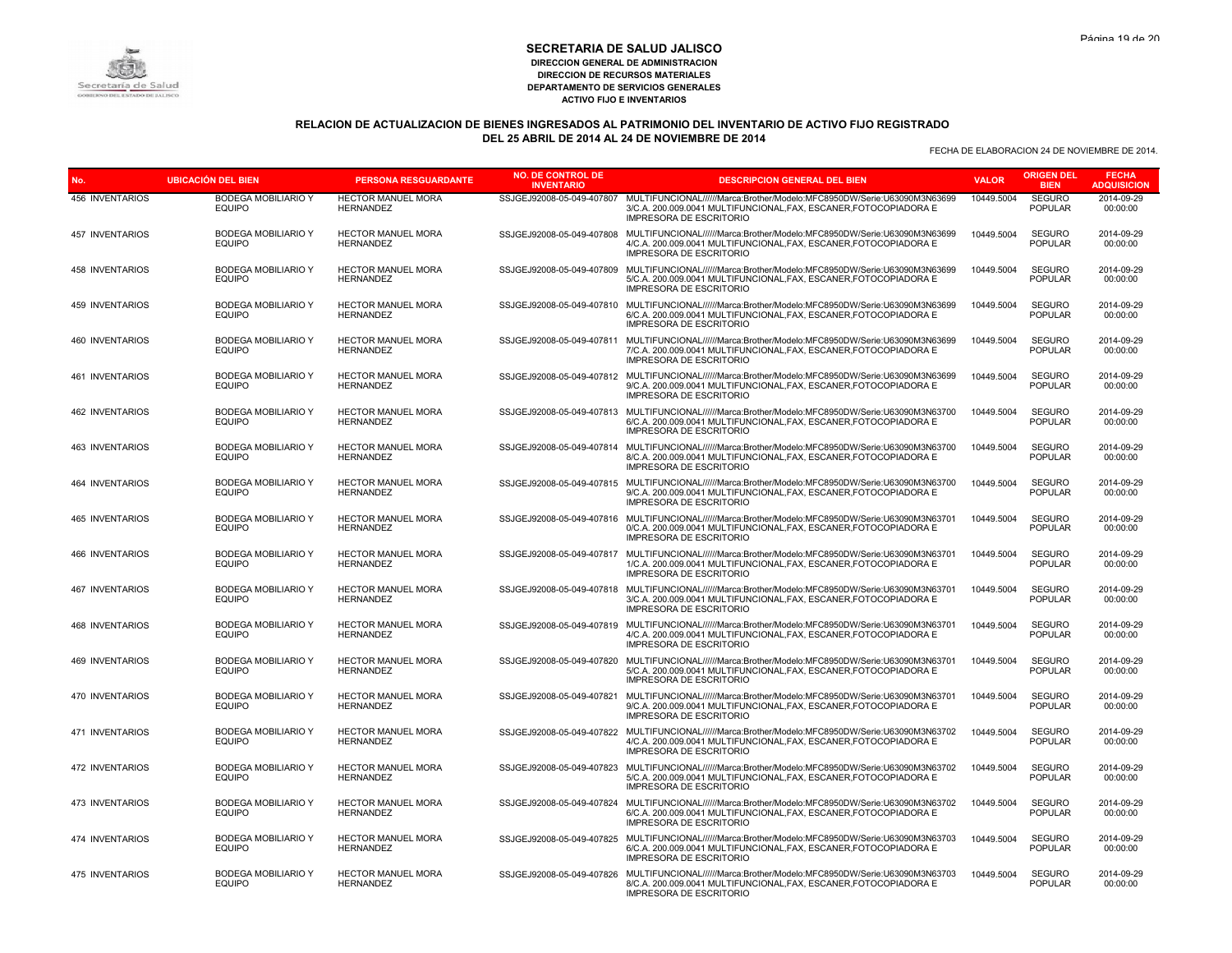# Secretaría de Salud

#### **SECRETARIA DE SALUD JALISCO DIRECCION GENERAL DE ADMINISTRACION DIRECCION DE RECURSOS MATERIALES DEPARTAMENTO DE SERVICIOS GENERALES ACTIVO FIJO E INVENTARIOS**

# **RELACION DE ACTUALIZACION DE BIENES INGRESADOS AL PATRIMONIO DEL INVENTARIO DE ACTIVO FIJO REGISTRADO DEL 25 ABRIL DE 2014 AL 24 DE NOVIEMBRE DE 2014**

| No.                    | <b>UBICACIÓN DEL BIEN</b>                   | <b>PERSONA RESGUARDANTE</b>                   | <b>NO. DE CONTROL DE</b><br><b>INVENTARIO</b> | <b>DESCRIPCION GENERAL DEL BIEN</b>                                                                                                                                                                      | <b>VALOR</b> | <b>ORIGEN DEL</b><br><b>BIEN</b> | <b>FECHA</b><br><b>ADQUISICION</b> |
|------------------------|---------------------------------------------|-----------------------------------------------|-----------------------------------------------|----------------------------------------------------------------------------------------------------------------------------------------------------------------------------------------------------------|--------------|----------------------------------|------------------------------------|
| 456 INVENTARIOS        | <b>BODEGA MOBILIARIO Y</b><br><b>EQUIPO</b> | HECTOR MANUEL MORA<br><b>HERNANDEZ</b>        | SSJGEJ92008-05-049-407807                     | MULTIFUNCIONAL//////Marca:Brother/Modelo:MFC8950DW/Serie:U63090M3N63699<br>3/C.A. 200.009.0041 MULTIFUNCIONAL, FAX, ESCANER, FOTOCOPIADORA E<br><b>IMPRESORA DE ESCRITORIO</b>                           | 10449.5004   | <b>SEGURO</b><br><b>POPULAR</b>  | 2014-09-29<br>00:00:00             |
| <b>457 INVENTARIOS</b> | <b>BODEGA MOBILIARIO Y</b><br><b>EQUIPO</b> | <b>HECTOR MANUEL MORA</b><br><b>HERNANDEZ</b> | SSJGEJ92008-05-049-407808                     | MULTIFUNCIONAL//////Marca:Brother/Modelo:MFC8950DW/Serie:U63090M3N63699<br>4/C.A. 200.009.0041 MULTIFUNCIONAL, FAX, ESCANER, FOTOCOPIADORA E<br><b>IMPRESORA DE ESCRITORIO</b>                           | 10449.5004   | <b>SEGURO</b><br><b>POPULAR</b>  | 2014-09-29<br>00:00:00             |
| 458 INVENTARIOS        | <b>BODEGA MOBILIARIO Y</b><br><b>EQUIPO</b> | <b>HECTOR MANUEL MORA</b><br><b>HERNANDEZ</b> | SSJGEJ92008-05-049-407809                     | MULTIFUNCIONAL//////Marca:Brother/Modelo:MFC8950DW/Serie:U63090M3N63699<br>5/C.A. 200.009.0041 MULTIFUNCIONAL, FAX, ESCANER, FOTOCOPIADORA E<br><b>IMPRESORA DE ESCRITORIO</b>                           | 10449.5004   | <b>SEGURO</b><br><b>POPULAR</b>  | 2014-09-29<br>00:00:00             |
| 459 INVENTARIOS        | <b>BODEGA MOBILIARIO Y</b><br><b>EQUIPO</b> | <b>HECTOR MANUEL MORA</b><br><b>HERNANDEZ</b> |                                               | SSJGEJ92008-05-049-407810 MULTIFUNCIONAL//////Marca:Brother/Modelo:MFC8950DW/Serie:U63090M3N63699<br>6/C.A. 200.009.0041 MULTIFUNCIONAL.FAX. ESCANER.FOTOCOPIADORA E<br><b>IMPRESORA DE ESCRITORIO</b>   | 10449.5004   | <b>SEGURO</b><br><b>POPULAR</b>  | 2014-09-29<br>00:00:00             |
| 460 INVENTARIOS        | <b>BODEGA MOBILIARIO Y</b><br><b>EQUIPO</b> | HECTOR MANUEL MORA<br><b>HERNANDEZ</b>        | SSJGEJ92008-05-049-407811                     | MULTIFUNCIONAL//////Marca:Brother/Modelo:MFC8950DW/Serie:U63090M3N63699<br>7/C.A. 200.009.0041 MULTIFUNCIONAL, FAX, ESCANER, FOTOCOPIADORA E<br><b>IMPRESORA DE ESCRITORIO</b>                           | 10449.5004   | SEGURO<br><b>POPULAR</b>         | 2014-09-29<br>00:00:00             |
| 461 INVENTARIOS        | <b>BODEGA MOBILIARIO Y</b><br><b>EQUIPO</b> | <b>HECTOR MANUEL MORA</b><br><b>HERNANDEZ</b> |                                               | SSJGEJ92008-05-049-407812 MULTIFUNCIONAL//////Marca:Brother/Modelo:MFC8950DW/Serie:U63090M3N63699<br>9/C.A. 200.009.0041 MULTIFUNCIONAL.FAX. ESCANER.FOTOCOPIADORA E<br><b>IMPRESORA DE ESCRITORIO</b>   | 10449.5004   | <b>SEGURO</b><br><b>POPULAR</b>  | 2014-09-29<br>00:00:00             |
| 462 INVENTARIOS        | <b>BODEGA MOBILIARIO Y</b><br><b>EQUIPO</b> | HECTOR MANUEL MORA<br><b>HERNANDEZ</b>        |                                               | SSJGEJ92008-05-049-407813 MULTIFUNCIONAL//////Marca:Brother/Modelo:MFC8950DW/Serie:U63090M3N63700<br>6/C.A. 200.009.0041 MULTIFUNCIONAL, FAX, ESCANER, FOTOCOPIADORA E<br><b>IMPRESORA DE ESCRITORIO</b> | 10449.5004   | <b>SEGURO</b><br><b>POPULAR</b>  | 2014-09-29<br>00:00:00             |
| 463 INVENTARIOS        | <b>BODEGA MOBILIARIO Y</b><br><b>EQUIPO</b> | <b>HECTOR MANUEL MORA</b><br><b>HERNANDEZ</b> |                                               | SSJGEJ92008-05-049-407814 MULTIFUNCIONAL//////Marca:Brother/Modelo:MFC8950DW/Serie:U63090M3N63700<br>8/C.A. 200.009.0041 MULTIFUNCIONAL.FAX. ESCANER.FOTOCOPIADORA E<br><b>IMPRESORA DE ESCRITORIO</b>   | 10449.5004   | <b>SEGURO</b><br><b>POPULAR</b>  | 2014-09-29<br>00:00:00             |
| <b>464 INVENTARIOS</b> | <b>BODEGA MOBILIARIO Y</b><br><b>EQUIPO</b> | <b>HECTOR MANUEL MORA</b><br><b>HERNANDEZ</b> | SSJGEJ92008-05-049-407815                     | MULTIFUNCIONAL//////Marca:Brother/Modelo:MFC8950DW/Serie:U63090M3N63700<br>9/C.A. 200.009.0041 MULTIFUNCIONAL, FAX, ESCANER, FOTOCOPIADORA E<br><b>IMPRESORA DE ESCRITORIO</b>                           | 10449.5004   | <b>SEGURO</b><br><b>POPULAR</b>  | 2014-09-29<br>00:00:00             |
| 465 INVENTARIOS        | <b>BODEGA MOBILIARIO Y</b><br><b>EQUIPO</b> | <b>HECTOR MANUEL MORA</b><br><b>HERNANDEZ</b> | SSJGEJ92008-05-049-407816                     | MULTIFUNCIONAL//////Marca:Brother/Modelo:MFC8950DW/Serie:U63090M3N63701<br>0/C.A. 200.009.0041 MULTIFUNCIONAL, FAX, ESCANER, FOTOCOPIADORA E<br><b>IMPRESORA DE ESCRITORIO</b>                           | 10449.5004   | <b>SEGURO</b><br><b>POPULAR</b>  | 2014-09-29<br>00:00:00             |
| <b>466 INVENTARIOS</b> | <b>BODEGA MOBILIARIO Y</b><br><b>EQUIPO</b> | HECTOR MANUEL MORA<br><b>HERNANDEZ</b>        |                                               | SSJGEJ92008-05-049-407817 MULTIFUNCIONAL//////Marca:Brother/Modelo:MFC8950DW/Serie:U63090M3N63701<br>1/C.A. 200.009.0041 MULTIFUNCIONAL, FAX, ESCANER, FOTOCOPIADORA E<br><b>IMPRESORA DE ESCRITORIO</b> | 10449.5004   | <b>SEGURO</b><br><b>POPULAR</b>  | 2014-09-29<br>00:00:00             |
| <b>467 INVENTARIOS</b> | <b>BODEGA MOBILIARIO Y</b><br><b>EQUIPO</b> | HECTOR MANUEL MORA<br><b>HERNANDEZ</b>        |                                               | SSJGEJ92008-05-049-407818 MULTIFUNCIONAL//////Marca:Brother/Modelo:MFC8950DW/Serie:U63090M3N63701<br>3/C.A. 200.009.0041 MULTIFUNCIONAL, FAX, ESCANER, FOTOCOPIADORA E<br><b>IMPRESORA DE ESCRITORIO</b> | 10449.5004   | <b>SEGURO</b><br><b>POPULAR</b>  | 2014-09-29<br>00:00:00             |
| <b>468 INVENTARIOS</b> | <b>BODEGA MOBILIARIO Y</b><br><b>EQUIPO</b> | HECTOR MANUEL MORA<br><b>HERNANDEZ</b>        | SSJGEJ92008-05-049-407819                     | MULTIFUNCIONAL//////Marca:Brother/Modelo:MFC8950DW/Serie:U63090M3N63701<br>4/C.A. 200.009.0041 MULTIFUNCIONAL.FAX. ESCANER.FOTOCOPIADORA E<br><b>IMPRESORA DE ESCRITORIO</b>                             | 10449.5004   | <b>SEGURO</b><br><b>POPULAR</b>  | 2014-09-29<br>00:00:00             |
| 469 INVENTARIOS        | <b>BODEGA MOBILIARIO Y</b><br><b>EQUIPO</b> | HECTOR MANUEL MORA<br><b>HERNANDEZ</b>        | SSJGEJ92008-05-049-407820                     | MULTIFUNCIONAL//////Marca:Brother/Modelo:MFC8950DW/Serie:U63090M3N63701<br>5/C.A. 200.009.0041 MULTIFUNCIONAL, FAX, ESCANER, FOTOCOPIADORA E<br><b>IMPRESORA DE ESCRITORIO</b>                           | 10449.5004   | <b>SEGURO</b><br><b>POPULAR</b>  | 2014-09-29<br>00:00:00             |
| 470 INVENTARIOS        | <b>BODEGA MOBILIARIO Y</b><br><b>EQUIPO</b> | <b>HECTOR MANUEL MORA</b><br><b>HERNANDEZ</b> | SSJGEJ92008-05-049-407821                     | MULTIFUNCIONAL//////Marca:Brother/Modelo:MFC8950DW/Serie:U63090M3N63701<br>9/C.A. 200.009.0041 MULTIFUNCIONAL, FAX, ESCANER, FOTOCOPIADORA E<br><b>IMPRESORA DE ESCRITORIO</b>                           | 10449.5004   | <b>SEGURO</b><br>POPULAR         | 2014-09-29<br>00:00:00             |
| 471 INVENTARIOS        | <b>BODEGA MOBILIARIO Y</b><br><b>EQUIPO</b> | HECTOR MANUEL MORA<br><b>HERNANDEZ</b>        |                                               | SSJGEJ92008-05-049-407822 MULTIFUNCIONAL//////Marca:Brother/Modelo:MFC8950DW/Serie:U63090M3N63702<br>4/C.A. 200.009.0041 MULTIFUNCIONAL, FAX, ESCANER, FOTOCOPIADORA E<br><b>IMPRESORA DE ESCRITORIO</b> | 10449.5004   | <b>SEGURO</b><br><b>POPULAR</b>  | 2014-09-29<br>00:00:00             |
| 472 INVENTARIOS        | <b>BODEGA MOBILIARIO Y</b><br><b>EQUIPO</b> | <b>HECTOR MANUEL MORA</b><br><b>HERNANDEZ</b> |                                               | SSJGEJ92008-05-049-407823 MULTIFUNCIONAL//////Marca:Brother/Modelo:MFC8950DW/Serie:U63090M3N63702<br>5/C.A. 200.009.0041 MULTIFUNCIONAL, FAX, ESCANER, FOTOCOPIADORA E<br><b>IMPRESORA DE ESCRITORIO</b> | 10449.5004   | <b>SEGURO</b><br><b>POPULAR</b>  | 2014-09-29<br>00:00:00             |
| 473 INVENTARIOS        | <b>BODEGA MOBILIARIO Y</b><br><b>EQUIPO</b> | HECTOR MANUEL MORA<br><b>HERNANDEZ</b>        |                                               | SSJGEJ92008-05-049-407824 MULTIFUNCIONAL//////Marca:Brother/Modelo:MFC8950DW/Serie:U63090M3N63702<br>6/C.A. 200.009.0041 MULTIFUNCIONAL, FAX, ESCANER, FOTOCOPIADORA E<br><b>IMPRESORA DE ESCRITORIO</b> | 10449.5004   | <b>SEGURO</b><br><b>POPULAR</b>  | 2014-09-29<br>00:00:00             |
| 474 INVENTARIOS        | <b>BODEGA MOBILIARIO Y</b><br><b>EQUIPO</b> | <b>HECTOR MANUEL MORA</b><br><b>HERNANDEZ</b> | SSJGEJ92008-05-049-407825                     | MULTIFUNCIONAL//////Marca:Brother/Modelo:MFC8950DW/Serie:U63090M3N63703<br>6/C.A. 200.009.0041 MULTIFUNCIONAL, FAX, ESCANER, FOTOCOPIADORA E<br><b>IMPRESORA DE ESCRITORIO</b>                           | 10449.5004   | <b>SEGURO</b><br><b>POPULAR</b>  | 2014-09-29<br>00:00:00             |
| 475 INVENTARIOS        | <b>BODEGA MOBILIARIO Y</b><br><b>EQUIPO</b> | HECTOR MANUEL MORA<br><b>HERNANDEZ</b>        | SSJGEJ92008-05-049-407826                     | MULTIFUNCIONAL//////Marca:Brother/Modelo:MFC8950DW/Serie:U63090M3N63703<br>8/C.A. 200.009.0041 MULTIFUNCIONAL, FAX, ESCANER, FOTOCOPIADORA E<br>IMPRESORA DE ESCRITORIO                                  | 10449.5004   | <b>SEGURO</b><br><b>POPULAR</b>  | 2014-09-29<br>00:00:00             |